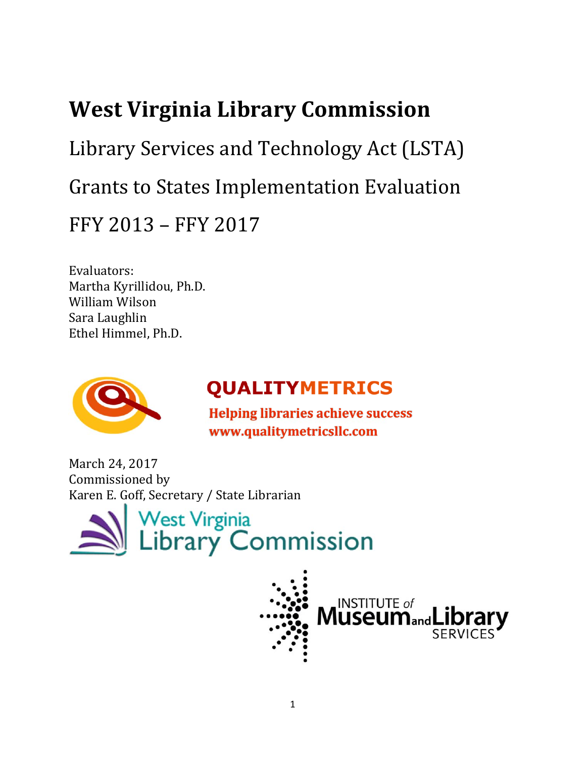# **West Virginia Library Commission**

Library Services and Technology Act (LSTA) Grants to States Implementation Evaluation FFY 2013 - FFY 2017

Evaluators: 

Martha Kyrillidou, Ph.D. William Wilson Sara Laughlin Ethel Himmel, Ph.D.



# **QUALITYMETRICS**

 **Helping libraries achieve success www.qualitymetricsllc.com**

March 24, 2017 Commissioned by Karen E. Goff, Secretary / State Librarian



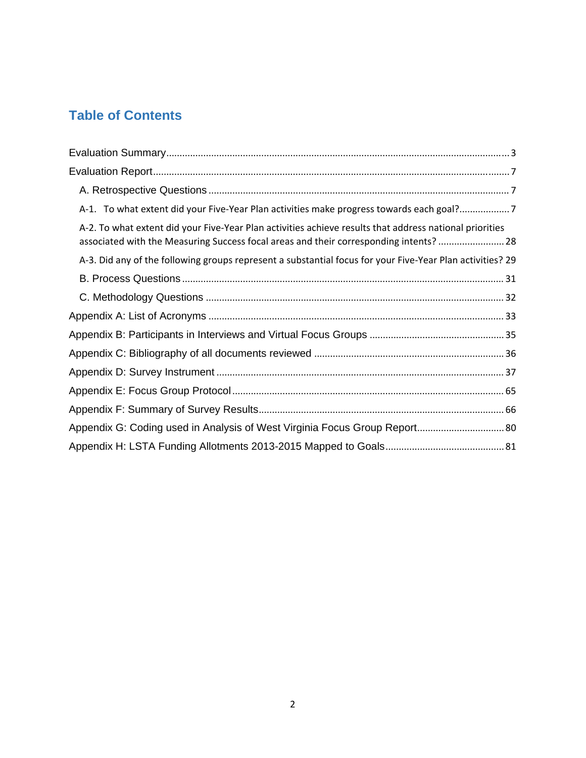## **Table of Contents**

| A-1. To what extent did your Five-Year Plan activities make progress towards each goal?                                                                                                          |
|--------------------------------------------------------------------------------------------------------------------------------------------------------------------------------------------------|
| A-2. To what extent did your Five-Year Plan activities achieve results that address national priorities<br>associated with the Measuring Success focal areas and their corresponding intents? 28 |
| A-3. Did any of the following groups represent a substantial focus for your Five-Year Plan activities? 29                                                                                        |
|                                                                                                                                                                                                  |
|                                                                                                                                                                                                  |
|                                                                                                                                                                                                  |
|                                                                                                                                                                                                  |
|                                                                                                                                                                                                  |
|                                                                                                                                                                                                  |
|                                                                                                                                                                                                  |
|                                                                                                                                                                                                  |
| Appendix G: Coding used in Analysis of West Virginia Focus Group Report 80                                                                                                                       |
|                                                                                                                                                                                                  |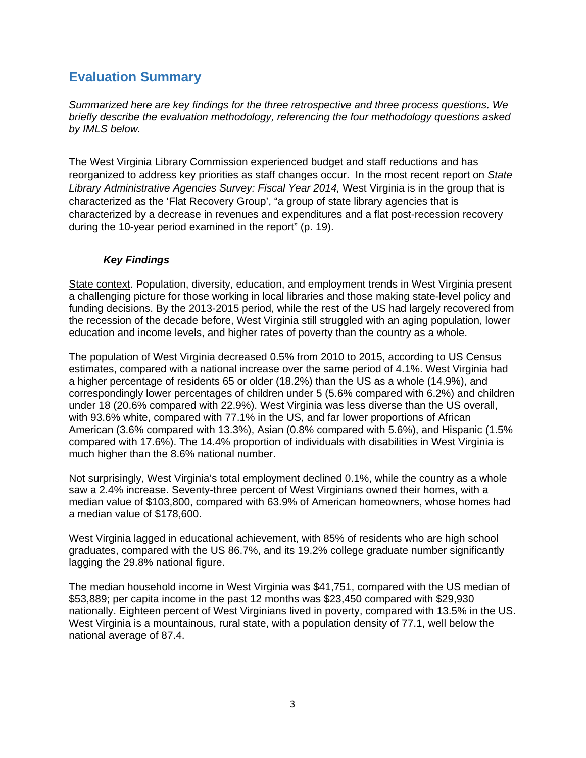## **Evaluation Summary**

*Summarized here are key findings for the three retrospective and three process questions. We briefly describe the evaluation methodology, referencing the four methodology questions asked by IMLS below.* 

The West Virginia Library Commission experienced budget and staff reductions and has reorganized to address key priorities as staff changes occur. In the most recent report on *State Library Administrative Agencies Survey: Fiscal Year 2014,* West Virginia is in the group that is characterized as the 'Flat Recovery Group', "a group of state library agencies that is characterized by a decrease in revenues and expenditures and a flat post-recession recovery during the 10-year period examined in the report" (p. 19).

#### *Key Findings*

State context. Population, diversity, education, and employment trends in West Virginia present a challenging picture for those working in local libraries and those making state-level policy and funding decisions. By the 2013-2015 period, while the rest of the US had largely recovered from the recession of the decade before, West Virginia still struggled with an aging population, lower education and income levels, and higher rates of poverty than the country as a whole.

The population of West Virginia decreased 0.5% from 2010 to 2015, according to US Census estimates, compared with a national increase over the same period of 4.1%. West Virginia had a higher percentage of residents 65 or older (18.2%) than the US as a whole (14.9%), and correspondingly lower percentages of children under 5 (5.6% compared with 6.2%) and children under 18 (20.6% compared with 22.9%). West Virginia was less diverse than the US overall, with 93.6% white, compared with 77.1% in the US, and far lower proportions of African American (3.6% compared with 13.3%), Asian (0.8% compared with 5.6%), and Hispanic (1.5% compared with 17.6%). The 14.4% proportion of individuals with disabilities in West Virginia is much higher than the 8.6% national number.

Not surprisingly, West Virginia's total employment declined 0.1%, while the country as a whole saw a 2.4% increase. Seventy-three percent of West Virginians owned their homes, with a median value of \$103,800, compared with 63.9% of American homeowners, whose homes had a median value of \$178,600.

West Virginia lagged in educational achievement, with 85% of residents who are high school graduates, compared with the US 86.7%, and its 19.2% college graduate number significantly lagging the 29.8% national figure.

The median household income in West Virginia was \$41,751, compared with the US median of \$53,889; per capita income in the past 12 months was \$23,450 compared with \$29,930 nationally. Eighteen percent of West Virginians lived in poverty, compared with 13.5% in the US. West Virginia is a mountainous, rural state, with a population density of 77.1, well below the national average of 87.4.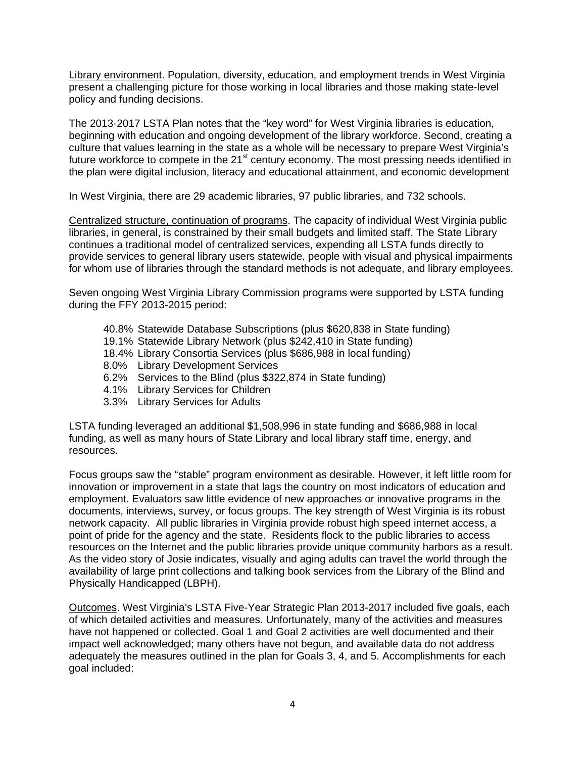Library environment. Population, diversity, education, and employment trends in West Virginia present a challenging picture for those working in local libraries and those making state-level policy and funding decisions.

The 2013-2017 LSTA Plan notes that the "key word" for West Virginia libraries is education, beginning with education and ongoing development of the library workforce. Second, creating a culture that values learning in the state as a whole will be necessary to prepare West Virginia's future workforce to compete in the 21<sup>st</sup> century economy. The most pressing needs identified in the plan were digital inclusion, literacy and educational attainment, and economic development

In West Virginia, there are 29 academic libraries, 97 public libraries, and 732 schools.

Centralized structure, continuation of programs. The capacity of individual West Virginia public libraries, in general, is constrained by their small budgets and limited staff. The State Library continues a traditional model of centralized services, expending all LSTA funds directly to provide services to general library users statewide, people with visual and physical impairments for whom use of libraries through the standard methods is not adequate, and library employees.

Seven ongoing West Virginia Library Commission programs were supported by LSTA funding during the FFY 2013-2015 period:

- 40.8% Statewide Database Subscriptions (plus \$620,838 in State funding)
- 19.1% Statewide Library Network (plus \$242,410 in State funding)
- 18.4% Library Consortia Services (plus \$686,988 in local funding)
- 8.0% Library Development Services
- 6.2% Services to the Blind (plus \$322,874 in State funding)
- 4.1% Library Services for Children
- 3.3% Library Services for Adults

LSTA funding leveraged an additional \$1,508,996 in state funding and \$686,988 in local funding, as well as many hours of State Library and local library staff time, energy, and resources.

Focus groups saw the "stable" program environment as desirable. However, it left little room for innovation or improvement in a state that lags the country on most indicators of education and employment. Evaluators saw little evidence of new approaches or innovative programs in the documents, interviews, survey, or focus groups. The key strength of West Virginia is its robust network capacity. All public libraries in Virginia provide robust high speed internet access, a point of pride for the agency and the state. Residents flock to the public libraries to access resources on the Internet and the public libraries provide unique community harbors as a result. As the video story of Josie indicates, visually and aging adults can travel the world through the availability of large print collections and talking book services from the Library of the Blind and Physically Handicapped (LBPH).

Outcomes. West Virginia's LSTA Five-Year Strategic Plan 2013-2017 included five goals, each of which detailed activities and measures. Unfortunately, many of the activities and measures have not happened or collected. Goal 1 and Goal 2 activities are well documented and their impact well acknowledged; many others have not begun, and available data do not address adequately the measures outlined in the plan for Goals 3, 4, and 5. Accomplishments for each goal included: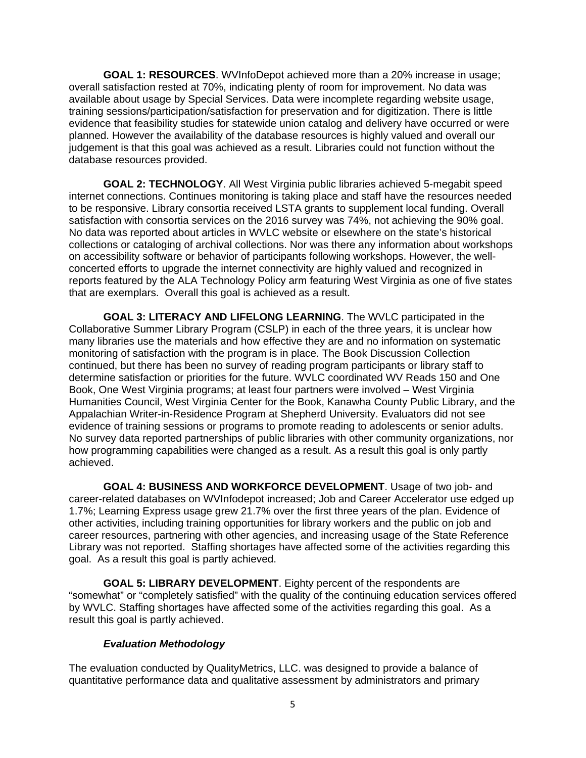**GOAL 1: RESOURCES**. WVInfoDepot achieved more than a 20% increase in usage; overall satisfaction rested at 70%, indicating plenty of room for improvement. No data was available about usage by Special Services. Data were incomplete regarding website usage, training sessions/participation/satisfaction for preservation and for digitization. There is little evidence that feasibility studies for statewide union catalog and delivery have occurred or were planned. However the availability of the database resources is highly valued and overall our judgement is that this goal was achieved as a result. Libraries could not function without the database resources provided.

**GOAL 2: TECHNOLOGY**. All West Virginia public libraries achieved 5-megabit speed internet connections. Continues monitoring is taking place and staff have the resources needed to be responsive. Library consortia received LSTA grants to supplement local funding. Overall satisfaction with consortia services on the 2016 survey was 74%, not achieving the 90% goal. No data was reported about articles in WVLC website or elsewhere on the state's historical collections or cataloging of archival collections. Nor was there any information about workshops on accessibility software or behavior of participants following workshops. However, the wellconcerted efforts to upgrade the internet connectivity are highly valued and recognized in reports featured by the ALA Technology Policy arm featuring West Virginia as one of five states that are exemplars. Overall this goal is achieved as a result.

**GOAL 3: LITERACY AND LIFELONG LEARNING**. The WVLC participated in the Collaborative Summer Library Program (CSLP) in each of the three years, it is unclear how many libraries use the materials and how effective they are and no information on systematic monitoring of satisfaction with the program is in place. The Book Discussion Collection continued, but there has been no survey of reading program participants or library staff to determine satisfaction or priorities for the future. WVLC coordinated WV Reads 150 and One Book, One West Virginia programs; at least four partners were involved – West Virginia Humanities Council, West Virginia Center for the Book, Kanawha County Public Library, and the Appalachian Writer-in-Residence Program at Shepherd University. Evaluators did not see evidence of training sessions or programs to promote reading to adolescents or senior adults. No survey data reported partnerships of public libraries with other community organizations, nor how programming capabilities were changed as a result. As a result this goal is only partly achieved.

**GOAL 4: BUSINESS AND WORKFORCE DEVELOPMENT**. Usage of two job- and career-related databases on WVInfodepot increased; Job and Career Accelerator use edged up 1.7%; Learning Express usage grew 21.7% over the first three years of the plan. Evidence of other activities, including training opportunities for library workers and the public on job and career resources, partnering with other agencies, and increasing usage of the State Reference Library was not reported. Staffing shortages have affected some of the activities regarding this goal. As a result this goal is partly achieved.

**GOAL 5: LIBRARY DEVELOPMENT**. Eighty percent of the respondents are "somewhat" or "completely satisfied" with the quality of the continuing education services offered by WVLC. Staffing shortages have affected some of the activities regarding this goal. As a result this goal is partly achieved.

#### *Evaluation Methodology*

The evaluation conducted by QualityMetrics, LLC. was designed to provide a balance of quantitative performance data and qualitative assessment by administrators and primary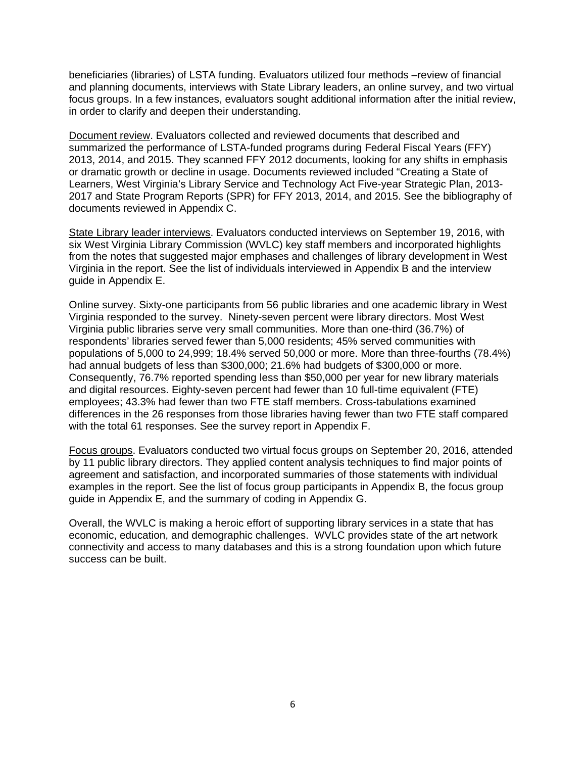beneficiaries (libraries) of LSTA funding. Evaluators utilized four methods –review of financial and planning documents, interviews with State Library leaders, an online survey, and two virtual focus groups. In a few instances, evaluators sought additional information after the initial review, in order to clarify and deepen their understanding.

Document review. Evaluators collected and reviewed documents that described and summarized the performance of LSTA-funded programs during Federal Fiscal Years (FFY) 2013, 2014, and 2015. They scanned FFY 2012 documents, looking for any shifts in emphasis or dramatic growth or decline in usage. Documents reviewed included "Creating a State of Learners, West Virginia's Library Service and Technology Act Five-year Strategic Plan, 2013- 2017 and State Program Reports (SPR) for FFY 2013, 2014, and 2015. See the bibliography of documents reviewed in Appendix C.

State Library leader interviews. Evaluators conducted interviews on September 19, 2016, with six West Virginia Library Commission (WVLC) key staff members and incorporated highlights from the notes that suggested major emphases and challenges of library development in West Virginia in the report. See the list of individuals interviewed in Appendix B and the interview guide in Appendix E.

Online survey. Sixty-one participants from 56 public libraries and one academic library in West Virginia responded to the survey. Ninety-seven percent were library directors. Most West Virginia public libraries serve very small communities. More than one-third (36.7%) of respondents' libraries served fewer than 5,000 residents; 45% served communities with populations of 5,000 to 24,999; 18.4% served 50,000 or more. More than three-fourths (78.4%) had annual budgets of less than \$300,000; 21.6% had budgets of \$300,000 or more. Consequently, 76.7% reported spending less than \$50,000 per year for new library materials and digital resources. Eighty-seven percent had fewer than 10 full-time equivalent (FTE) employees; 43.3% had fewer than two FTE staff members. Cross-tabulations examined differences in the 26 responses from those libraries having fewer than two FTE staff compared with the total 61 responses. See the survey report in Appendix F.

Focus groups. Evaluators conducted two virtual focus groups on September 20, 2016, attended by 11 public library directors. They applied content analysis techniques to find major points of agreement and satisfaction, and incorporated summaries of those statements with individual examples in the report. See the list of focus group participants in Appendix B, the focus group guide in Appendix E, and the summary of coding in Appendix G.

Overall, the WVLC is making a heroic effort of supporting library services in a state that has economic, education, and demographic challenges. WVLC provides state of the art network connectivity and access to many databases and this is a strong foundation upon which future success can be built.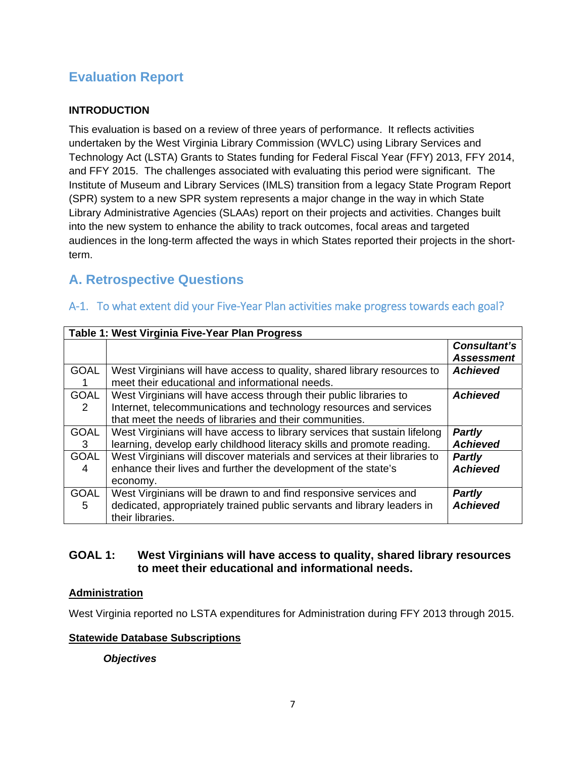## **Evaluation Report**

### **INTRODUCTION**

This evaluation is based on a review of three years of performance. It reflects activities undertaken by the West Virginia Library Commission (WVLC) using Library Services and Technology Act (LSTA) Grants to States funding for Federal Fiscal Year (FFY) 2013, FFY 2014, and FFY 2015. The challenges associated with evaluating this period were significant. The Institute of Museum and Library Services (IMLS) transition from a legacy State Program Report (SPR) system to a new SPR system represents a major change in the way in which State Library Administrative Agencies (SLAAs) report on their projects and activities. Changes built into the new system to enhance the ability to track outcomes, focal areas and targeted audiences in the long-term affected the ways in which States reported their projects in the shortterm.

## **A. Retrospective Questions**

|                  | Table 1: West Virginia Five-Year Plan Progress                                                                                                                                                      |                                   |
|------------------|-----------------------------------------------------------------------------------------------------------------------------------------------------------------------------------------------------|-----------------------------------|
|                  |                                                                                                                                                                                                     | Consultant's<br><b>Assessment</b> |
| <b>GOAL</b>      | West Virginians will have access to quality, shared library resources to<br>meet their educational and informational needs.                                                                         | <b>Achieved</b>                   |
| <b>GOAL</b><br>2 | West Virginians will have access through their public libraries to<br>Internet, telecommunications and technology resources and services<br>that meet the needs of libraries and their communities. | <b>Achieved</b>                   |
| <b>GOAL</b><br>3 | West Virginians will have access to library services that sustain lifelong<br>learning, develop early childhood literacy skills and promote reading.                                                | <b>Partly</b><br><b>Achieved</b>  |
| <b>GOAL</b><br>4 | West Virginians will discover materials and services at their libraries to<br>enhance their lives and further the development of the state's<br>economy.                                            | <b>Partly</b><br><b>Achieved</b>  |
| <b>GOAL</b><br>5 | West Virginians will be drawn to and find responsive services and<br>dedicated, appropriately trained public servants and library leaders in<br>their libraries.                                    | <b>Partly</b><br><b>Achieved</b>  |

### A-1. To what extent did your Five-Year Plan activities make progress towards each goal?

#### **GOAL 1: West Virginians will have access to quality, shared library resources to meet their educational and informational needs.**

#### **Administration**

West Virginia reported no LSTA expenditures for Administration during FFY 2013 through 2015.

#### **Statewide Database Subscriptions**

#### *Objectives*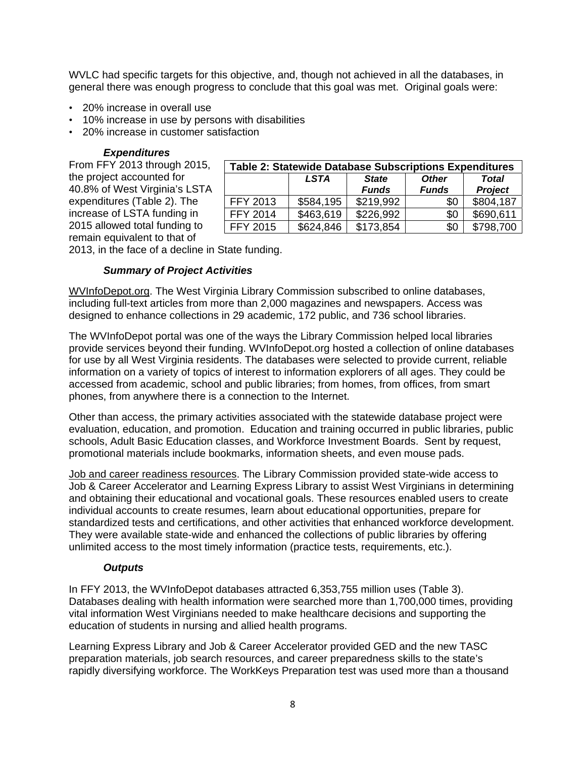WVLC had specific targets for this objective, and, though not achieved in all the databases, in general there was enough progress to conclude that this goal was met. Original goals were:

- 20% increase in overall use
- 10% increase in use by persons with disabilities
- 20% increase in customer satisfaction

#### *Expenditures*

From FFY 2013 through 2015, the project accounted for 40.8% of West Virginia's LSTA expenditures (Table 2). The increase of LSTA funding in 2015 allowed total funding to remain equivalent to that of

| <b>Table 2: Statewide Database Subscriptions Expenditures</b>                                          |           |           |     |           |  |  |  |  |
|--------------------------------------------------------------------------------------------------------|-----------|-----------|-----|-----------|--|--|--|--|
| <b>LSTA</b><br><b>State</b><br><b>Other</b><br><b>Total</b><br>Project<br><b>Funds</b><br><b>Funds</b> |           |           |     |           |  |  |  |  |
| <b>FFY 2013</b>                                                                                        | \$584,195 | \$219,992 | \$0 | \$804,187 |  |  |  |  |
| <b>FFY 2014</b>                                                                                        | \$463,619 | \$226,992 | \$0 | \$690,611 |  |  |  |  |
| <b>FFY 2015</b>                                                                                        | \$624,846 | \$173,854 | \$0 | \$798,700 |  |  |  |  |

2013, in the face of a decline in State funding.

#### *Summary of Project Activities*

WVInfoDepot.org. The West Virginia Library Commission subscribed to online databases, including full-text articles from more than 2,000 magazines and newspapers. Access was designed to enhance collections in 29 academic, 172 public, and 736 school libraries.

The WVInfoDepot portal was one of the ways the Library Commission helped local libraries provide services beyond their funding. WVInfoDepot.org hosted a collection of online databases for use by all West Virginia residents. The databases were selected to provide current, reliable information on a variety of topics of interest to information explorers of all ages. They could be accessed from academic, school and public libraries; from homes, from offices, from smart phones, from anywhere there is a connection to the Internet.

Other than access, the primary activities associated with the statewide database project were evaluation, education, and promotion. Education and training occurred in public libraries, public schools, Adult Basic Education classes, and Workforce Investment Boards. Sent by request, promotional materials include bookmarks, information sheets, and even mouse pads.

Job and career readiness resources. The Library Commission provided state-wide access to Job & Career Accelerator and Learning Express Library to assist West Virginians in determining and obtaining their educational and vocational goals. These resources enabled users to create individual accounts to create resumes, learn about educational opportunities, prepare for standardized tests and certifications, and other activities that enhanced workforce development. They were available state-wide and enhanced the collections of public libraries by offering unlimited access to the most timely information (practice tests, requirements, etc.).

#### *Outputs*

In FFY 2013, the WVInfoDepot databases attracted 6,353,755 million uses (Table 3). Databases dealing with health information were searched more than 1,700,000 times, providing vital information West Virginians needed to make healthcare decisions and supporting the education of students in nursing and allied health programs.

Learning Express Library and Job & Career Accelerator provided GED and the new TASC preparation materials, job search resources, and career preparedness skills to the state's rapidly diversifying workforce. The WorkKeys Preparation test was used more than a thousand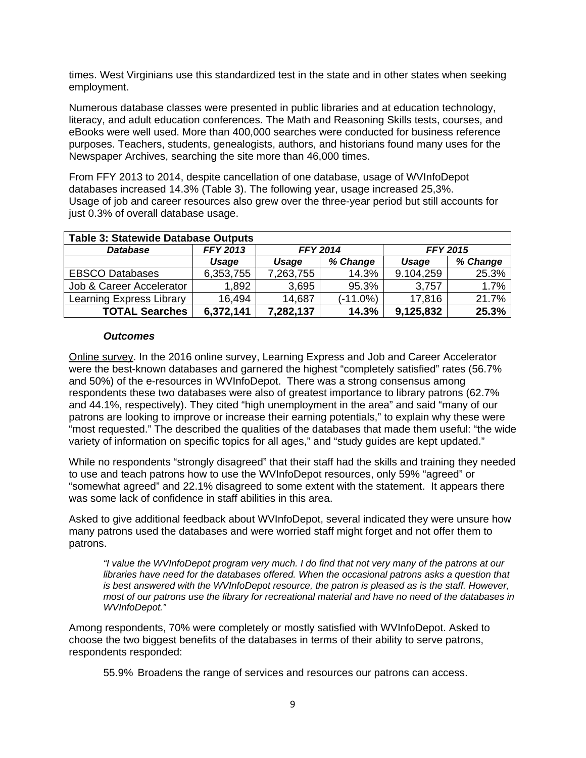times. West Virginians use this standardized test in the state and in other states when seeking employment.

Numerous database classes were presented in public libraries and at education technology, literacy, and adult education conferences. The Math and Reasoning Skills tests, courses, and eBooks were well used. More than 400,000 searches were conducted for business reference purposes. Teachers, students, genealogists, authors, and historians found many uses for the Newspaper Archives, searching the site more than 46,000 times.

From FFY 2013 to 2014, despite cancellation of one database, usage of WVInfoDepot databases increased 14.3% (Table 3). The following year, usage increased 25,3%. Usage of job and career resources also grew over the three-year period but still accounts for just 0.3% of overall database usage.

| <b>Table 3: Statewide Database Outputs</b> |                                    |           |             |           |                 |  |  |  |
|--------------------------------------------|------------------------------------|-----------|-------------|-----------|-----------------|--|--|--|
| <b>Database</b>                            | <b>FFY 2014</b><br><b>FFY 2013</b> |           |             |           | <b>FFY 2015</b> |  |  |  |
|                                            | Usage                              | Usage     | % Change    | Usage     | % Change        |  |  |  |
| <b>EBSCO Databases</b>                     | 6,353,755                          | 7,263,755 | 14.3%       | 9.104,259 | 25.3%           |  |  |  |
| Job & Career Accelerator                   | 1,892                              | 3,695     | 95.3%       | 3,757     | 1.7%            |  |  |  |
| <b>Learning Express Library</b>            | 16,494                             | 14,687    | $(-11.0\%)$ | 17.816    | 21.7%           |  |  |  |
| <b>TOTAL Searches</b>                      | 6,372,141                          | 7,282,137 | 14.3%       | 9,125,832 | 25.3%           |  |  |  |

#### *Outcomes*

Online survey. In the 2016 online survey, Learning Express and Job and Career Accelerator were the best-known databases and garnered the highest "completely satisfied" rates (56.7% and 50%) of the e-resources in WVInfoDepot. There was a strong consensus among respondents these two databases were also of greatest importance to library patrons (62.7% and 44.1%, respectively). They cited "high unemployment in the area" and said "many of our patrons are looking to improve or increase their earning potentials," to explain why these were "most requested." The described the qualities of the databases that made them useful: "the wide variety of information on specific topics for all ages," and "study guides are kept updated."

While no respondents "strongly disagreed" that their staff had the skills and training they needed to use and teach patrons how to use the WVInfoDepot resources, only 59% "agreed" or "somewhat agreed" and 22.1% disagreed to some extent with the statement. It appears there was some lack of confidence in staff abilities in this area.

Asked to give additional feedback about WVInfoDepot, several indicated they were unsure how many patrons used the databases and were worried staff might forget and not offer them to patrons.

*"I value the WVInfoDepot program very much. I do find that not very many of the patrons at our*  libraries have need for the databases offered. When the occasional patrons asks a question that is best answered with the WVInfoDepot resource, the patron is pleased as is the staff. However, *most of our patrons use the library for recreational material and have no need of the databases in WVInfoDepot."* 

Among respondents, 70% were completely or mostly satisfied with WVInfoDepot. Asked to choose the two biggest benefits of the databases in terms of their ability to serve patrons, respondents responded:

55.9% Broadens the range of services and resources our patrons can access.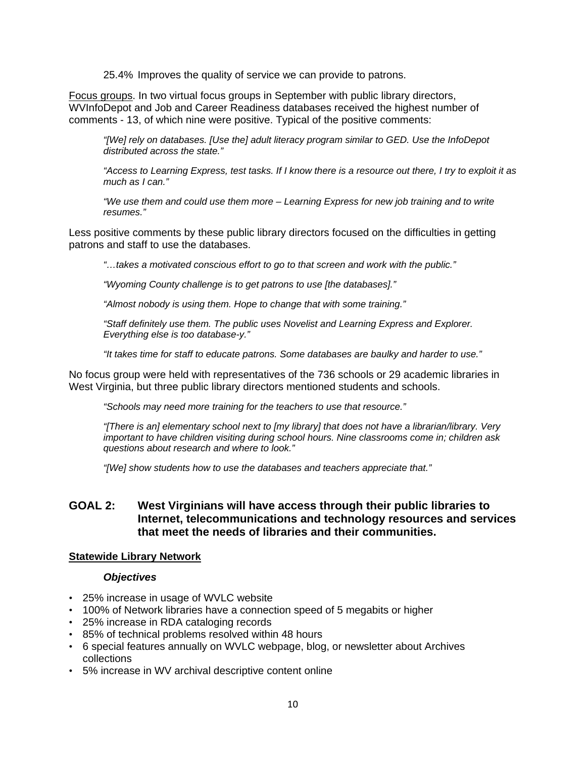25.4% Improves the quality of service we can provide to patrons.

Focus groups. In two virtual focus groups in September with public library directors, WVInfoDepot and Job and Career Readiness databases received the highest number of comments - 13, of which nine were positive. Typical of the positive comments:

*"[We] rely on databases. [Use the] adult literacy program similar to GED. Use the InfoDepot distributed across the state."* 

*"Access to Learning Express, test tasks. If I know there is a resource out there, I try to exploit it as much as I can."* 

*"We use them and could use them more – Learning Express for new job training and to write resumes."* 

Less positive comments by these public library directors focused on the difficulties in getting patrons and staff to use the databases.

*"…takes a motivated conscious effort to go to that screen and work with the public."* 

*"Wyoming County challenge is to get patrons to use [the databases]."* 

*"Almost nobody is using them. Hope to change that with some training."* 

*"Staff definitely use them. The public uses Novelist and Learning Express and Explorer. Everything else is too database-y."* 

*"It takes time for staff to educate patrons. Some databases are baulky and harder to use."* 

No focus group were held with representatives of the 736 schools or 29 academic libraries in West Virginia, but three public library directors mentioned students and schools.

*"Schools may need more training for the teachers to use that resource."* 

*"[There is an] elementary school next to [my library] that does not have a librarian/library. Very important to have children visiting during school hours. Nine classrooms come in; children ask questions about research and where to look."* 

*"[We] show students how to use the databases and teachers appreciate that."* 

#### **GOAL 2: West Virginians will have access through their public libraries to Internet, telecommunications and technology resources and services that meet the needs of libraries and their communities.**

#### **Statewide Library Network**

#### *Objectives*

- 25% increase in usage of WVLC website
- 100% of Network libraries have a connection speed of 5 megabits or higher
- 25% increase in RDA cataloging records
- 85% of technical problems resolved within 48 hours
- 6 special features annually on WVLC webpage, blog, or newsletter about Archives collections
- 5% increase in WV archival descriptive content online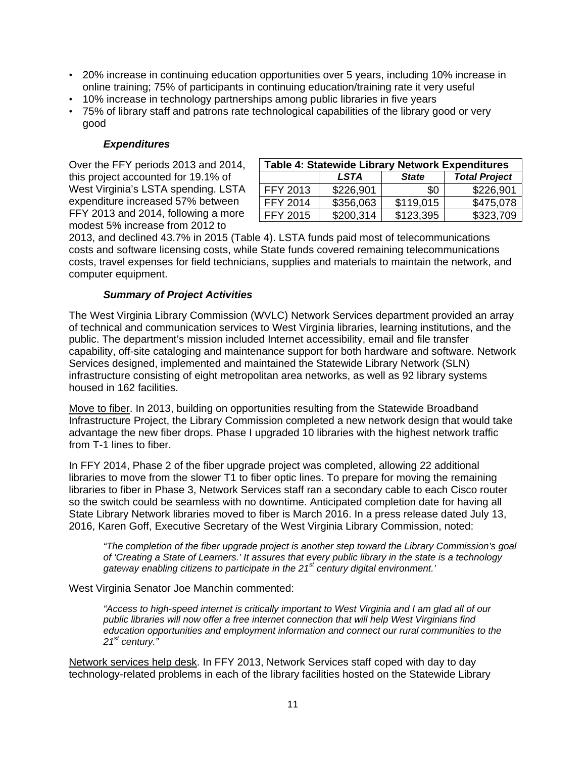- 20% increase in continuing education opportunities over 5 years, including 10% increase in online training; 75% of participants in continuing education/training rate it very useful
- 10% increase in technology partnerships among public libraries in five years
- 75% of library staff and patrons rate technological capabilities of the library good or very good

#### *Expenditures*

Over the FFY periods 2013 and 2014, this project accounted for 19.1% of West Virginia's LSTA spending. LSTA expenditure increased 57% between FFY 2013 and 2014, following a more modest 5% increase from 2012 to

| <b>Table 4: Statewide Library Network Expenditures</b> |           |           |           |  |  |  |  |
|--------------------------------------------------------|-----------|-----------|-----------|--|--|--|--|
| <b>Total Project</b><br><b>State</b><br><b>LSTA</b>    |           |           |           |  |  |  |  |
| FFY 2013                                               | \$226,901 | \$0       | \$226,901 |  |  |  |  |
| FFY 2014                                               | \$356,063 | \$119,015 | \$475,078 |  |  |  |  |
| <b>FFY 2015</b>                                        | \$200,314 | \$123,395 | \$323,709 |  |  |  |  |

2013, and declined 43.7% in 2015 (Table 4). LSTA funds paid most of telecommunications costs and software licensing costs, while State funds covered remaining telecommunications costs, travel expenses for field technicians, supplies and materials to maintain the network, and computer equipment.

#### *Summary of Project Activities*

The West Virginia Library Commission (WVLC) Network Services department provided an array of technical and communication services to West Virginia libraries, learning institutions, and the public. The department's mission included Internet accessibility, email and file transfer capability, off-site cataloging and maintenance support for both hardware and software. Network Services designed, implemented and maintained the Statewide Library Network (SLN) infrastructure consisting of eight metropolitan area networks, as well as 92 library systems housed in 162 facilities.

Move to fiber. In 2013, building on opportunities resulting from the Statewide Broadband Infrastructure Project, the Library Commission completed a new network design that would take advantage the new fiber drops. Phase I upgraded 10 libraries with the highest network traffic from T-1 lines to fiber.

In FFY 2014, Phase 2 of the fiber upgrade project was completed, allowing 22 additional libraries to move from the slower T1 to fiber optic lines. To prepare for moving the remaining libraries to fiber in Phase 3, Network Services staff ran a secondary cable to each Cisco router so the switch could be seamless with no downtime. Anticipated completion date for having all State Library Network libraries moved to fiber is March 2016. In a press release dated July 13, 2016, Karen Goff, Executive Secretary of the West Virginia Library Commission, noted:

*"The completion of the fiber upgrade project is another step toward the Library Commission's goal of 'Creating a State of Learners.' It assures that every public library in the state is a technology gateway enabling citizens to participate in the 21st century digital environment.'* 

West Virginia Senator Joe Manchin commented:

*"Access to high-speed internet is critically important to West Virginia and I am glad all of our public libraries will now offer a free internet connection that will help West Virginians find education opportunities and employment information and connect our rural communities to the 21st century."* 

Network services help desk. In FFY 2013, Network Services staff coped with day to day technology-related problems in each of the library facilities hosted on the Statewide Library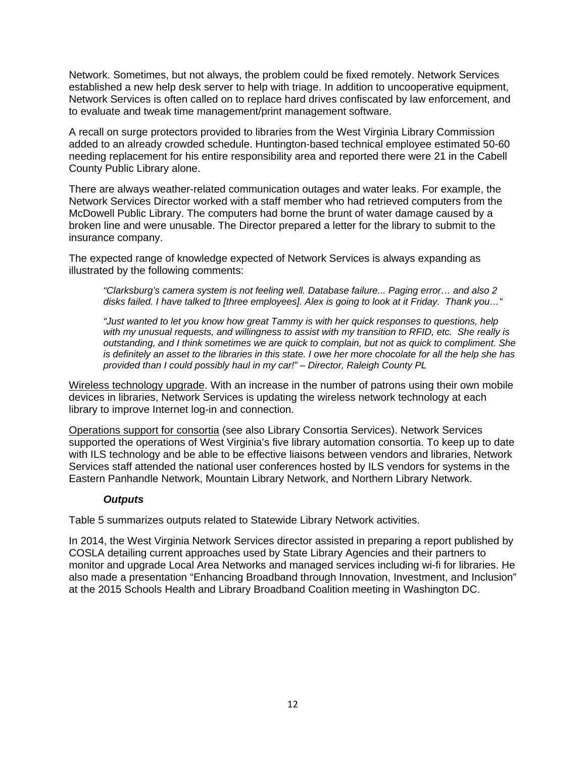Network. Sometimes, but not always, the problem could be fixed remotely. Network Services established a new help desk server to help with triage. In addition to uncooperative equipment, Network Services is often called on to replace hard drives confiscated by law enforcement, and to evaluate and tweak time management/print management software.

A recall on surge protectors provided to libraries from the West Virginia Library Commission added to an already crowded schedule. Huntington-based technical employee estimated 50-60 needing replacement for his entire responsibility area and reported there were 21 in the Cabell County Public Library alone.

There are always weather-related communication outages and water leaks. For example, the Network Services Director worked with a staff member who had retrieved computers from the McDowell Public Library. The computers had borne the brunt of water damage caused by a broken line and were unusable. The Director prepared a letter for the library to submit to the insurance company.

The expected range of knowledge expected of Network Services is always expanding as illustrated by the following comments:

*"Clarksburg's camera system is not feeling well. Database failure... Paging error… and also 2 disks failed. I have talked to [three employees]. Alex is going to look at it Friday. Thank you…"* 

*"Just wanted to let you know how great Tammy is with her quick responses to questions, help with my unusual requests, and willingness to assist with my transition to RFID, etc. She really is outstanding, and I think sometimes we are quick to complain, but not as quick to compliment. She is definitely an asset to the libraries in this state. I owe her more chocolate for all the help she has provided than I could possibly haul in my car!" – Director, Raleigh County PL* 

Wireless technology upgrade. With an increase in the number of patrons using their own mobile devices in libraries, Network Services is updating the wireless network technology at each library to improve Internet log-in and connection.

Operations support for consortia (see also Library Consortia Services). Network Services supported the operations of West Virginia's five library automation consortia. To keep up to date with ILS technology and be able to be effective liaisons between vendors and libraries, Network Services staff attended the national user conferences hosted by ILS vendors for systems in the Eastern Panhandle Network, Mountain Library Network, and Northern Library Network.

#### *Outputs*

Table 5 summarizes outputs related to Statewide Library Network activities.

In 2014, the West Virginia Network Services director assisted in preparing a report published by COSLA detailing current approaches used by State Library Agencies and their partners to monitor and upgrade Local Area Networks and managed services including wi-fi for libraries. He also made a presentation "Enhancing Broadband through Innovation, Investment, and Inclusion" at the 2015 Schools Health and Library Broadband Coalition meeting in Washington DC.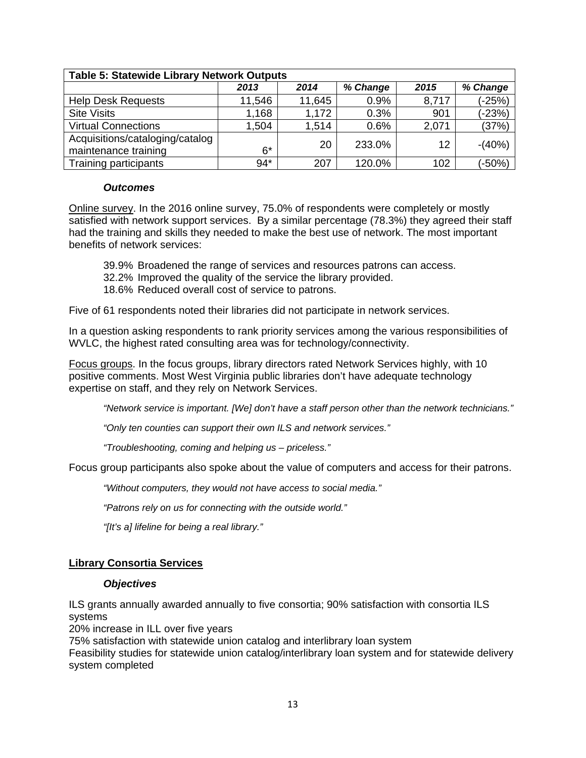| <b>Table 5: Statewide Library Network Outputs</b>       |        |        |          |       |          |  |  |  |
|---------------------------------------------------------|--------|--------|----------|-------|----------|--|--|--|
|                                                         | 2013   | 2014   | % Change | 2015  | % Change |  |  |  |
| <b>Help Desk Requests</b>                               | 11,546 | 11,645 | 0.9%     | 8,717 | (-25%)   |  |  |  |
| <b>Site Visits</b>                                      | 1,168  | 1,172  | 0.3%     | 901   | $(-23%)$ |  |  |  |
| <b>Virtual Connections</b>                              | 1,504  | 1,514  | 0.6%     | 2,071 | (37%)    |  |  |  |
| Acquisitions/cataloging/catalog<br>maintenance training | $6*$   | 20     | 233.0%   | 12    | $-(40%)$ |  |  |  |
| Training participants                                   | $94*$  | 207    | 120.0%   | 102   | (-50%)   |  |  |  |

#### *Outcomes*

Online survey. In the 2016 online survey, 75.0% of respondents were completely or mostly satisfied with network support services. By a similar percentage (78.3%) they agreed their staff had the training and skills they needed to make the best use of network. The most important benefits of network services:

- 39.9% Broadened the range of services and resources patrons can access.
- 32.2% Improved the quality of the service the library provided.
- 18.6% Reduced overall cost of service to patrons.

Five of 61 respondents noted their libraries did not participate in network services.

In a question asking respondents to rank priority services among the various responsibilities of WVLC, the highest rated consulting area was for technology/connectivity.

Focus groups. In the focus groups, library directors rated Network Services highly, with 10 positive comments. Most West Virginia public libraries don't have adequate technology expertise on staff, and they rely on Network Services.

*"Network service is important. [We] don't have a staff person other than the network technicians."* 

*"Only ten counties can support their own ILS and network services."* 

*"Troubleshooting, coming and helping us – priceless."* 

Focus group participants also spoke about the value of computers and access for their patrons.

*"Without computers, they would not have access to social media."* 

*"Patrons rely on us for connecting with the outside world."* 

*"[It's a] lifeline for being a real library."* 

#### **Library Consortia Services**

#### *Objectives*

ILS grants annually awarded annually to five consortia; 90% satisfaction with consortia ILS systems

20% increase in ILL over five years

75% satisfaction with statewide union catalog and interlibrary loan system

Feasibility studies for statewide union catalog/interlibrary loan system and for statewide delivery system completed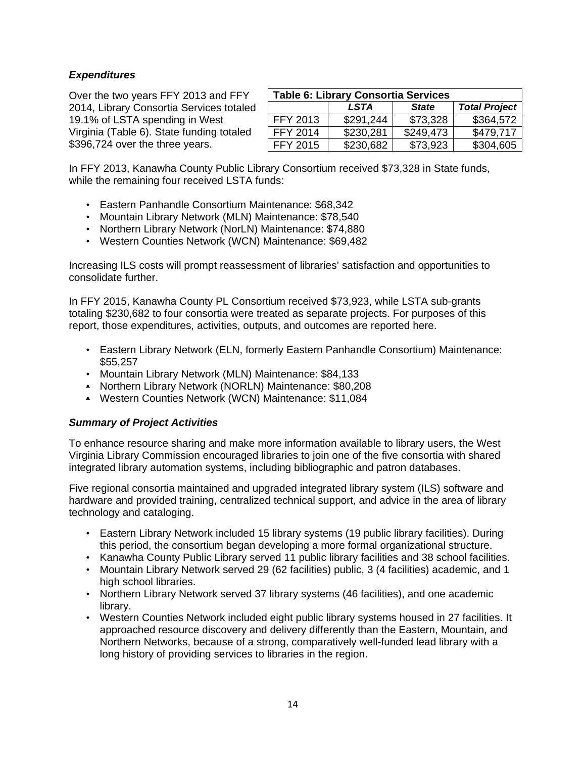#### *Expenditures*

Over the two years FFY 2013 and FFY 2014, Library Consortia Services totaled 19.1% of LSTA spending in West Virginia (Table 6). State funding totaled \$396,724 over the three years.

| <b>Table 6: Library Consortia Services</b>          |           |           |           |  |  |  |  |
|-----------------------------------------------------|-----------|-----------|-----------|--|--|--|--|
| <b>Total Project</b><br><b>State</b><br><b>LSTA</b> |           |           |           |  |  |  |  |
| FFY 2013                                            | \$291.244 | \$73,328  | \$364,572 |  |  |  |  |
| <b>FFY 2014</b>                                     | \$230,281 | \$249,473 | \$479,717 |  |  |  |  |
| <b>FFY 2015</b>                                     | \$230,682 | \$73,923  | \$304,605 |  |  |  |  |

In FFY 2013, Kanawha County Public Library Consortium received \$73,328 in State funds, while the remaining four received LSTA funds:

- Eastern Panhandle Consortium Maintenance: \$68,342
- Mountain Library Network (MLN) Maintenance: \$78,540
- Northern Library Network (NorLN) Maintenance: \$74,880
- Western Counties Network (WCN) Maintenance: \$69,482

Increasing ILS costs will prompt reassessment of libraries' satisfaction and opportunities to consolidate further.

In FFY 2015, Kanawha County PL Consortium received \$73,923, while LSTA sub-grants totaling \$230,682 to four consortia were treated as separate projects. For purposes of this report, those expenditures, activities, outputs, and outcomes are reported here.

- Eastern Library Network (ELN, formerly Eastern Panhandle Consortium) Maintenance: \$55,257
- Mountain Library Network (MLN) Maintenance: \$84,133
- Northern Library Network (NORLN) Maintenance: \$80,208
- Western Counties Network (WCN) Maintenance: \$11,084

#### *Summary of Project Activities*

To enhance resource sharing and make more information available to library users, the West Virginia Library Commission encouraged libraries to join one of the five consortia with shared integrated library automation systems, including bibliographic and patron databases.

Five regional consortia maintained and upgraded integrated library system (ILS) software and hardware and provided training, centralized technical support, and advice in the area of library technology and cataloging.

- Eastern Library Network included 15 library systems (19 public library facilities). During this period, the consortium began developing a more formal organizational structure.
- Kanawha County Public Library served 11 public library facilities and 38 school facilities.
- Mountain Library Network served 29 (62 facilities) public, 3 (4 facilities) academic, and 1 high school libraries.
- Northern Library Network served 37 library systems (46 facilities), and one academic library.
- Western Counties Network included eight public library systems housed in 27 facilities. It approached resource discovery and delivery differently than the Eastern, Mountain, and Northern Networks, because of a strong, comparatively well-funded lead library with a long history of providing services to libraries in the region.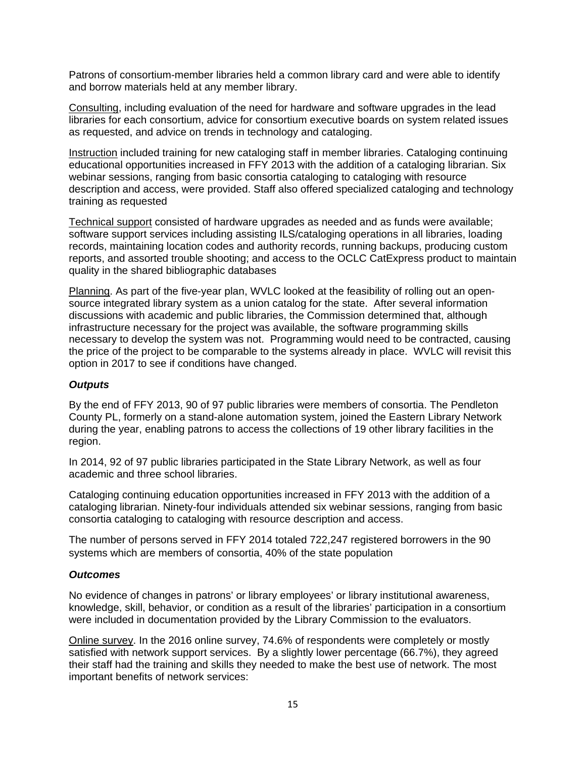Patrons of consortium-member libraries held a common library card and were able to identify and borrow materials held at any member library.

Consulting, including evaluation of the need for hardware and software upgrades in the lead libraries for each consortium, advice for consortium executive boards on system related issues as requested, and advice on trends in technology and cataloging.

Instruction included training for new cataloging staff in member libraries. Cataloging continuing educational opportunities increased in FFY 2013 with the addition of a cataloging librarian. Six webinar sessions, ranging from basic consortia cataloging to cataloging with resource description and access, were provided. Staff also offered specialized cataloging and technology training as requested

Technical support consisted of hardware upgrades as needed and as funds were available; software support services including assisting ILS/cataloging operations in all libraries, loading records, maintaining location codes and authority records, running backups, producing custom reports, and assorted trouble shooting; and access to the OCLC CatExpress product to maintain quality in the shared bibliographic databases

Planning. As part of the five-year plan, WVLC looked at the feasibility of rolling out an opensource integrated library system as a union catalog for the state. After several information discussions with academic and public libraries, the Commission determined that, although infrastructure necessary for the project was available, the software programming skills necessary to develop the system was not. Programming would need to be contracted, causing the price of the project to be comparable to the systems already in place. WVLC will revisit this option in 2017 to see if conditions have changed.

#### *Outputs*

By the end of FFY 2013, 90 of 97 public libraries were members of consortia. The Pendleton County PL, formerly on a stand-alone automation system, joined the Eastern Library Network during the year, enabling patrons to access the collections of 19 other library facilities in the region.

In 2014, 92 of 97 public libraries participated in the State Library Network, as well as four academic and three school libraries.

Cataloging continuing education opportunities increased in FFY 2013 with the addition of a cataloging librarian. Ninety-four individuals attended six webinar sessions, ranging from basic consortia cataloging to cataloging with resource description and access.

The number of persons served in FFY 2014 totaled 722,247 registered borrowers in the 90 systems which are members of consortia, 40% of the state population

#### *Outcomes*

No evidence of changes in patrons' or library employees' or library institutional awareness, knowledge, skill, behavior, or condition as a result of the libraries' participation in a consortium were included in documentation provided by the Library Commission to the evaluators.

Online survey. In the 2016 online survey, 74.6% of respondents were completely or mostly satisfied with network support services. By a slightly lower percentage (66.7%), they agreed their staff had the training and skills they needed to make the best use of network. The most important benefits of network services: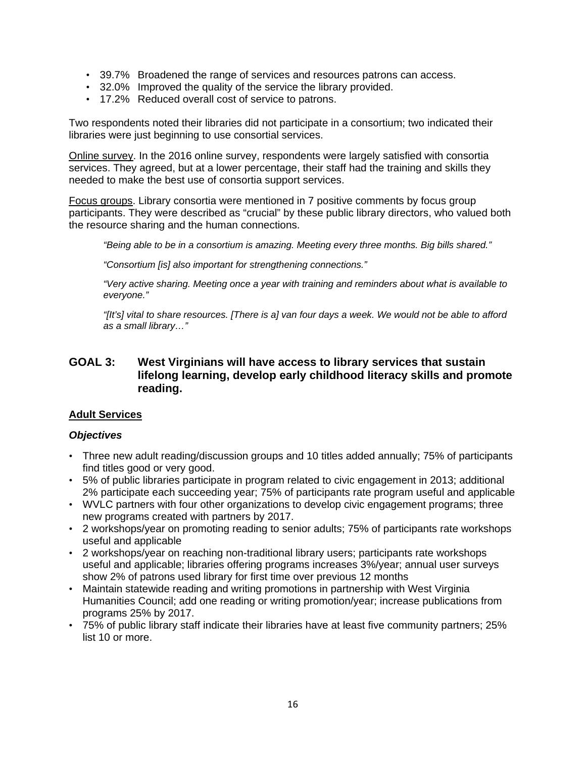- 39.7% Broadened the range of services and resources patrons can access.
- 32.0% Improved the quality of the service the library provided.
- 17.2% Reduced overall cost of service to patrons.

Two respondents noted their libraries did not participate in a consortium; two indicated their libraries were just beginning to use consortial services.

Online survey. In the 2016 online survey, respondents were largely satisfied with consortia services. They agreed, but at a lower percentage, their staff had the training and skills they needed to make the best use of consortia support services.

Focus groups. Library consortia were mentioned in 7 positive comments by focus group participants. They were described as "crucial" by these public library directors, who valued both the resource sharing and the human connections.

*"Being able to be in a consortium is amazing. Meeting every three months. Big bills shared."* 

*"Consortium [is] also important for strengthening connections."* 

*"Very active sharing. Meeting once a year with training and reminders about what is available to everyone."* 

*"[It's] vital to share resources. [There is a] van four days a week. We would not be able to afford as a small library…"* 

#### **GOAL 3: West Virginians will have access to library services that sustain lifelong learning, develop early childhood literacy skills and promote reading.**

#### **Adult Services**

#### *Objectives*

- Three new adult reading/discussion groups and 10 titles added annually; 75% of participants find titles good or very good.
- 5% of public libraries participate in program related to civic engagement in 2013; additional 2% participate each succeeding year; 75% of participants rate program useful and applicable
- WVLC partners with four other organizations to develop civic engagement programs; three new programs created with partners by 2017.
- 2 workshops/year on promoting reading to senior adults; 75% of participants rate workshops useful and applicable
- 2 workshops/year on reaching non-traditional library users; participants rate workshops useful and applicable; libraries offering programs increases 3%/year; annual user surveys show 2% of patrons used library for first time over previous 12 months
- Maintain statewide reading and writing promotions in partnership with West Virginia Humanities Council; add one reading or writing promotion/year; increase publications from programs 25% by 2017.
- 75% of public library staff indicate their libraries have at least five community partners; 25% list 10 or more.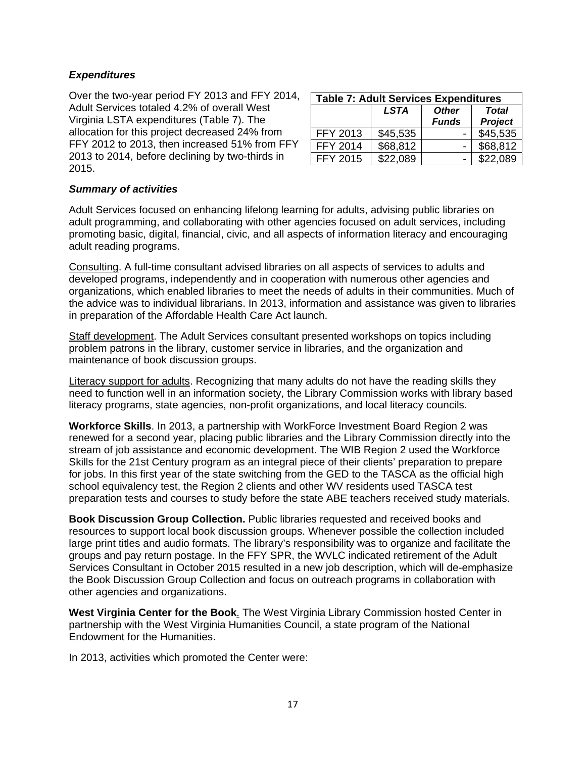#### *Expenditures*

Over the two-year period FY 2013 and FFY 2014, Adult Services totaled 4.2% of overall West Virginia LSTA expenditures (Table 7). The allocation for this project decreased 24% from FFY 2012 to 2013, then increased 51% from FFY 2013 to 2014, before declining by two-thirds in 2015.

| <b>Table 7: Adult Services Expenditures</b>                                   |          |  |          |  |  |  |  |
|-------------------------------------------------------------------------------|----------|--|----------|--|--|--|--|
| <b>LSTA</b><br><b>Other</b><br><b>Total</b><br><b>Project</b><br><b>Funds</b> |          |  |          |  |  |  |  |
| <b>FFY 2013</b>                                                               | \$45,535 |  | \$45,535 |  |  |  |  |
| <b>FFY 2014</b>                                                               | \$68,812 |  | \$68,812 |  |  |  |  |
| <b>FFY 2015</b>                                                               | \$22.089 |  | \$22.089 |  |  |  |  |

#### *Summary of activities*

Adult Services focused on enhancing lifelong learning for adults, advising public libraries on adult programming, and collaborating with other agencies focused on adult services, including promoting basic, digital, financial, civic, and all aspects of information literacy and encouraging adult reading programs.

Consulting. A full-time consultant advised libraries on all aspects of services to adults and developed programs, independently and in cooperation with numerous other agencies and organizations, which enabled libraries to meet the needs of adults in their communities. Much of the advice was to individual librarians. In 2013, information and assistance was given to libraries in preparation of the Affordable Health Care Act launch.

Staff development. The Adult Services consultant presented workshops on topics including problem patrons in the library, customer service in libraries, and the organization and maintenance of book discussion groups.

Literacy support for adults. Recognizing that many adults do not have the reading skills they need to function well in an information society, the Library Commission works with library based literacy programs, state agencies, non-profit organizations, and local literacy councils.

**Workforce Skills**. In 2013, a partnership with WorkForce Investment Board Region 2 was renewed for a second year, placing public libraries and the Library Commission directly into the stream of job assistance and economic development. The WIB Region 2 used the Workforce Skills for the 21st Century program as an integral piece of their clients' preparation to prepare for jobs. In this first year of the state switching from the GED to the TASCA as the official high school equivalency test, the Region 2 clients and other WV residents used TASCA test preparation tests and courses to study before the state ABE teachers received study materials.

**Book Discussion Group Collection.** Public libraries requested and received books and resources to support local book discussion groups. Whenever possible the collection included large print titles and audio formats. The library's responsibility was to organize and facilitate the groups and pay return postage. In the FFY SPR, the WVLC indicated retirement of the Adult Services Consultant in October 2015 resulted in a new job description, which will de-emphasize the Book Discussion Group Collection and focus on outreach programs in collaboration with other agencies and organizations.

**West Virginia Center for the Book**. The West Virginia Library Commission hosted Center in partnership with the West Virginia Humanities Council, a state program of the National Endowment for the Humanities.

In 2013, activities which promoted the Center were: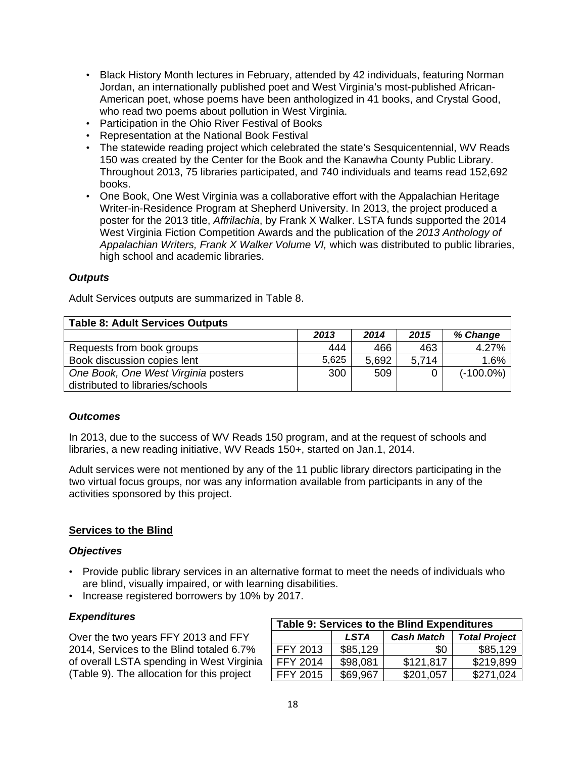- Black History Month lectures in February, attended by 42 individuals, featuring Norman Jordan, an internationally published poet and West Virginia's most-published African-American poet, whose poems have been anthologized in 41 books, and Crystal Good, who read two poems about pollution in West Virginia.
- Participation in the Ohio River Festival of Books
- Representation at the National Book Festival
- The statewide reading project which celebrated the state's Sesquicentennial, WV Reads 150 was created by the Center for the Book and the Kanawha County Public Library. Throughout 2013, 75 libraries participated, and 740 individuals and teams read 152,692 books.
- One Book, One West Virginia was a collaborative effort with the Appalachian Heritage Writer-in-Residence Program at Shepherd University. In 2013, the project produced a poster for the 2013 title, *Affrilachia*, by Frank X Walker. LSTA funds supported the 2014 West Virginia Fiction Competition Awards and the publication of the *2013 Anthology of Appalachian Writers, Frank X Walker Volume VI,* which was distributed to public libraries, high school and academic libraries.

#### *Outputs*

Adult Services outputs are summarized in Table 8.

| <b>Table 8: Adult Services Outputs</b> |       |       |       |              |
|----------------------------------------|-------|-------|-------|--------------|
|                                        | 2013  | 2014  | 2015  | % Change     |
| Requests from book groups              | 444   | 466   | 463   | 4.27%        |
| Book discussion copies lent            | 5,625 | 5,692 | 5,714 | 1.6%         |
| One Book, One West Virginia posters    | 300   | 509   |       | $(-100.0\%)$ |
| distributed to libraries/schools       |       |       |       |              |

#### *Outcomes*

In 2013, due to the success of WV Reads 150 program, and at the request of schools and libraries, a new reading initiative, WV Reads 150+, started on Jan.1, 2014.

Adult services were not mentioned by any of the 11 public library directors participating in the two virtual focus groups, nor was any information available from participants in any of the activities sponsored by this project.

#### **Services to the Blind**

#### *Objectives*

- Provide public library services in an alternative format to meet the needs of individuals who are blind, visually impaired, or with learning disabilities.
- Increase registered borrowers by 10% by 2017.

#### *Expenditures*

Over the two years FFY 2013 and FFY 2014, Services to the Blind totaled 6.7% of overall LSTA spending in West Virginia (Table 9). The allocation for this project

| <b>Table 9: Services to the Blind Expenditures</b>       |          |           |           |  |  |  |  |
|----------------------------------------------------------|----------|-----------|-----------|--|--|--|--|
| <b>Total Project</b><br><b>Cash Match</b><br><b>LSTA</b> |          |           |           |  |  |  |  |
| FFY 2013                                                 | \$85,129 | \$0       | \$85,129  |  |  |  |  |
| <b>FFY 2014</b>                                          | \$98,081 | \$121,817 | \$219,899 |  |  |  |  |
| <b>FFY 2015</b>                                          | \$69,967 | \$201,057 | \$271.024 |  |  |  |  |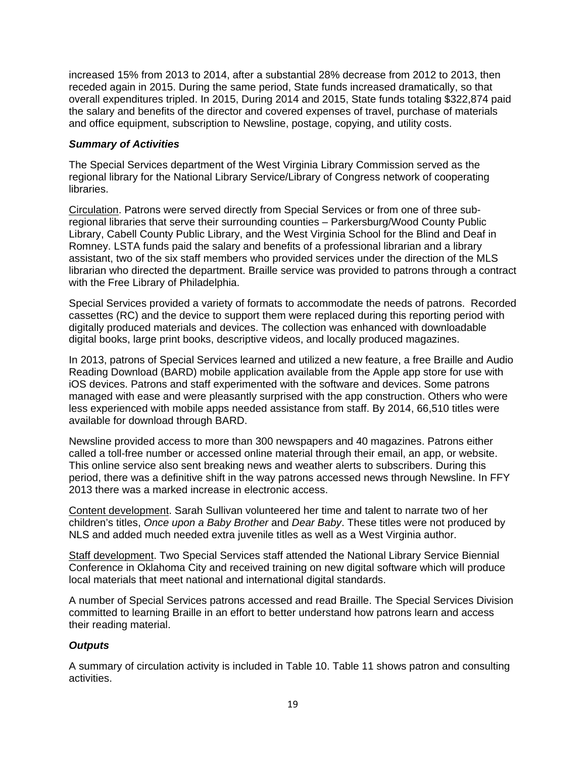increased 15% from 2013 to 2014, after a substantial 28% decrease from 2012 to 2013, then receded again in 2015. During the same period, State funds increased dramatically, so that overall expenditures tripled. In 2015, During 2014 and 2015, State funds totaling \$322,874 paid the salary and benefits of the director and covered expenses of travel, purchase of materials and office equipment, subscription to Newsline, postage, copying, and utility costs.

#### *Summary of Activities*

The Special Services department of the West Virginia Library Commission served as the regional library for the National Library Service/Library of Congress network of cooperating libraries.

Circulation. Patrons were served directly from Special Services or from one of three subregional libraries that serve their surrounding counties – Parkersburg/Wood County Public Library, Cabell County Public Library, and the West Virginia School for the Blind and Deaf in Romney. LSTA funds paid the salary and benefits of a professional librarian and a library assistant, two of the six staff members who provided services under the direction of the MLS librarian who directed the department. Braille service was provided to patrons through a contract with the Free Library of Philadelphia.

Special Services provided a variety of formats to accommodate the needs of patrons. Recorded cassettes (RC) and the device to support them were replaced during this reporting period with digitally produced materials and devices. The collection was enhanced with downloadable digital books, large print books, descriptive videos, and locally produced magazines.

In 2013, patrons of Special Services learned and utilized a new feature, a free Braille and Audio Reading Download (BARD) mobile application available from the Apple app store for use with iOS devices. Patrons and staff experimented with the software and devices. Some patrons managed with ease and were pleasantly surprised with the app construction. Others who were less experienced with mobile apps needed assistance from staff. By 2014, 66,510 titles were available for download through BARD.

Newsline provided access to more than 300 newspapers and 40 magazines. Patrons either called a toll-free number or accessed online material through their email, an app, or website. This online service also sent breaking news and weather alerts to subscribers. During this period, there was a definitive shift in the way patrons accessed news through Newsline. In FFY 2013 there was a marked increase in electronic access.

Content development. Sarah Sullivan volunteered her time and talent to narrate two of her children's titles, *Once upon a Baby Brother* and *Dear Baby*. These titles were not produced by NLS and added much needed extra juvenile titles as well as a West Virginia author.

Staff development. Two Special Services staff attended the National Library Service Biennial Conference in Oklahoma City and received training on new digital software which will produce local materials that meet national and international digital standards.

A number of Special Services patrons accessed and read Braille. The Special Services Division committed to learning Braille in an effort to better understand how patrons learn and access their reading material.

#### *Outputs*

A summary of circulation activity is included in Table 10. Table 11 shows patron and consulting activities.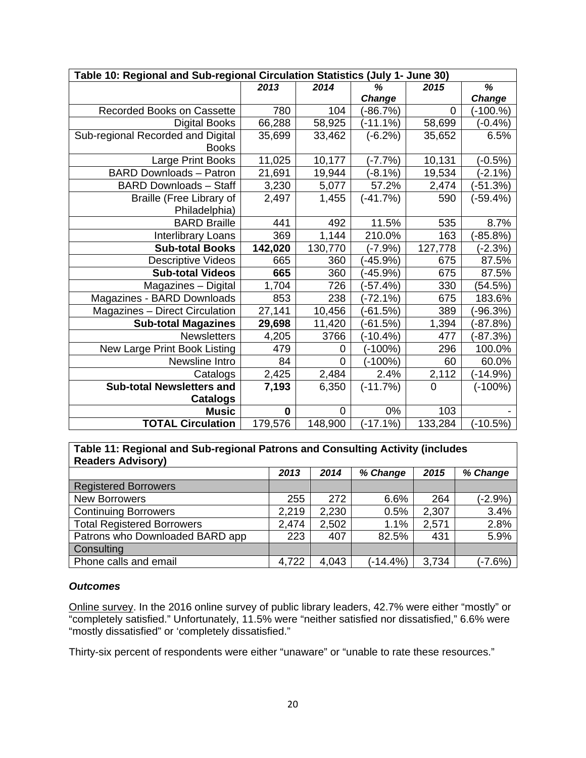| Table 10: Regional and Sub-regional Circulation Statistics (July 1- June 30) |         |                |               |             |               |  |  |
|------------------------------------------------------------------------------|---------|----------------|---------------|-------------|---------------|--|--|
|                                                                              | 2013    | 2014           | %             | 2015        | %             |  |  |
|                                                                              |         |                | <b>Change</b> |             | <b>Change</b> |  |  |
| Recorded Books on Cassette                                                   | 780     | 104            | $(-86.7%)$    | $\mathbf 0$ | $(-100.%)$    |  |  |
| <b>Digital Books</b>                                                         | 66,288  | 58,925         | $(-11.1\%)$   | 58,699      | $(-0.4% )$    |  |  |
| Sub-regional Recorded and Digital                                            | 35,699  | 33,462         | $(-6.2%)$     | 35,652      | 6.5%          |  |  |
| <b>Books</b>                                                                 |         |                |               |             |               |  |  |
| Large Print Books                                                            | 11,025  | 10,177         | $(-7.7%)$     | 10,131      | $(-0.5%)$     |  |  |
| <b>BARD Downloads - Patron</b>                                               | 21,691  | 19,944         | $(-8.1%)$     | 19,534      | $(-2.1%)$     |  |  |
| <b>BARD Downloads - Staff</b>                                                | 3,230   | 5,077          | 57.2%         | 2,474       | $(-51.3%)$    |  |  |
| <b>Braille (Free Library of</b>                                              | 2,497   | 1,455          | $(-41.7%)$    | 590         | $(-59.4%)$    |  |  |
| Philadelphia)                                                                |         |                |               |             |               |  |  |
| <b>BARD Braille</b>                                                          | 441     | 492            | 11.5%         | 535         | 8.7%          |  |  |
| Interlibrary Loans                                                           | 369     | 1,144          | 210.0%        | 163         | $(-85.8%)$    |  |  |
| <b>Sub-total Books</b>                                                       | 142,020 | 130,770        | $(-7.9%)$     | 127,778     | (-2.3%)       |  |  |
| <b>Descriptive Videos</b>                                                    | 665     | 360            | (-45.9%)      | 675         | 87.5%         |  |  |
| <b>Sub-total Videos</b>                                                      | 665     | 360            | $(-45.9%)$    | 675         | 87.5%         |  |  |
| Magazines - Digital                                                          | 1,704   | 726            | $(-57.4%)$    | 330         | (54.5%)       |  |  |
| Magazines - BARD Downloads                                                   | 853     | 238            | $(-72.1%)$    | 675         | 183.6%        |  |  |
| <b>Magazines - Direct Circulation</b>                                        | 27,141  | 10,456         | $-61.5%$      | 389         | $(-96.3%)$    |  |  |
| <b>Sub-total Magazines</b>                                                   | 29,698  | 11,420         | $(-61.5%)$    | 1,394       | $(-87.8%)$    |  |  |
| <b>Newsletters</b>                                                           | 4,205   | 3766           | (-10.4%)      | 477         | (-87.3%)      |  |  |
| New Large Print Book Listing                                                 | 479     | $\overline{0}$ | $(-100%)$     | 296         | 100.0%        |  |  |
| Newsline Intro                                                               | 84      | $\overline{0}$ | $(-100%)$     | 60          | 60.0%         |  |  |
| Catalogs                                                                     | 2,425   | 2,484          | 2.4%          | 2,112       | $(-14.9%)$    |  |  |
| <b>Sub-total Newsletters and</b>                                             | 7,193   | 6,350          | $(-11.7%)$    | $\mathbf 0$ | $(-100%)$     |  |  |
| <b>Catalogs</b>                                                              |         |                |               |             |               |  |  |
| <b>Music</b>                                                                 | 0       | 0              | 0%            | 103         |               |  |  |
| <b>TOTAL Circulation</b>                                                     | 179,576 | 148,900        | $(-17.1%)$    | 133,284     | $(-10.5%)$    |  |  |

#### **Table 11: Regional and Sub-regional Patrons and Consulting Activity (includes Readers Advisory)**

| . <i>.</i> .                      |       |       |             |       |           |
|-----------------------------------|-------|-------|-------------|-------|-----------|
|                                   | 2013  | 2014  | % Change    | 2015  | % Change  |
| <b>Registered Borrowers</b>       |       |       |             |       |           |
| <b>New Borrowers</b>              | 255   | 272   | 6.6%        | 264   | $(-2.9%)$ |
| <b>Continuing Borrowers</b>       | 2,219 | 2,230 | 0.5%        | 2,307 | 3.4%      |
| <b>Total Registered Borrowers</b> | 2,474 | 2,502 | 1.1%        | 2,571 | 2.8%      |
| Patrons who Downloaded BARD app   | 223   | 407   | 82.5%       | 431   | 5.9%      |
| Consulting                        |       |       |             |       |           |
| Phone calls and email             | 4,722 | 4,043 | $(-14.4\%)$ | 3,734 | $(-7.6%)$ |

#### *Outcomes*

Online survey. In the 2016 online survey of public library leaders, 42.7% were either "mostly" or "completely satisfied." Unfortunately, 11.5% were "neither satisfied nor dissatisfied," 6.6% were "mostly dissatisfied" or 'completely dissatisfied."

Thirty-six percent of respondents were either "unaware" or "unable to rate these resources."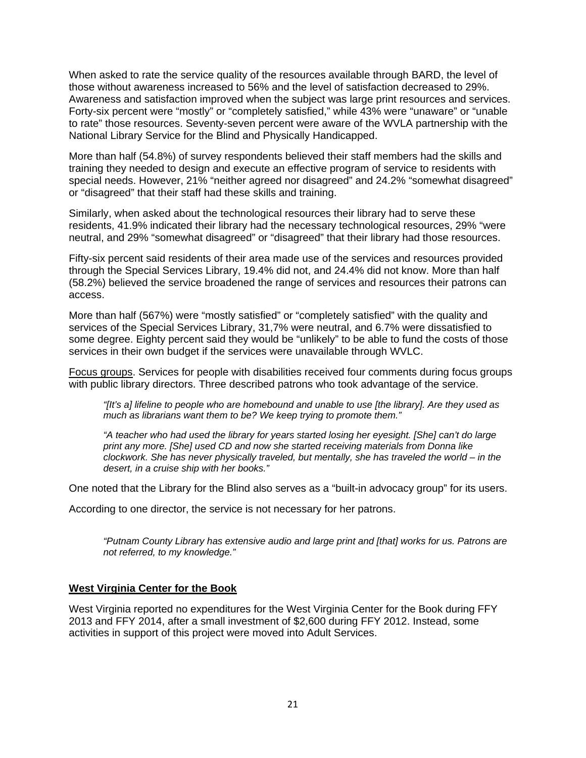When asked to rate the service quality of the resources available through BARD, the level of those without awareness increased to 56% and the level of satisfaction decreased to 29%. Awareness and satisfaction improved when the subject was large print resources and services. Forty-six percent were "mostly" or "completely satisfied," while 43% were "unaware" or "unable to rate" those resources. Seventy-seven percent were aware of the WVLA partnership with the National Library Service for the Blind and Physically Handicapped.

More than half (54.8%) of survey respondents believed their staff members had the skills and training they needed to design and execute an effective program of service to residents with special needs. However, 21% "neither agreed nor disagreed" and 24.2% "somewhat disagreed" or "disagreed" that their staff had these skills and training.

Similarly, when asked about the technological resources their library had to serve these residents, 41.9% indicated their library had the necessary technological resources, 29% "were neutral, and 29% "somewhat disagreed" or "disagreed" that their library had those resources.

Fifty-six percent said residents of their area made use of the services and resources provided through the Special Services Library, 19.4% did not, and 24.4% did not know. More than half (58.2%) believed the service broadened the range of services and resources their patrons can access.

More than half (567%) were "mostly satisfied" or "completely satisfied" with the quality and services of the Special Services Library, 31,7% were neutral, and 6.7% were dissatisfied to some degree. Eighty percent said they would be "unlikely" to be able to fund the costs of those services in their own budget if the services were unavailable through WVLC.

Focus groups. Services for people with disabilities received four comments during focus groups with public library directors. Three described patrons who took advantage of the service.

*"[It's a] lifeline to people who are homebound and unable to use [the library]. Are they used as much as librarians want them to be? We keep trying to promote them."* 

*"A teacher who had used the library for years started losing her eyesight. [She] can't do large print any more. [She] used CD and now she started receiving materials from Donna like clockwork. She has never physically traveled, but mentally, she has traveled the world – in the desert, in a cruise ship with her books."* 

One noted that the Library for the Blind also serves as a "built-in advocacy group" for its users.

According to one director, the service is not necessary for her patrons.

*"Putnam County Library has extensive audio and large print and [that] works for us. Patrons are not referred, to my knowledge."* 

#### **West Virginia Center for the Book**

West Virginia reported no expenditures for the West Virginia Center for the Book during FFY 2013 and FFY 2014, after a small investment of \$2,600 during FFY 2012. Instead, some activities in support of this project were moved into Adult Services.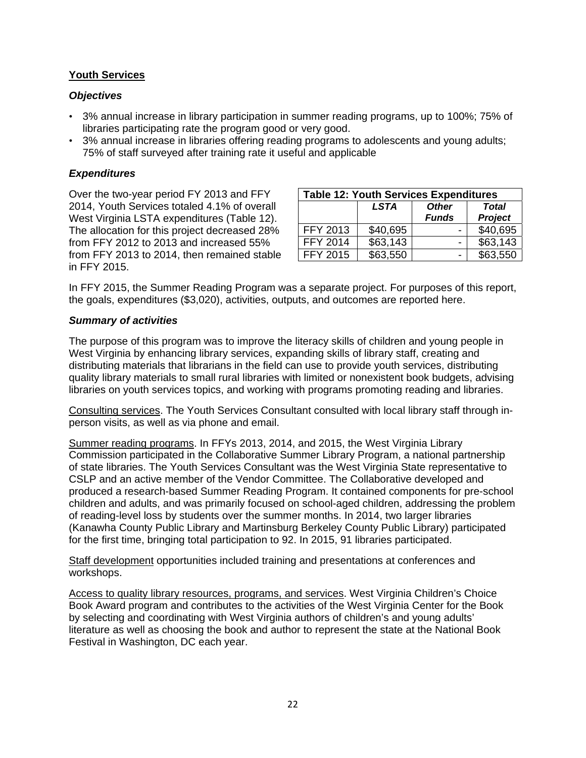#### **Youth Services**

#### *Objectives*

- 3% annual increase in library participation in summer reading programs, up to 100%; 75% of libraries participating rate the program good or very good.
- 3% annual increase in libraries offering reading programs to adolescents and young adults; 75% of staff surveyed after training rate it useful and applicable

#### *Expenditures*

Over the two-year period FY 2013 and FFY 2014, Youth Services totaled 4.1% of overall West Virginia LSTA expenditures (Table 12). The allocation for this project decreased 28% from FFY 2012 to 2013 and increased 55% from FFY 2013 to 2014, then remained stable in FFY 2015.

| <b>Table 12: Youth Services Expenditures</b> |             |              |              |
|----------------------------------------------|-------------|--------------|--------------|
|                                              | <b>LSTA</b> | <b>Other</b> | <b>Total</b> |
|                                              |             | <b>Funds</b> | Project      |
| FFY 2013                                     | \$40,695    |              | \$40,695     |
| FFY 2014                                     | \$63,143    |              | \$63,143     |
| <b>FFY 2015</b>                              | \$63,550    | -            | \$63,550     |

In FFY 2015, the Summer Reading Program was a separate project. For purposes of this report, the goals, expenditures (\$3,020), activities, outputs, and outcomes are reported here.

#### *Summary of activities*

The purpose of this program was to improve the literacy skills of children and young people in West Virginia by enhancing library services, expanding skills of library staff, creating and distributing materials that librarians in the field can use to provide youth services, distributing quality library materials to small rural libraries with limited or nonexistent book budgets, advising libraries on youth services topics, and working with programs promoting reading and libraries.

Consulting services. The Youth Services Consultant consulted with local library staff through inperson visits, as well as via phone and email.

Summer reading programs. In FFYs 2013, 2014, and 2015, the West Virginia Library Commission participated in the Collaborative Summer Library Program, a national partnership of state libraries. The Youth Services Consultant was the West Virginia State representative to CSLP and an active member of the Vendor Committee. The Collaborative developed and produced a research-based Summer Reading Program. It contained components for pre-school children and adults, and was primarily focused on school-aged children, addressing the problem of reading-level loss by students over the summer months. In 2014, two larger libraries (Kanawha County Public Library and Martinsburg Berkeley County Public Library) participated for the first time, bringing total participation to 92. In 2015, 91 libraries participated.

Staff development opportunities included training and presentations at conferences and workshops.

Access to quality library resources, programs, and services. West Virginia Children's Choice Book Award program and contributes to the activities of the West Virginia Center for the Book by selecting and coordinating with West Virginia authors of children's and young adults' literature as well as choosing the book and author to represent the state at the National Book Festival in Washington, DC each year.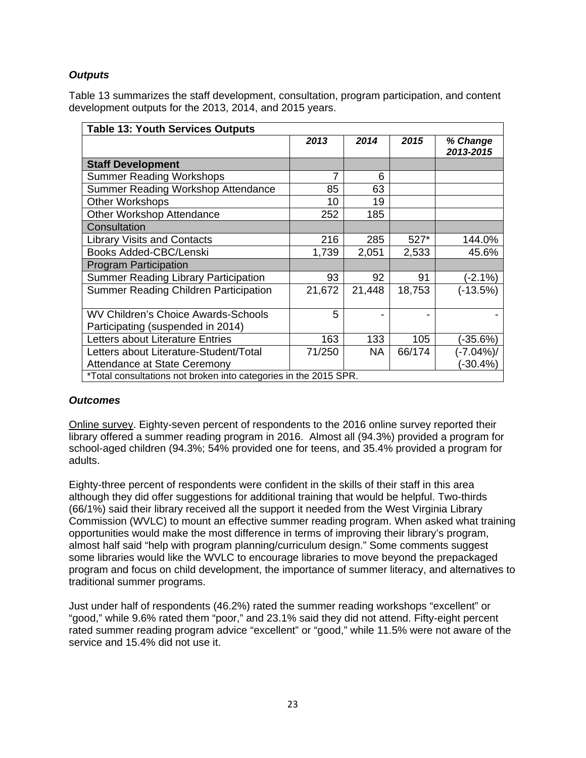#### *Outputs*

Table 13 summarizes the staff development, consultation, program participation, and content development outputs for the 2013, 2014, and 2015 years.

| <b>Table 13: Youth Services Outputs</b>                          |        |           |        |                       |
|------------------------------------------------------------------|--------|-----------|--------|-----------------------|
|                                                                  | 2013   | 2014      | 2015   | % Change<br>2013-2015 |
| <b>Staff Development</b>                                         |        |           |        |                       |
| <b>Summer Reading Workshops</b>                                  |        | 6         |        |                       |
| Summer Reading Workshop Attendance                               | 85     | 63        |        |                       |
| <b>Other Workshops</b>                                           | 10     | 19        |        |                       |
| <b>Other Workshop Attendance</b>                                 | 252    | 185       |        |                       |
| Consultation                                                     |        |           |        |                       |
| <b>Library Visits and Contacts</b>                               | 216    | 285       | $527*$ | 144.0%                |
| Books Added-CBC/Lenski                                           | 1,739  | 2,051     | 2,533  | 45.6%                 |
| <b>Program Participation</b>                                     |        |           |        |                       |
| <b>Summer Reading Library Participation</b>                      | 93     | 92        | 91     | (-2.1%)               |
| <b>Summer Reading Children Participation</b>                     | 21,672 | 21,448    | 18,753 | $(-13.5%)$            |
|                                                                  |        |           |        |                       |
| <b>WV Children's Choice Awards-Schools</b>                       | 5      |           |        |                       |
| Participating (suspended in 2014)                                |        |           |        |                       |
| Letters about Literature Entries                                 | 163    | 133       | 105    | (-35.6%)              |
| Letters about Literature-Student/Total                           | 71/250 | <b>NA</b> | 66/174 | (-7.04%)/             |
| Attendance at State Ceremony                                     |        |           |        | (-30.4%)              |
| *Total consultations not broken into categories in the 2015 SPR. |        |           |        |                       |

#### *Outcomes*

Online survey. Eighty-seven percent of respondents to the 2016 online survey reported their library offered a summer reading program in 2016. Almost all (94.3%) provided a program for school-aged children (94.3%; 54% provided one for teens, and 35.4% provided a program for adults.

Eighty-three percent of respondents were confident in the skills of their staff in this area although they did offer suggestions for additional training that would be helpful. Two-thirds (66/1%) said their library received all the support it needed from the West Virginia Library Commission (WVLC) to mount an effective summer reading program. When asked what training opportunities would make the most difference in terms of improving their library's program, almost half said "help with program planning/curriculum design." Some comments suggest some libraries would like the WVLC to encourage libraries to move beyond the prepackaged program and focus on child development, the importance of summer literacy, and alternatives to traditional summer programs.

Just under half of respondents (46.2%) rated the summer reading workshops "excellent" or "good," while 9.6% rated them "poor," and 23.1% said they did not attend. Fifty-eight percent rated summer reading program advice "excellent" or "good," while 11.5% were not aware of the service and 15.4% did not use it.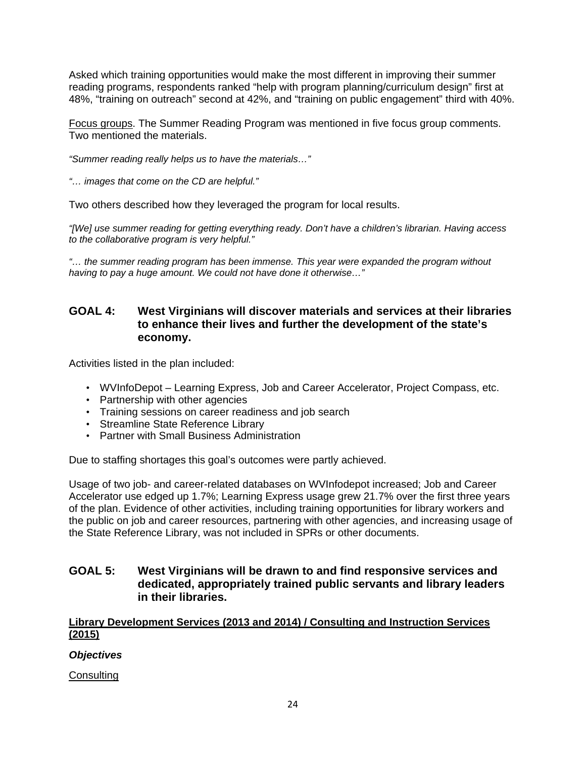Asked which training opportunities would make the most different in improving their summer reading programs, respondents ranked "help with program planning/curriculum design" first at 48%, "training on outreach" second at 42%, and "training on public engagement" third with 40%.

Focus groups. The Summer Reading Program was mentioned in five focus group comments. Two mentioned the materials.

*"Summer reading really helps us to have the materials…"* 

*"… images that come on the CD are helpful."* 

Two others described how they leveraged the program for local results.

*"[We] use summer reading for getting everything ready. Don't have a children's librarian. Having access to the collaborative program is very helpful."* 

*"… the summer reading program has been immense. This year were expanded the program without having to pay a huge amount. We could not have done it otherwise…"* 

#### **GOAL 4: West Virginians will discover materials and services at their libraries to enhance their lives and further the development of the state's economy.**

Activities listed in the plan included:

- WVInfoDepot Learning Express, Job and Career Accelerator, Project Compass, etc.
- Partnership with other agencies
- Training sessions on career readiness and job search
- Streamline State Reference Library
- Partner with Small Business Administration

Due to staffing shortages this goal's outcomes were partly achieved.

Usage of two job- and career-related databases on WVInfodepot increased; Job and Career Accelerator use edged up 1.7%; Learning Express usage grew 21.7% over the first three years of the plan. Evidence of other activities, including training opportunities for library workers and the public on job and career resources, partnering with other agencies, and increasing usage of the State Reference Library, was not included in SPRs or other documents.

#### **GOAL 5: West Virginians will be drawn to and find responsive services and dedicated, appropriately trained public servants and library leaders in their libraries.**

#### **Library Development Services (2013 and 2014) / Consulting and Instruction Services (2015)**

#### *Objectives*

**Consulting**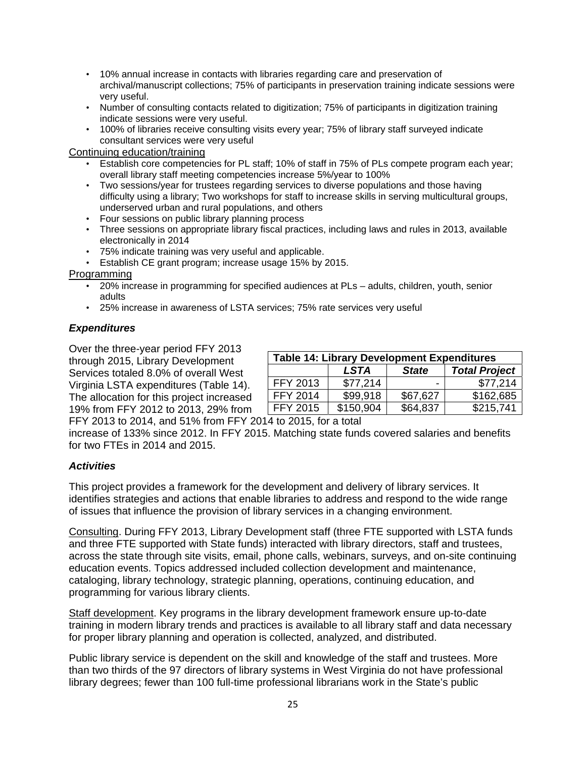- 10% annual increase in contacts with libraries regarding care and preservation of archival/manuscript collections; 75% of participants in preservation training indicate sessions were very useful.
- Number of consulting contacts related to digitization; 75% of participants in digitization training indicate sessions were very useful.
- 100% of libraries receive consulting visits every year; 75% of library staff surveyed indicate consultant services were very useful

#### Continuing education/training

- Establish core competencies for PL staff; 10% of staff in 75% of PLs compete program each year; overall library staff meeting competencies increase 5%/year to 100%
- Two sessions/year for trustees regarding services to diverse populations and those having difficulty using a library; Two workshops for staff to increase skills in serving multicultural groups, underserved urban and rural populations, and others
- Four sessions on public library planning process
- Three sessions on appropriate library fiscal practices, including laws and rules in 2013, available electronically in 2014
- 75% indicate training was very useful and applicable.
- Establish CE grant program; increase usage 15% by 2015.

#### Programming

- 20% increase in programming for specified audiences at PLs adults, children, youth, senior adults
- 25% increase in awareness of LSTA services; 75% rate services very useful

#### *Expenditures*

Over the three-year period FFY 2013 through 2015, Library Development Services totaled 8.0% of overall West Virginia LSTA expenditures (Table 14). The allocation for this project increased 19% from FFY 2012 to 2013, 29% from

| <b>Table 14: Library Development Expenditures</b> |             |              |                      |  |
|---------------------------------------------------|-------------|--------------|----------------------|--|
|                                                   | <b>LSTA</b> | <b>State</b> | <b>Total Project</b> |  |
| FFY 2013                                          | \$77,214    | -            | \$77,214             |  |
| <b>FFY 2014</b>                                   | \$99,918    | \$67,627     | \$162,685            |  |
| FFY 2015                                          | \$150,904   | \$64,837     | \$215,741            |  |

FFY 2013 to 2014, and 51% from FFY 2014 to 2015, for a total

increase of 133% since 2012. In FFY 2015. Matching state funds covered salaries and benefits for two FTEs in 2014 and 2015.

#### *Activities*

This project provides a framework for the development and delivery of library services. It identifies strategies and actions that enable libraries to address and respond to the wide range of issues that influence the provision of library services in a changing environment.

Consulting. During FFY 2013, Library Development staff (three FTE supported with LSTA funds and three FTE supported with State funds) interacted with library directors, staff and trustees, across the state through site visits, email, phone calls, webinars, surveys, and on-site continuing education events. Topics addressed included collection development and maintenance, cataloging, library technology, strategic planning, operations, continuing education, and programming for various library clients.

Staff development. Key programs in the library development framework ensure up-to-date training in modern library trends and practices is available to all library staff and data necessary for proper library planning and operation is collected, analyzed, and distributed.

Public library service is dependent on the skill and knowledge of the staff and trustees. More than two thirds of the 97 directors of library systems in West Virginia do not have professional library degrees; fewer than 100 full-time professional librarians work in the State's public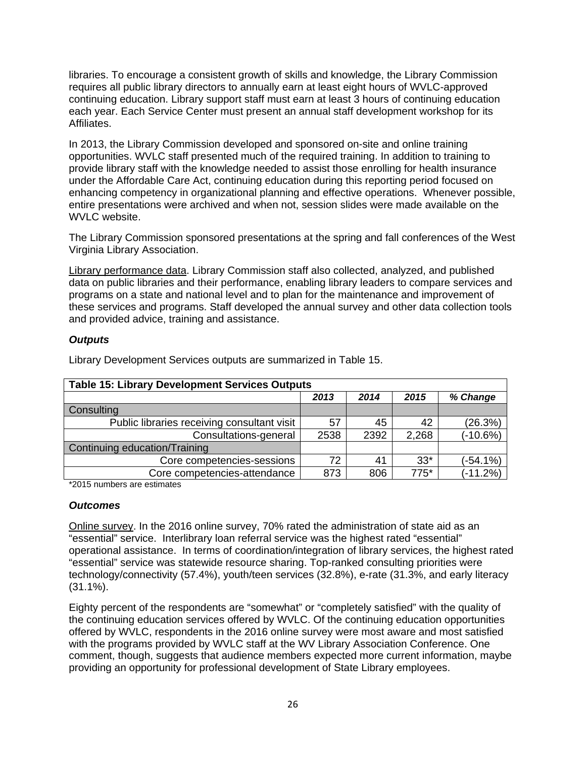libraries. To encourage a consistent growth of skills and knowledge, the Library Commission requires all public library directors to annually earn at least eight hours of WVLC-approved continuing education. Library support staff must earn at least 3 hours of continuing education each year. Each Service Center must present an annual staff development workshop for its Affiliates.

In 2013, the Library Commission developed and sponsored on-site and online training opportunities. WVLC staff presented much of the required training. In addition to training to provide library staff with the knowledge needed to assist those enrolling for health insurance under the Affordable Care Act, continuing education during this reporting period focused on enhancing competency in organizational planning and effective operations. Whenever possible, entire presentations were archived and when not, session slides were made available on the WVLC website.

The Library Commission sponsored presentations at the spring and fall conferences of the West Virginia Library Association.

Library performance data. Library Commission staff also collected, analyzed, and published data on public libraries and their performance, enabling library leaders to compare services and programs on a state and national level and to plan for the maintenance and improvement of these services and programs. Staff developed the annual survey and other data collection tools and provided advice, training and assistance.

#### *Outputs*

| <b>Table 15: Library Development Services Outputs</b> |      |      |        |             |  |
|-------------------------------------------------------|------|------|--------|-------------|--|
|                                                       | 2013 | 2014 | 2015   | % Change    |  |
| Consulting                                            |      |      |        |             |  |
| Public libraries receiving consultant visit           | 57   | 45   | 42     | (26.3%)     |  |
| Consultations-general                                 | 2538 | 2392 | 2,268  | $(-10.6%)$  |  |
| Continuing education/Training                         |      |      |        |             |  |
| Core competencies-sessions                            | 72   | 41   | $33*$  | $(-54.1\%)$ |  |
| Core competencies-attendance                          | 873  | 806  | $775*$ | $(-11.2%)$  |  |

Library Development Services outputs are summarized in Table 15.

\*2015 numbers are estimates

#### *Outcomes*

Online survey. In the 2016 online survey, 70% rated the administration of state aid as an "essential" service. Interlibrary loan referral service was the highest rated "essential" operational assistance. In terms of coordination/integration of library services, the highest rated "essential" service was statewide resource sharing. Top-ranked consulting priorities were technology/connectivity (57.4%), youth/teen services (32.8%), e-rate (31.3%, and early literacy (31.1%).

Eighty percent of the respondents are "somewhat" or "completely satisfied" with the quality of the continuing education services offered by WVLC. Of the continuing education opportunities offered by WVLC, respondents in the 2016 online survey were most aware and most satisfied with the programs provided by WVLC staff at the WV Library Association Conference. One comment, though, suggests that audience members expected more current information, maybe providing an opportunity for professional development of State Library employees.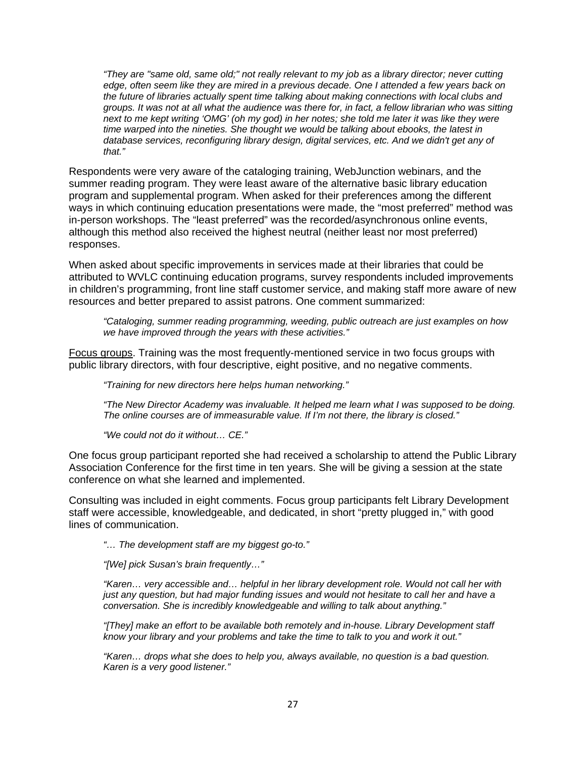*"They are "same old, same old;" not really relevant to my job as a library director; never cutting edge, often seem like they are mired in a previous decade. One I attended a few years back on the future of libraries actually spent time talking about making connections with local clubs and groups. It was not at all what the audience was there for, in fact, a fellow librarian who was sitting next to me kept writing 'OMG' (oh my god) in her notes; she told me later it was like they were time warped into the nineties. She thought we would be talking about ebooks, the latest in database services, reconfiguring library design, digital services, etc. And we didn't get any of that."* 

Respondents were very aware of the cataloging training, WebJunction webinars, and the summer reading program. They were least aware of the alternative basic library education program and supplemental program. When asked for their preferences among the different ways in which continuing education presentations were made, the "most preferred" method was in-person workshops. The "least preferred" was the recorded/asynchronous online events, although this method also received the highest neutral (neither least nor most preferred) responses.

When asked about specific improvements in services made at their libraries that could be attributed to WVLC continuing education programs, survey respondents included improvements in children's programming, front line staff customer service, and making staff more aware of new resources and better prepared to assist patrons. One comment summarized:

*"Cataloging, summer reading programming, weeding, public outreach are just examples on how we have improved through the years with these activities."* 

Focus groups. Training was the most frequently-mentioned service in two focus groups with public library directors, with four descriptive, eight positive, and no negative comments.

*"Training for new directors here helps human networking."* 

*"The New Director Academy was invaluable. It helped me learn what I was supposed to be doing. The online courses are of immeasurable value. If I'm not there, the library is closed."* 

*"We could not do it without… CE."* 

One focus group participant reported she had received a scholarship to attend the Public Library Association Conference for the first time in ten years. She will be giving a session at the state conference on what she learned and implemented.

Consulting was included in eight comments. Focus group participants felt Library Development staff were accessible, knowledgeable, and dedicated, in short "pretty plugged in," with good lines of communication.

*"… The development staff are my biggest go-to."* 

*"[We] pick Susan's brain frequently…"* 

*"Karen… very accessible and… helpful in her library development role. Would not call her with just any question, but had major funding issues and would not hesitate to call her and have a conversation. She is incredibly knowledgeable and willing to talk about anything."* 

*"[They] make an effort to be available both remotely and in-house. Library Development staff know your library and your problems and take the time to talk to you and work it out."* 

*"Karen… drops what she does to help you, always available, no question is a bad question. Karen is a very good listener."*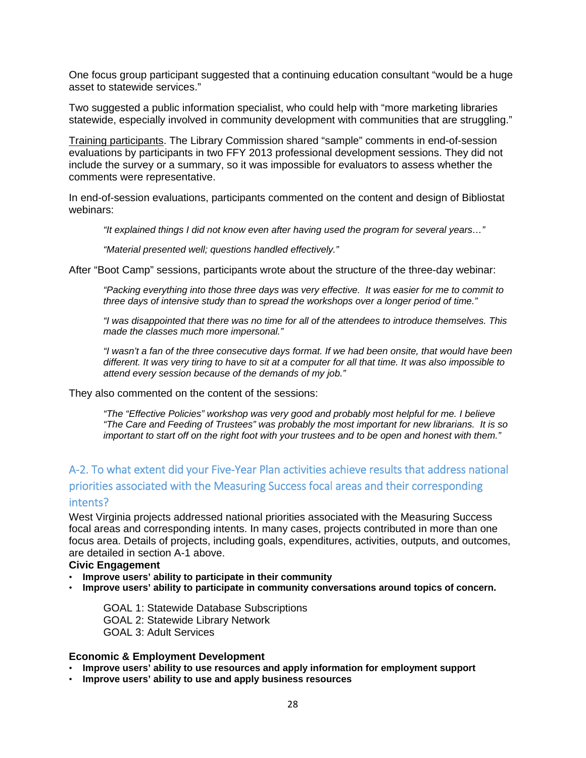One focus group participant suggested that a continuing education consultant "would be a huge asset to statewide services."

Two suggested a public information specialist, who could help with "more marketing libraries statewide, especially involved in community development with communities that are struggling."

Training participants. The Library Commission shared "sample" comments in end-of-session evaluations by participants in two FFY 2013 professional development sessions. They did not include the survey or a summary, so it was impossible for evaluators to assess whether the comments were representative.

In end-of-session evaluations, participants commented on the content and design of Bibliostat webinars:

*"It explained things I did not know even after having used the program for several years…"* 

*"Material presented well; questions handled effectively."* 

After "Boot Camp" sessions, participants wrote about the structure of the three-day webinar:

*"Packing everything into those three days was very effective. It was easier for me to commit to three days of intensive study than to spread the workshops over a longer period of time."* 

*"I was disappointed that there was no time for all of the attendees to introduce themselves. This made the classes much more impersonal."* 

*"I wasn't a fan of the three consecutive days format. If we had been onsite, that would have been different. It was very tiring to have to sit at a computer for all that time. It was also impossible to attend every session because of the demands of my job."* 

They also commented on the content of the sessions:

*"The "Effective Policies" workshop was very good and probably most helpful for me. I believe "The Care and Feeding of Trustees" was probably the most important for new librarians. It is so important to start off on the right foot with your trustees and to be open and honest with them."* 

## A‐2. To what extent did your Five‐Year Plan activities achieve results that address national priorities associated with the Measuring Success focal areas and their corresponding intents?

West Virginia projects addressed national priorities associated with the Measuring Success focal areas and corresponding intents. In many cases, projects contributed in more than one focus area. Details of projects, including goals, expenditures, activities, outputs, and outcomes, are detailed in section A-1 above.

#### **Civic Engagement**

- **Improve users' ability to participate in their community**
- **Improve users' ability to participate in community conversations around topics of concern.**

GOAL 1: Statewide Database Subscriptions GOAL 2: Statewide Library Network GOAL 3: Adult Services

#### **Economic & Employment Development**

- **Improve users' ability to use resources and apply information for employment support**
- **Improve users' ability to use and apply business resources**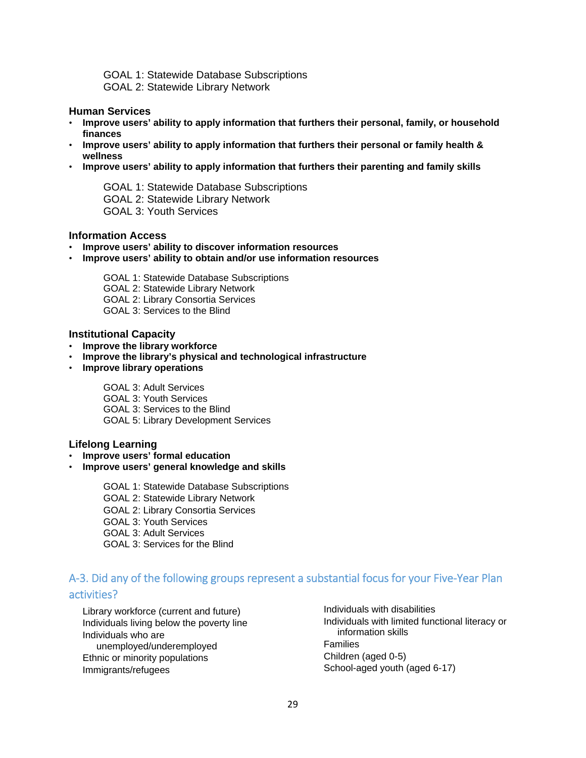GOAL 1: Statewide Database Subscriptions GOAL 2: Statewide Library Network

#### **Human Services**

- **Improve users' ability to apply information that furthers their personal, family, or household finances**
- **Improve users' ability to apply information that furthers their personal or family health & wellness**
- **Improve users' ability to apply information that furthers their parenting and family skills**

GOAL 1: Statewide Database Subscriptions GOAL 2: Statewide Library Network GOAL 3: Youth Services

#### **Information Access**

- **Improve users' ability to discover information resources**
- **Improve users' ability to obtain and/or use information resources**

GOAL 1: Statewide Database Subscriptions GOAL 2: Statewide Library Network GOAL 2: Library Consortia Services GOAL 3: Services to the Blind

#### **Institutional Capacity**

- **Improve the library workforce**
- **Improve the library's physical and technological infrastructure**
- **Improve library operations**

GOAL 3: Adult Services GOAL 3: Youth Services GOAL 3: Services to the Blind GOAL 5: Library Development Services

#### **Lifelong Learning**

- **Improve users' formal education**
- **Improve users' general knowledge and skills**

GOAL 1: Statewide Database Subscriptions GOAL 2: Statewide Library Network GOAL 2: Library Consortia Services GOAL 3: Youth Services GOAL 3: Adult Services GOAL 3: Services for the Blind

# A‐3. Did any of the following groups represent a substantial focus for your Five‐Year Plan

#### activities?

Library workforce (current and future) Individuals living below the poverty line Individuals who are unemployed/underemployed Ethnic or minority populations Immigrants/refugees

Individuals with disabilities Individuals with limited functional literacy or information skills Families Children (aged 0-5) School-aged youth (aged 6-17)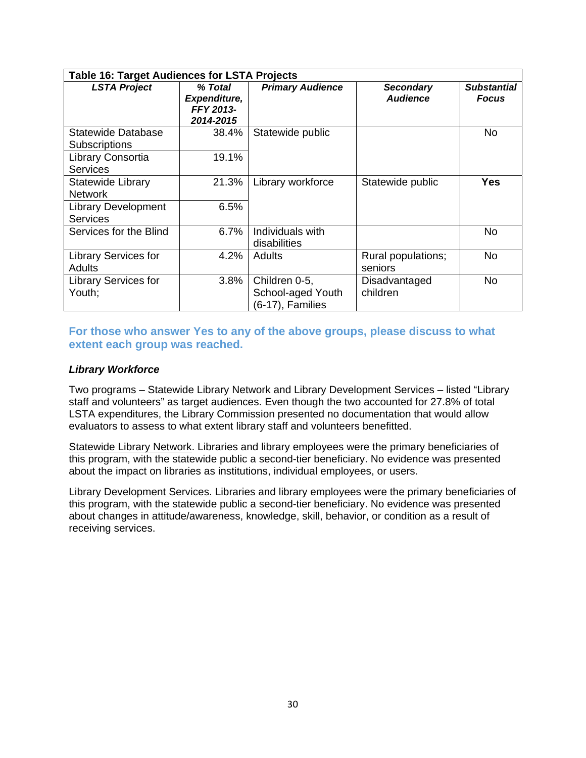| <b>Table 16: Target Audiences for LSTA Projects</b> |                                                   |                                                        |                                     |                                    |
|-----------------------------------------------------|---------------------------------------------------|--------------------------------------------------------|-------------------------------------|------------------------------------|
| <b>LSTA Project</b>                                 | % Total<br>Expenditure,<br>FFY 2013-<br>2014-2015 | <b>Primary Audience</b>                                | <b>Secondary</b><br><b>Audience</b> | <b>Substantial</b><br><b>Focus</b> |
| Statewide Database<br><b>Subscriptions</b>          | 38.4%                                             | Statewide public                                       |                                     | No                                 |
| Library Consortia<br><b>Services</b>                | 19.1%                                             |                                                        |                                     |                                    |
| <b>Statewide Library</b><br><b>Network</b>          | 21.3%                                             | Library workforce                                      | Statewide public                    | Yes                                |
| <b>Library Development</b><br><b>Services</b>       | 6.5%                                              |                                                        |                                     |                                    |
| Services for the Blind                              | 6.7%                                              | Individuals with<br>disabilities                       |                                     | No                                 |
| <b>Library Services for</b><br><b>Adults</b>        | 4.2%                                              | <b>Adults</b>                                          | Rural populations;<br>seniors       | <b>No</b>                          |
| <b>Library Services for</b><br>Youth;               | 3.8%                                              | Children 0-5,<br>School-aged Youth<br>(6-17), Families | Disadvantaged<br>children           | No                                 |

#### **For those who answer Yes to any of the above groups, please discuss to what extent each group was reached.**

#### *Library Workforce*

Two programs – Statewide Library Network and Library Development Services – listed "Library staff and volunteers" as target audiences. Even though the two accounted for 27.8% of total LSTA expenditures, the Library Commission presented no documentation that would allow evaluators to assess to what extent library staff and volunteers benefitted.

Statewide Library Network. Libraries and library employees were the primary beneficiaries of this program, with the statewide public a second-tier beneficiary. No evidence was presented about the impact on libraries as institutions, individual employees, or users.

Library Development Services. Libraries and library employees were the primary beneficiaries of this program, with the statewide public a second-tier beneficiary. No evidence was presented about changes in attitude/awareness, knowledge, skill, behavior, or condition as a result of receiving services.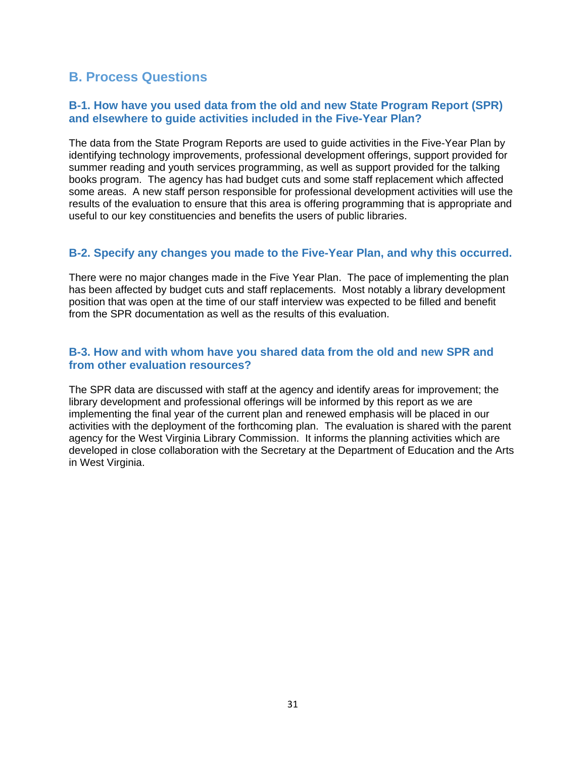## **B. Process Questions**

#### **B-1. How have you used data from the old and new State Program Report (SPR) and elsewhere to guide activities included in the Five-Year Plan?**

The data from the State Program Reports are used to guide activities in the Five-Year Plan by identifying technology improvements, professional development offerings, support provided for summer reading and youth services programming, as well as support provided for the talking books program. The agency has had budget cuts and some staff replacement which affected some areas. A new staff person responsible for professional development activities will use the results of the evaluation to ensure that this area is offering programming that is appropriate and useful to our key constituencies and benefits the users of public libraries.

#### **B-2. Specify any changes you made to the Five-Year Plan, and why this occurred.**

There were no major changes made in the Five Year Plan. The pace of implementing the plan has been affected by budget cuts and staff replacements. Most notably a library development position that was open at the time of our staff interview was expected to be filled and benefit from the SPR documentation as well as the results of this evaluation.

#### **B-3. How and with whom have you shared data from the old and new SPR and from other evaluation resources?**

The SPR data are discussed with staff at the agency and identify areas for improvement; the library development and professional offerings will be informed by this report as we are implementing the final year of the current plan and renewed emphasis will be placed in our activities with the deployment of the forthcoming plan. The evaluation is shared with the parent agency for the West Virginia Library Commission. It informs the planning activities which are developed in close collaboration with the Secretary at the Department of Education and the Arts in West Virginia.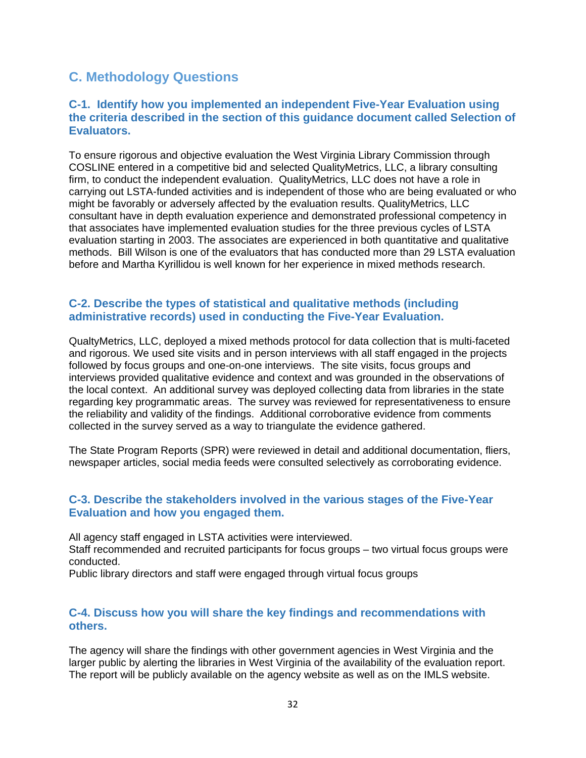## **C. Methodology Questions**

#### **C-1. Identify how you implemented an independent Five-Year Evaluation using the criteria described in the section of this guidance document called Selection of Evaluators.**

To ensure rigorous and objective evaluation the West Virginia Library Commission through COSLINE entered in a competitive bid and selected QualityMetrics, LLC, a library consulting firm, to conduct the independent evaluation. QualityMetrics, LLC does not have a role in carrying out LSTA-funded activities and is independent of those who are being evaluated or who might be favorably or adversely affected by the evaluation results. QualityMetrics, LLC consultant have in depth evaluation experience and demonstrated professional competency in that associates have implemented evaluation studies for the three previous cycles of LSTA evaluation starting in 2003. The associates are experienced in both quantitative and qualitative methods. Bill Wilson is one of the evaluators that has conducted more than 29 LSTA evaluation before and Martha Kyrillidou is well known for her experience in mixed methods research.

#### **C-2. Describe the types of statistical and qualitative methods (including administrative records) used in conducting the Five-Year Evaluation.**

QualtyMetrics, LLC, deployed a mixed methods protocol for data collection that is multi-faceted and rigorous. We used site visits and in person interviews with all staff engaged in the projects followed by focus groups and one-on-one interviews. The site visits, focus groups and interviews provided qualitative evidence and context and was grounded in the observations of the local context. An additional survey was deployed collecting data from libraries in the state regarding key programmatic areas. The survey was reviewed for representativeness to ensure the reliability and validity of the findings. Additional corroborative evidence from comments collected in the survey served as a way to triangulate the evidence gathered.

The State Program Reports (SPR) were reviewed in detail and additional documentation, fliers, newspaper articles, social media feeds were consulted selectively as corroborating evidence.

#### **C-3. Describe the stakeholders involved in the various stages of the Five-Year Evaluation and how you engaged them.**

All agency staff engaged in LSTA activities were interviewed. Staff recommended and recruited participants for focus groups – two virtual focus groups were conducted.

Public library directors and staff were engaged through virtual focus groups

#### **C-4. Discuss how you will share the key findings and recommendations with others.**

The agency will share the findings with other government agencies in West Virginia and the larger public by alerting the libraries in West Virginia of the availability of the evaluation report. The report will be publicly available on the agency website as well as on the IMLS website.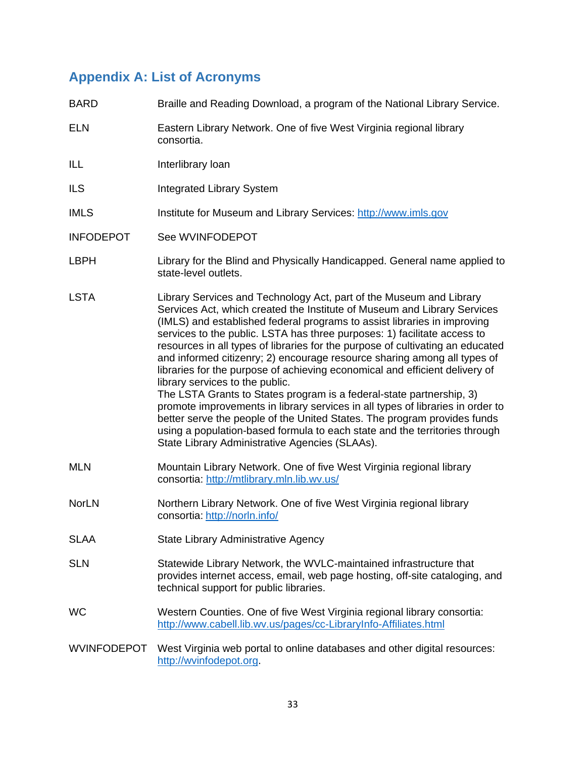## **Appendix A: List of Acronyms**

| <b>BARD</b>      | Braille and Reading Download, a program of the National Library Service.                                                                                                                                                                                                                                                                                                                                                                                                                                                                                                                                                                                                                                                                                                                                                                                                                                                                                      |
|------------------|---------------------------------------------------------------------------------------------------------------------------------------------------------------------------------------------------------------------------------------------------------------------------------------------------------------------------------------------------------------------------------------------------------------------------------------------------------------------------------------------------------------------------------------------------------------------------------------------------------------------------------------------------------------------------------------------------------------------------------------------------------------------------------------------------------------------------------------------------------------------------------------------------------------------------------------------------------------|
| <b>ELN</b>       | Eastern Library Network. One of five West Virginia regional library<br>consortia.                                                                                                                                                                                                                                                                                                                                                                                                                                                                                                                                                                                                                                                                                                                                                                                                                                                                             |
| ILL              | Interlibrary loan                                                                                                                                                                                                                                                                                                                                                                                                                                                                                                                                                                                                                                                                                                                                                                                                                                                                                                                                             |
| <b>ILS</b>       | <b>Integrated Library System</b>                                                                                                                                                                                                                                                                                                                                                                                                                                                                                                                                                                                                                                                                                                                                                                                                                                                                                                                              |
| <b>IMLS</b>      | Institute for Museum and Library Services: http://www.imls.gov                                                                                                                                                                                                                                                                                                                                                                                                                                                                                                                                                                                                                                                                                                                                                                                                                                                                                                |
| <b>INFODEPOT</b> | See WVINFODEPOT                                                                                                                                                                                                                                                                                                                                                                                                                                                                                                                                                                                                                                                                                                                                                                                                                                                                                                                                               |
| <b>LBPH</b>      | Library for the Blind and Physically Handicapped. General name applied to<br>state-level outlets.                                                                                                                                                                                                                                                                                                                                                                                                                                                                                                                                                                                                                                                                                                                                                                                                                                                             |
| <b>LSTA</b>      | Library Services and Technology Act, part of the Museum and Library<br>Services Act, which created the Institute of Museum and Library Services<br>(IMLS) and established federal programs to assist libraries in improving<br>services to the public. LSTA has three purposes: 1) facilitate access to<br>resources in all types of libraries for the purpose of cultivating an educated<br>and informed citizenry; 2) encourage resource sharing among all types of<br>libraries for the purpose of achieving economical and efficient delivery of<br>library services to the public.<br>The LSTA Grants to States program is a federal-state partnership, 3)<br>promote improvements in library services in all types of libraries in order to<br>better serve the people of the United States. The program provides funds<br>using a population-based formula to each state and the territories through<br>State Library Administrative Agencies (SLAAs). |
| <b>MLN</b>       | Mountain Library Network. One of five West Virginia regional library<br>consortia: http://mtlibrary.mln.lib.wv.us/                                                                                                                                                                                                                                                                                                                                                                                                                                                                                                                                                                                                                                                                                                                                                                                                                                            |
| <b>NorLN</b>     | Northern Library Network. One of five West Virginia regional library<br>consortia: http://norln.info/                                                                                                                                                                                                                                                                                                                                                                                                                                                                                                                                                                                                                                                                                                                                                                                                                                                         |
| <b>SLAA</b>      | State Library Administrative Agency                                                                                                                                                                                                                                                                                                                                                                                                                                                                                                                                                                                                                                                                                                                                                                                                                                                                                                                           |
| <b>SLN</b>       | Statewide Library Network, the WVLC-maintained infrastructure that<br>provides internet access, email, web page hosting, off-site cataloging, and<br>technical support for public libraries.                                                                                                                                                                                                                                                                                                                                                                                                                                                                                                                                                                                                                                                                                                                                                                  |
| <b>WC</b>        | Western Counties. One of five West Virginia regional library consortia:<br>http://www.cabell.lib.wv.us/pages/cc-LibraryInfo-Affiliates.html                                                                                                                                                                                                                                                                                                                                                                                                                                                                                                                                                                                                                                                                                                                                                                                                                   |
| WVINFODEPOT      | West Virginia web portal to online databases and other digital resources:<br>http://wvinfodepot.org.                                                                                                                                                                                                                                                                                                                                                                                                                                                                                                                                                                                                                                                                                                                                                                                                                                                          |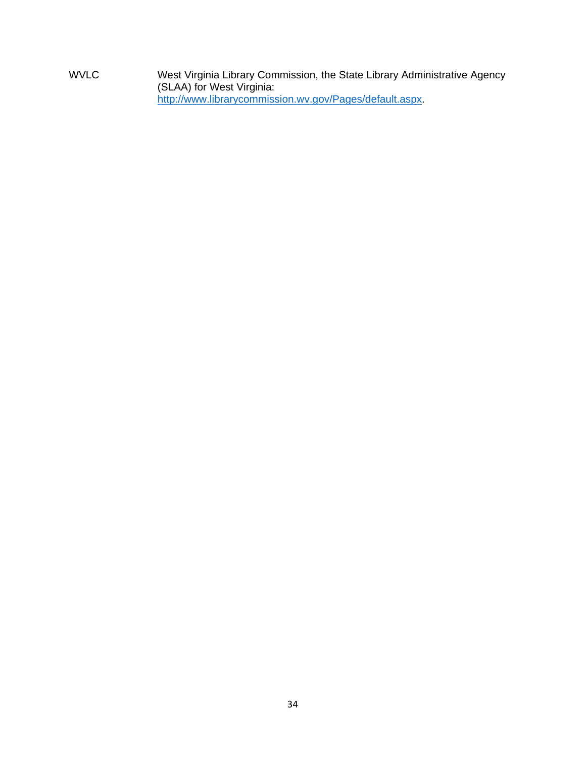WVLC West Virginia Library Commission, the State Library Administrative Agency (SLAA) for West Virginia: http://www.librarycommission.wv.gov/Pages/default.aspx.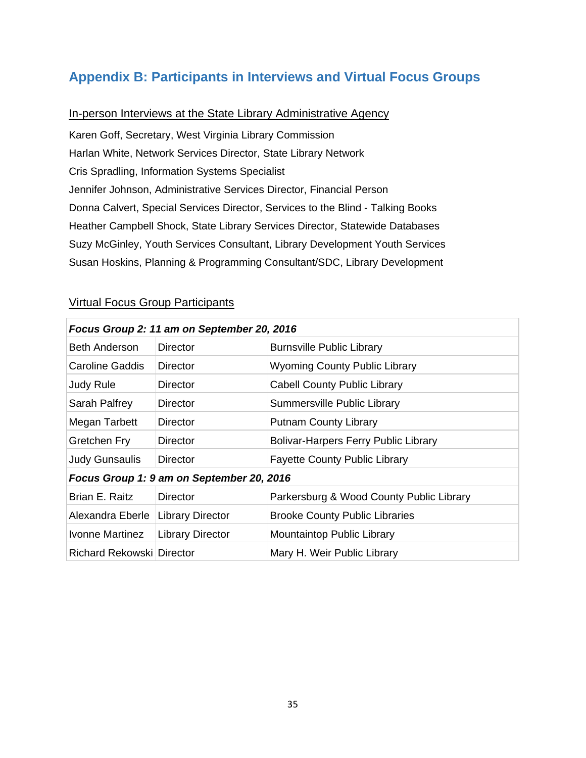## **Appendix B: Participants in Interviews and Virtual Focus Groups**

## In-person Interviews at the State Library Administrative Agency

Karen Goff, Secretary, West Virginia Library Commission Harlan White, Network Services Director, State Library Network Cris Spradling, Information Systems Specialist Jennifer Johnson, Administrative Services Director, Financial Person Donna Calvert, Special Services Director, Services to the Blind - Talking Books Heather Campbell Shock, State Library Services Director, Statewide Databases Suzy McGinley, Youth Services Consultant, Library Development Youth Services Susan Hoskins, Planning & Programming Consultant/SDC, Library Development

|  | <b>Virtual Focus Group Participants</b> |  |
|--|-----------------------------------------|--|
|  |                                         |  |

| Focus Group 2: 11 am on September 20, 2016 |                         |                                             |  |
|--------------------------------------------|-------------------------|---------------------------------------------|--|
| <b>Beth Anderson</b>                       | <b>Director</b>         | <b>Burnsville Public Library</b>            |  |
| Caroline Gaddis                            | Director                | <b>Wyoming County Public Library</b>        |  |
| <b>Judy Rule</b>                           | <b>Director</b>         | <b>Cabell County Public Library</b>         |  |
| Sarah Palfrey                              | Director                | Summersville Public Library                 |  |
| Megan Tarbett                              | Director                | <b>Putnam County Library</b>                |  |
| Gretchen Fry                               | Director                | <b>Bolivar-Harpers Ferry Public Library</b> |  |
| Judy Gunsaulis                             | Director                | <b>Fayette County Public Library</b>        |  |
| Focus Group 1: 9 am on September 20, 2016  |                         |                                             |  |
| Brian E. Raitz                             | Director                | Parkersburg & Wood County Public Library    |  |
| Alexandra Eberle                           | <b>Library Director</b> | <b>Brooke County Public Libraries</b>       |  |
| Ivonne Martinez                            | <b>Library Director</b> | Mountaintop Public Library                  |  |
| Richard Rekowski Director                  |                         | Mary H. Weir Public Library                 |  |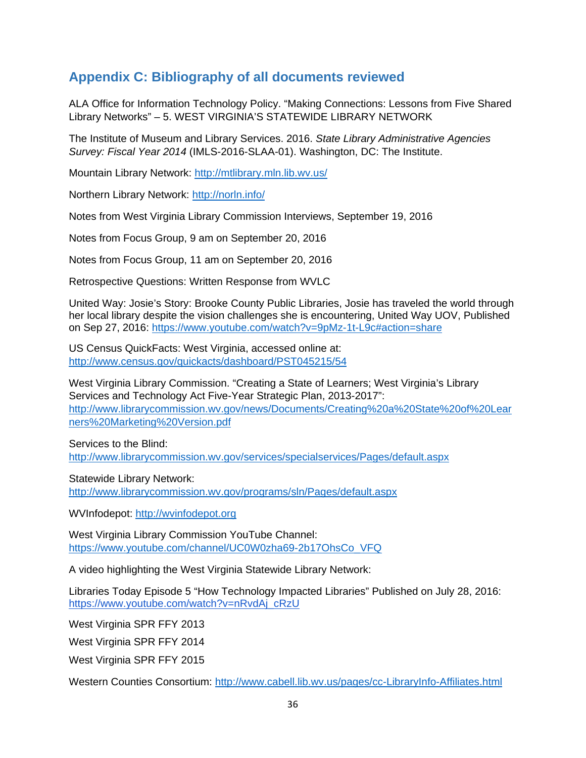## **Appendix C: Bibliography of all documents reviewed**

ALA Office for Information Technology Policy. "Making Connections: Lessons from Five Shared Library Networks" – 5. WEST VIRGINIA'S STATEWIDE LIBRARY NETWORK

The Institute of Museum and Library Services. 2016. *State Library Administrative Agencies Survey: Fiscal Year 2014* (IMLS-2016-SLAA-01). Washington, DC: The Institute.

Mountain Library Network: http://mtlibrary.mln.lib.wv.us/

Northern Library Network: http://norln.info/

Notes from West Virginia Library Commission Interviews, September 19, 2016

Notes from Focus Group, 9 am on September 20, 2016

Notes from Focus Group, 11 am on September 20, 2016

Retrospective Questions: Written Response from WVLC

United Way: Josie's Story: Brooke County Public Libraries, Josie has traveled the world through her local library despite the vision challenges she is encountering, United Way UOV, Published on Sep 27, 2016: https://www.youtube.com/watch?v=9pMz-1t-L9c#action=share

US Census QuickFacts: West Virginia, accessed online at: http://www.census.gov/quickacts/dashboard/PST045215/54

West Virginia Library Commission. "Creating a State of Learners; West Virginia's Library Services and Technology Act Five-Year Strategic Plan, 2013-2017": http://www.librarycommission.wv.gov/news/Documents/Creating%20a%20State%20of%20Lear ners%20Marketing%20Version.pdf

Services to the Blind: http://www.librarycommission.wv.gov/services/specialservices/Pages/default.aspx

Statewide Library Network: http://www.librarycommission.wv.gov/programs/sln/Pages/default.aspx

WVInfodepot: http://wvinfodepot.org

West Virginia Library Commission YouTube Channel: https://www.youtube.com/channel/UC0W0zha69-2b17OhsCo\_VFQ

A video highlighting the West Virginia Statewide Library Network:

Libraries Today Episode 5 "How Technology Impacted Libraries" Published on July 28, 2016: https://www.youtube.com/watch?v=nRvdAj\_cRzU

West Virginia SPR FFY 2013

West Virginia SPR FFY 2014

West Virginia SPR FFY 2015

Western Counties Consortium: http://www.cabell.lib.wv.us/pages/cc-LibraryInfo-Affiliates.html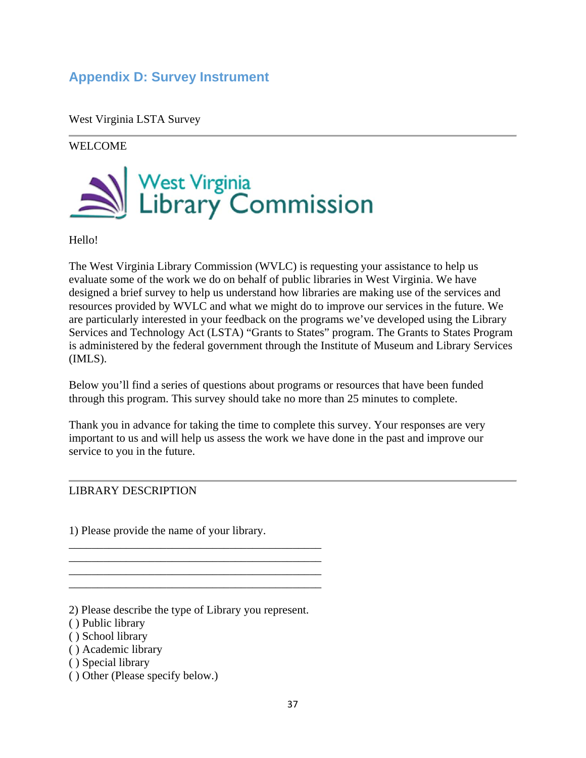# **Appendix D: Survey Instrument**

West Virginia LSTA Survey

WELCOME



Hello!

The West Virginia Library Commission (WVLC) is requesting your assistance to help us evaluate some of the work we do on behalf of public libraries in West Virginia. We have designed a brief survey to help us understand how libraries are making use of the services and resources provided by WVLC and what we might do to improve our services in the future. We are particularly interested in your feedback on the programs we've developed using the Library Services and Technology Act (LSTA) "Grants to States" program. The Grants to States Program is administered by the federal government through the Institute of Museum and Library Services (IMLS).

Below you'll find a series of questions about programs or resources that have been funded through this program. This survey should take no more than 25 minutes to complete.

Thank you in advance for taking the time to complete this survey. Your responses are very important to us and will help us assess the work we have done in the past and improve our service to you in the future.

### LIBRARY DESCRIPTION

1) Please provide the name of your library.

2) Please describe the type of Library you represent.

\_\_\_\_\_\_\_\_\_\_\_\_\_\_\_\_\_\_\_\_\_\_\_\_\_\_\_\_\_\_\_\_\_\_\_\_\_\_\_\_\_\_\_\_ \_\_\_\_\_\_\_\_\_\_\_\_\_\_\_\_\_\_\_\_\_\_\_\_\_\_\_\_\_\_\_\_\_\_\_\_\_\_\_\_\_\_\_\_ \_\_\_\_\_\_\_\_\_\_\_\_\_\_\_\_\_\_\_\_\_\_\_\_\_\_\_\_\_\_\_\_\_\_\_\_\_\_\_\_\_\_\_\_ \_\_\_\_\_\_\_\_\_\_\_\_\_\_\_\_\_\_\_\_\_\_\_\_\_\_\_\_\_\_\_\_\_\_\_\_\_\_\_\_\_\_\_\_

( ) Public library

- ( ) School library
- ( ) Academic library
- ( ) Special library
- ( ) Other (Please specify below.)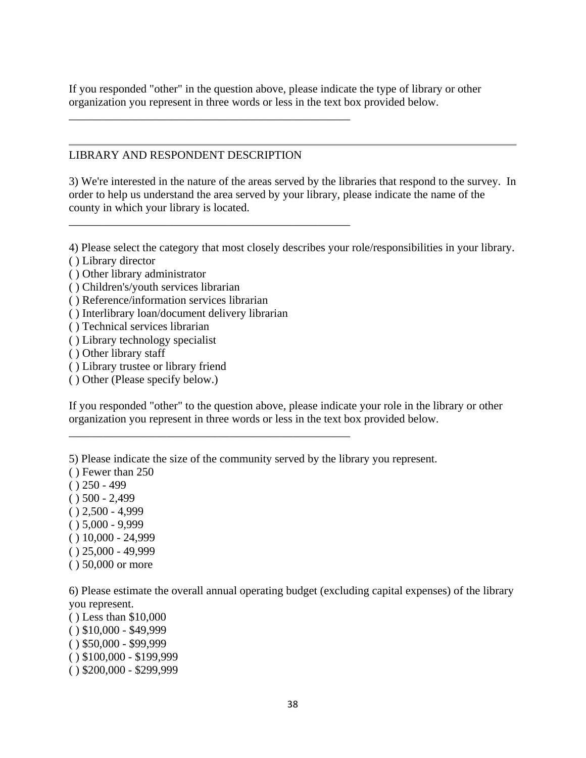If you responded "other" in the question above, please indicate the type of library or other organization you represent in three words or less in the text box provided below.

### LIBRARY AND RESPONDENT DESCRIPTION

\_\_\_\_\_\_\_\_\_\_\_\_\_\_\_\_\_\_\_\_\_\_\_\_\_\_\_\_\_\_\_\_\_\_\_\_\_\_\_\_\_\_\_\_\_\_\_\_\_

\_\_\_\_\_\_\_\_\_\_\_\_\_\_\_\_\_\_\_\_\_\_\_\_\_\_\_\_\_\_\_\_\_\_\_\_\_\_\_\_\_\_\_\_\_\_\_\_\_

\_\_\_\_\_\_\_\_\_\_\_\_\_\_\_\_\_\_\_\_\_\_\_\_\_\_\_\_\_\_\_\_\_\_\_\_\_\_\_\_\_\_\_\_\_\_\_\_\_

3) We're interested in the nature of the areas served by the libraries that respond to the survey. In order to help us understand the area served by your library, please indicate the name of the county in which your library is located.

4) Please select the category that most closely describes your role/responsibilities in your library.

- ( ) Library director
- ( ) Other library administrator
- ( ) Children's/youth services librarian
- ( ) Reference/information services librarian
- ( ) Interlibrary loan/document delivery librarian
- ( ) Technical services librarian
- ( ) Library technology specialist
- ( ) Other library staff
- ( ) Library trustee or library friend
- ( ) Other (Please specify below.)

If you responded "other" to the question above, please indicate your role in the library or other organization you represent in three words or less in the text box provided below.

5) Please indicate the size of the community served by the library you represent.

- ( ) Fewer than 250
- $( ) 250 499$
- $( ) 500 2,499$
- $( ) 2,500 4,999$
- $( ) 5,000 9,999$
- $( ) 10,000 24,999$
- $( ) 25,000 49,999$
- ( ) 50,000 or more

6) Please estimate the overall annual operating budget (excluding capital expenses) of the library you represent.

( ) Less than \$10,000  $( )$  \$10,000 - \$49,999  $( )$  \$50,000 - \$99,999  $( )$  \$100,000 - \$199,999 ( ) \$200,000 - \$299,999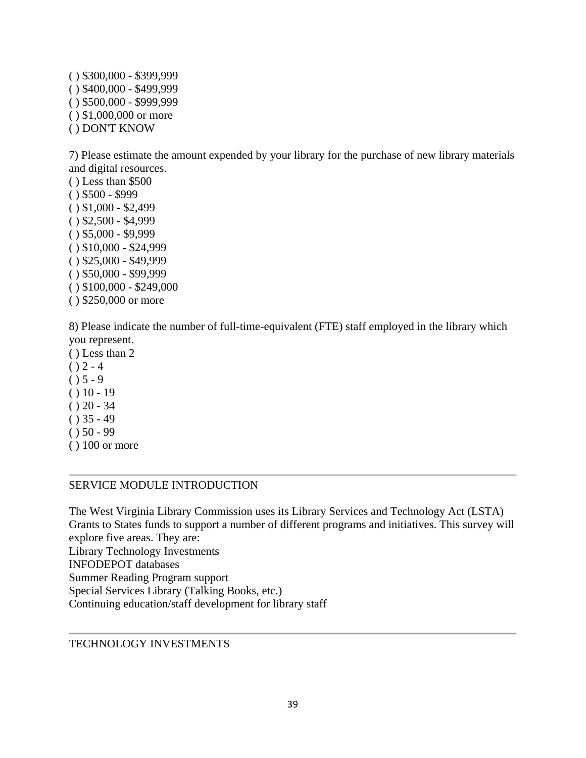$( )$  \$300,000 - \$399,999 ( ) \$400,000 - \$499,999 ( ) \$500,000 - \$999,999 ( ) \$1,000,000 or more ( ) DON'T KNOW

7) Please estimate the amount expended by your library for the purchase of new library materials and digital resources.

( ) Less than \$500 ( ) \$500 - \$999  $( )$  \$1,000 - \$2,499  $( )$  \$2,500 - \$4,999  $( )$  \$5,000 - \$9,999  $( ) $10,000 - $24,999$  $( )$  \$25,000 - \$49,999  $( )$  \$50,000 - \$99,999  $( )$  \$100,000 - \$249,000 ( ) \$250,000 or more

8) Please indicate the number of full-time-equivalent (FTE) staff employed in the library which you represent.

- ( ) Less than 2  $() 2 - 4$  $() 5 - 9$  $() 10 - 19$  $() 20 - 34$
- $( ) 35 49$
- $() 50 99$
- ( ) 100 or more

## SERVICE MODULE INTRODUCTION

The West Virginia Library Commission uses its Library Services and Technology Act (LSTA) Grants to States funds to support a number of different programs and initiatives. This survey will explore five areas. They are: Library Technology Investments INFODEPOT databases Summer Reading Program support Special Services Library (Talking Books, etc.) Continuing education/staff development for library staff

TECHNOLOGY INVESTMENTS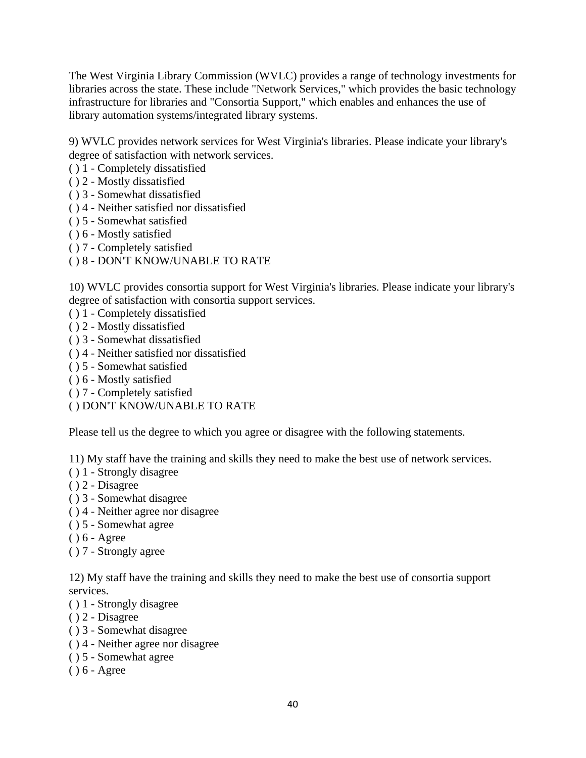The West Virginia Library Commission (WVLC) provides a range of technology investments for libraries across the state. These include "Network Services," which provides the basic technology infrastructure for libraries and "Consortia Support," which enables and enhances the use of library automation systems/integrated library systems.

9) WVLC provides network services for West Virginia's libraries. Please indicate your library's degree of satisfaction with network services.

- ( ) 1 Completely dissatisfied
- ( ) 2 Mostly dissatisfied
- ( ) 3 Somewhat dissatisfied
- ( ) 4 Neither satisfied nor dissatisfied
- ( ) 5 Somewhat satisfied
- ( ) 6 Mostly satisfied
- ( ) 7 Completely satisfied
- ( ) 8 DON'T KNOW/UNABLE TO RATE

10) WVLC provides consortia support for West Virginia's libraries. Please indicate your library's degree of satisfaction with consortia support services.

- ( ) 1 Completely dissatisfied
- ( ) 2 Mostly dissatisfied
- ( ) 3 Somewhat dissatisfied
- ( ) 4 Neither satisfied nor dissatisfied
- ( ) 5 Somewhat satisfied
- ( ) 6 Mostly satisfied
- ( ) 7 Completely satisfied
- ( ) DON'T KNOW/UNABLE TO RATE

Please tell us the degree to which you agree or disagree with the following statements.

11) My staff have the training and skills they need to make the best use of network services.

- ( ) 1 Strongly disagree
- ( ) 2 Disagree
- ( ) 3 Somewhat disagree
- ( ) 4 Neither agree nor disagree
- ( ) 5 Somewhat agree
- ( ) 6 Agree
- ( ) 7 Strongly agree

12) My staff have the training and skills they need to make the best use of consortia support services.

- ( ) 1 Strongly disagree
- ( ) 2 Disagree
- ( ) 3 Somewhat disagree
- ( ) 4 Neither agree nor disagree
- ( ) 5 Somewhat agree
- ( ) 6 Agree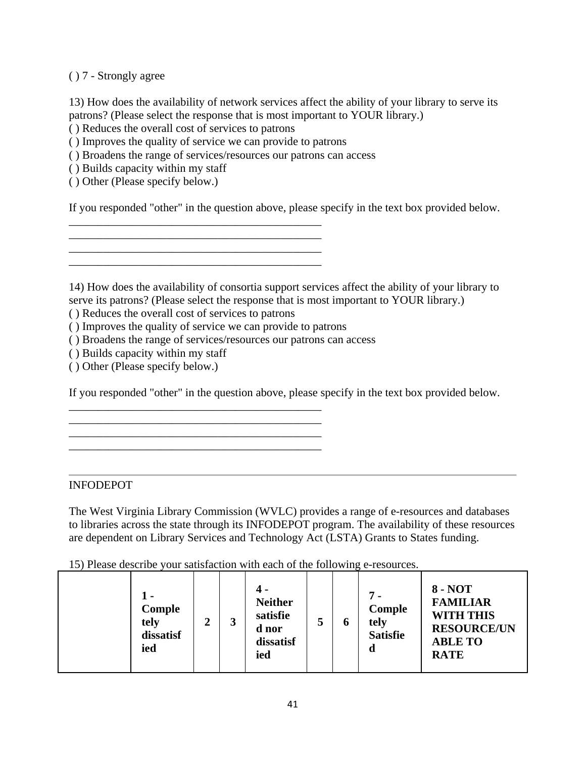( ) 7 - Strongly agree

13) How does the availability of network services affect the ability of your library to serve its patrons? (Please select the response that is most important to YOUR library.)

( ) Reduces the overall cost of services to patrons

( ) Improves the quality of service we can provide to patrons

\_\_\_\_\_\_\_\_\_\_\_\_\_\_\_\_\_\_\_\_\_\_\_\_\_\_\_\_\_\_\_\_\_\_\_\_\_\_\_\_\_\_\_\_ \_\_\_\_\_\_\_\_\_\_\_\_\_\_\_\_\_\_\_\_\_\_\_\_\_\_\_\_\_\_\_\_\_\_\_\_\_\_\_\_\_\_\_\_ \_\_\_\_\_\_\_\_\_\_\_\_\_\_\_\_\_\_\_\_\_\_\_\_\_\_\_\_\_\_\_\_\_\_\_\_\_\_\_\_\_\_\_\_ \_\_\_\_\_\_\_\_\_\_\_\_\_\_\_\_\_\_\_\_\_\_\_\_\_\_\_\_\_\_\_\_\_\_\_\_\_\_\_\_\_\_\_\_

( ) Broadens the range of services/resources our patrons can access

( ) Builds capacity within my staff

( ) Other (Please specify below.)

If you responded "other" in the question above, please specify in the text box provided below.

14) How does the availability of consortia support services affect the ability of your library to serve its patrons? (Please select the response that is most important to YOUR library.)

( ) Reduces the overall cost of services to patrons

( ) Improves the quality of service we can provide to patrons

\_\_\_\_\_\_\_\_\_\_\_\_\_\_\_\_\_\_\_\_\_\_\_\_\_\_\_\_\_\_\_\_\_\_\_\_\_\_\_\_\_\_\_\_

\_\_\_\_\_\_\_\_\_\_\_\_\_\_\_\_\_\_\_\_\_\_\_\_\_\_\_\_\_\_\_\_\_\_\_\_\_\_\_\_\_\_\_\_ \_\_\_\_\_\_\_\_\_\_\_\_\_\_\_\_\_\_\_\_\_\_\_\_\_\_\_\_\_\_\_\_\_\_\_\_\_\_\_\_\_\_\_\_

( ) Broadens the range of services/resources our patrons can access

( ) Builds capacity within my staff

( ) Other (Please specify below.)

If you responded "other" in the question above, please specify in the text box provided below.

### INFODEPOT

The West Virginia Library Commission (WVLC) provides a range of e-resources and databases to libraries across the state through its INFODEPOT program. The availability of these resources are dependent on Library Services and Technology Act (LSTA) Grants to States funding.

15) Please describe your satisfaction with each of the following e-resources.

| tely<br>ied | Comple<br>◠<br>dissatisf |  | 4 -<br><b>Neither</b><br>satisfie<br>d nor<br>dissatisf<br>ied | 5 | O | $7 -$<br>Comple<br>tely<br><b>Satisfie</b><br>d | $8 - NOT$<br><b>FAMILIAR</b><br><b>WITH THIS</b><br><b>RESOURCE/UN</b><br><b>ABLE TO</b><br><b>RATE</b> |
|-------------|--------------------------|--|----------------------------------------------------------------|---|---|-------------------------------------------------|---------------------------------------------------------------------------------------------------------|
|-------------|--------------------------|--|----------------------------------------------------------------|---|---|-------------------------------------------------|---------------------------------------------------------------------------------------------------------|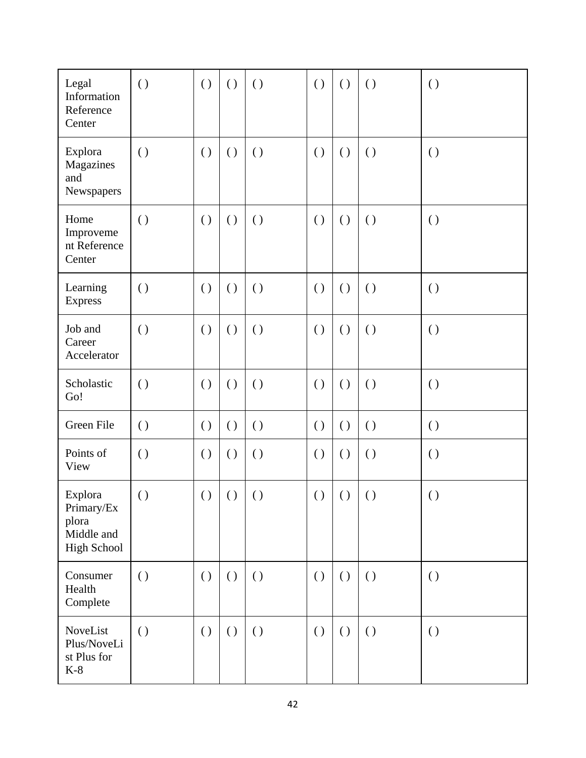| Legal<br>Information<br>Reference<br>Center                        | $\left( \right)$   | $\left( \right)$   | $\left( \ \right)$ | $\left( \right)$   | $\left( \ \right)$ | $\left( \right)$   | $\left( \ \right)$ | $\left( \ \right)$ |
|--------------------------------------------------------------------|--------------------|--------------------|--------------------|--------------------|--------------------|--------------------|--------------------|--------------------|
| Explora<br>Magazines<br>and<br>Newspapers                          | $\left( \ \right)$ | $\left( \right)$   | $\left( \ \right)$ | $\left( \ \right)$ | $\left( \right)$   | $\left( \right)$   | $\left( \ \right)$ | $\left( \ \right)$ |
| Home<br>Improveme<br>nt Reference<br>Center                        | $\left( \right)$   | $\left( \right)$   | $\left( \ \right)$ | $\left( \ \right)$ | $\left( \right)$   | $\left( \right)$   | $\left( \ \right)$ | $\left( \ \right)$ |
| Learning<br><b>Express</b>                                         | $\left( \ \right)$ | $\left( \right)$   | $\left( \right)$   | $\left( \ \right)$ | $\left( \right)$   | $\left( \right)$   | $\left( \ \right)$ | $\left( \ \right)$ |
| Job and<br>Career<br>Accelerator                                   | $\left( \ \right)$ | $\left( \ \right)$ | $\left( \ \right)$ | $\left( \ \right)$ | $\left( \ \right)$ | $\left( \ \right)$ | $\left( \ \right)$ | $\left( \ \right)$ |
| Scholastic<br>Go!                                                  | $\left( \ \right)$ | $\left( \right)$   | $\left( \ \right)$ | $\left( \ \right)$ | $\left( \right)$   | $\left( \right)$   | $\left( \ \right)$ | $\left( \ \right)$ |
| Green File                                                         | $\left( \ \right)$ | $\left( \ \right)$ | $\left( \ \right)$ | $\left( \ \right)$ | $\left( \ \right)$ | $\left( \ \right)$ | $\left( \ \right)$ | $\left( \ \right)$ |
| Points of<br>View                                                  | $\left( \ \right)$ | $\left( \right)$   | $\left( \ \right)$ | $\left( \ \right)$ | $\left( \right)$   | $\left( \ \right)$ | $\left( \ \right)$ | $\left( \ \right)$ |
| Explora<br>Primary/Ex<br>plora<br>Middle and<br><b>High School</b> | $\left( \ \right)$ |                    | ()   ()            | $\left( \right)$   |                    | ()   ()            | $\left( \ \right)$ | $\left( \ \right)$ |
| Consumer<br>Health<br>Complete                                     | $\left( \ \right)$ | $\left( \ \right)$ | $\left( \ \right)$ | $\left( \ \right)$ | $\left( \ \right)$ | $\left( \right)$   | $\left( \ \right)$ | $\left( \ \right)$ |
| NoveList<br>Plus/NoveLi<br>st Plus for<br>$K-8$                    | $\left( \ \right)$ | $\left( \right)$   | $\left( \ \right)$ | $\left( \ \right)$ | $\left( \ \right)$ | $\left( \ \right)$ | $\left( \ \right)$ | $\left( \ \right)$ |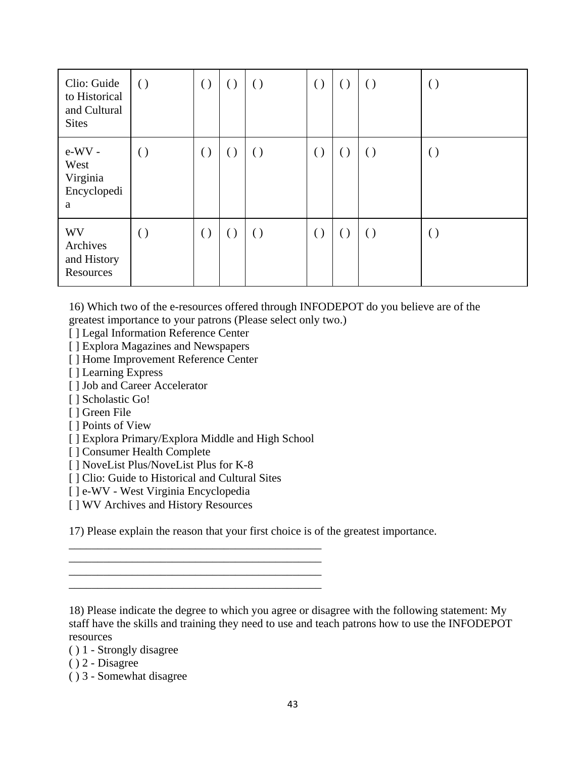| Clio: Guide<br>to Historical<br>and Cultural<br><b>Sites</b> | $\left( \right)$ | $\left( \right)$ | $\left( \right)$ | $\left( \right)$ | $\left( \right)$ | $\left( \right)$ | $\left( \right)$ | $\left( \right)$ |
|--------------------------------------------------------------|------------------|------------------|------------------|------------------|------------------|------------------|------------------|------------------|
| $e-WV$ -<br>West<br>Virginia<br>Encyclopedi<br>a             | $\left( \right)$ | $\left( \right)$ | $\left( \right)$ | $\left( \right)$ | $\left( \right)$ | $\left( \right)$ | $\left( \right)$ | $\left( \right)$ |
| <b>WV</b><br>Archives<br>and History<br>Resources            | $\left( \right)$ | $\left( \right)$ | $\left( \right)$ | $\left( \right)$ | $\left( \right)$ | $\left( \right)$ | $\left( \right)$ | $\left( \right)$ |

16) Which two of the e-resources offered through INFODEPOT do you believe are of the greatest importance to your patrons (Please select only two.)

[ ] Legal Information Reference Center

[ ] Explora Magazines and Newspapers

[ ] Home Improvement Reference Center

[ ] Learning Express

[ ] Job and Career Accelerator

[ ] Scholastic Go!

[ ] Green File

[ ] Points of View

[ ] Explora Primary/Explora Middle and High School

[ ] Consumer Health Complete

[ ] NoveList Plus/NoveList Plus for K-8

[] Clio: Guide to Historical and Cultural Sites

[ ] e-WV - West Virginia Encyclopedia

[ ] WV Archives and History Resources

17) Please explain the reason that your first choice is of the greatest importance.

\_\_\_\_\_\_\_\_\_\_\_\_\_\_\_\_\_\_\_\_\_\_\_\_\_\_\_\_\_\_\_\_\_\_\_\_\_\_\_\_\_\_\_\_ \_\_\_\_\_\_\_\_\_\_\_\_\_\_\_\_\_\_\_\_\_\_\_\_\_\_\_\_\_\_\_\_\_\_\_\_\_\_\_\_\_\_\_\_

\_\_\_\_\_\_\_\_\_\_\_\_\_\_\_\_\_\_\_\_\_\_\_\_\_\_\_\_\_\_\_\_\_\_\_\_\_\_\_\_\_\_\_\_

 $\overline{\phantom{a}}$  , where  $\overline{\phantom{a}}$  , where  $\overline{\phantom{a}}$  , where  $\overline{\phantom{a}}$  , where  $\overline{\phantom{a}}$  , where  $\overline{\phantom{a}}$ 

18) Please indicate the degree to which you agree or disagree with the following statement: My staff have the skills and training they need to use and teach patrons how to use the INFODEPOT resources

( ) 1 - Strongly disagree

( ) 2 - Disagree

( ) 3 - Somewhat disagree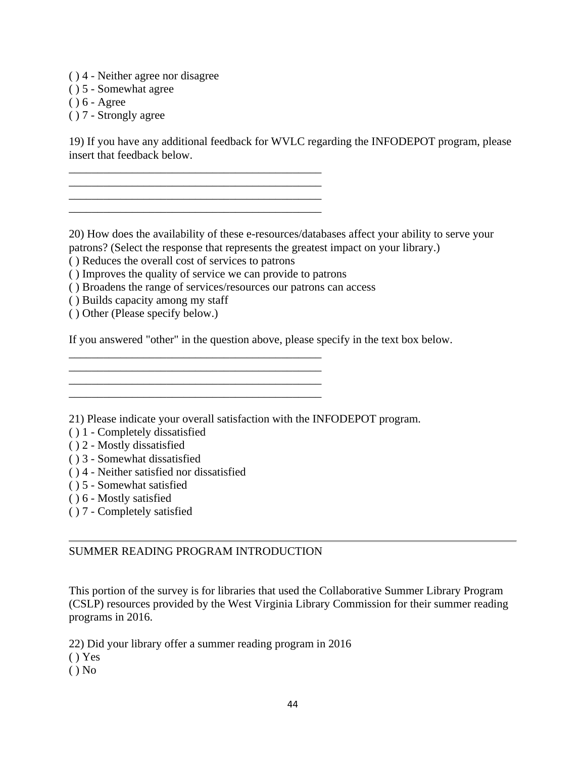- ( ) 4 Neither agree nor disagree
- ( ) 5 Somewhat agree
- ( ) 6 Agree
- ( ) 7 Strongly agree

19) If you have any additional feedback for WVLC regarding the INFODEPOT program, please insert that feedback below.

20) How does the availability of these e-resources/databases affect your ability to serve your patrons? (Select the response that represents the greatest impact on your library.)

( ) Reduces the overall cost of services to patrons

\_\_\_\_\_\_\_\_\_\_\_\_\_\_\_\_\_\_\_\_\_\_\_\_\_\_\_\_\_\_\_\_\_\_\_\_\_\_\_\_\_\_\_\_ \_\_\_\_\_\_\_\_\_\_\_\_\_\_\_\_\_\_\_\_\_\_\_\_\_\_\_\_\_\_\_\_\_\_\_\_\_\_\_\_\_\_\_\_  $\mathcal{L}_\text{max}$  and  $\mathcal{L}_\text{max}$  and  $\mathcal{L}_\text{max}$  and  $\mathcal{L}_\text{max}$ \_\_\_\_\_\_\_\_\_\_\_\_\_\_\_\_\_\_\_\_\_\_\_\_\_\_\_\_\_\_\_\_\_\_\_\_\_\_\_\_\_\_\_\_

( ) Improves the quality of service we can provide to patrons

\_\_\_\_\_\_\_\_\_\_\_\_\_\_\_\_\_\_\_\_\_\_\_\_\_\_\_\_\_\_\_\_\_\_\_\_\_\_\_\_\_\_\_\_ \_\_\_\_\_\_\_\_\_\_\_\_\_\_\_\_\_\_\_\_\_\_\_\_\_\_\_\_\_\_\_\_\_\_\_\_\_\_\_\_\_\_\_\_ \_\_\_\_\_\_\_\_\_\_\_\_\_\_\_\_\_\_\_\_\_\_\_\_\_\_\_\_\_\_\_\_\_\_\_\_\_\_\_\_\_\_\_\_

 $\mathcal{L}_\text{max}$  and  $\mathcal{L}_\text{max}$  and  $\mathcal{L}_\text{max}$  and  $\mathcal{L}_\text{max}$  and  $\mathcal{L}_\text{max}$ 

- ( ) Broadens the range of services/resources our patrons can access
- ( ) Builds capacity among my staff
- ( ) Other (Please specify below.)

If you answered "other" in the question above, please specify in the text box below.

21) Please indicate your overall satisfaction with the INFODEPOT program.

- ( ) 1 Completely dissatisfied
- ( ) 2 Mostly dissatisfied
- ( ) 3 Somewhat dissatisfied
- ( ) 4 Neither satisfied nor dissatisfied
- ( ) 5 Somewhat satisfied
- ( ) 6 Mostly satisfied
- ( ) 7 Completely satisfied

### SUMMER READING PROGRAM INTRODUCTION

This portion of the survey is for libraries that used the Collaborative Summer Library Program (CSLP) resources provided by the West Virginia Library Commission for their summer reading programs in 2016.

22) Did your library offer a summer reading program in 2016

( ) Yes

 $()$  No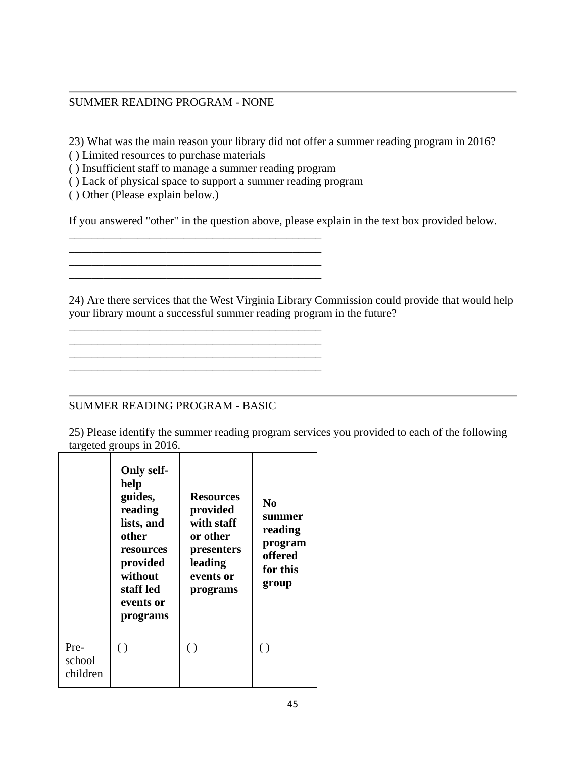### SUMMER READING PROGRAM - NONE

23) What was the main reason your library did not offer a summer reading program in 2016?

( ) Limited resources to purchase materials

( ) Insufficient staff to manage a summer reading program

( ) Lack of physical space to support a summer reading program

\_\_\_\_\_\_\_\_\_\_\_\_\_\_\_\_\_\_\_\_\_\_\_\_\_\_\_\_\_\_\_\_\_\_\_\_\_\_\_\_\_\_\_\_

\_\_\_\_\_\_\_\_\_\_\_\_\_\_\_\_\_\_\_\_\_\_\_\_\_\_\_\_\_\_\_\_\_\_\_\_\_\_\_\_\_\_\_\_

\_\_\_\_\_\_\_\_\_\_\_\_\_\_\_\_\_\_\_\_\_\_\_\_\_\_\_\_\_\_\_\_\_\_\_\_\_\_\_\_\_\_\_\_

\_\_\_\_\_\_\_\_\_\_\_\_\_\_\_\_\_\_\_\_\_\_\_\_\_\_\_\_\_\_\_\_\_\_\_\_\_\_\_\_\_\_\_\_ \_\_\_\_\_\_\_\_\_\_\_\_\_\_\_\_\_\_\_\_\_\_\_\_\_\_\_\_\_\_\_\_\_\_\_\_\_\_\_\_\_\_\_\_

\_\_\_\_\_\_\_\_\_\_\_\_\_\_\_\_\_\_\_\_\_\_\_\_\_\_\_\_\_\_\_\_\_\_\_\_\_\_\_\_\_\_\_\_

( ) Other (Please explain below.)

If you answered "other" in the question above, please explain in the text box provided below.

24) Are there services that the West Virginia Library Commission could provide that would help your library mount a successful summer reading program in the future?

## SUMMER READING PROGRAM - BASIC

25) Please identify the summer reading program services you provided to each of the following targeted groups in 2016.

|                            | <b>Only self-</b><br>help<br>guides,<br>reading<br>lists, and<br>other<br><b>resources</b><br>provided<br>without<br>staff led<br>events or<br>programs | <b>Resources</b><br>provided<br>with staff<br>or other<br>presenters<br>leading<br>events or<br>programs | N <sub>0</sub><br>summer<br>reading<br>program<br>offered<br>for this<br>group |
|----------------------------|---------------------------------------------------------------------------------------------------------------------------------------------------------|----------------------------------------------------------------------------------------------------------|--------------------------------------------------------------------------------|
| Pre-<br>school<br>children | $\left( \ \right)$                                                                                                                                      | $\left( \ \right)$                                                                                       | ( )                                                                            |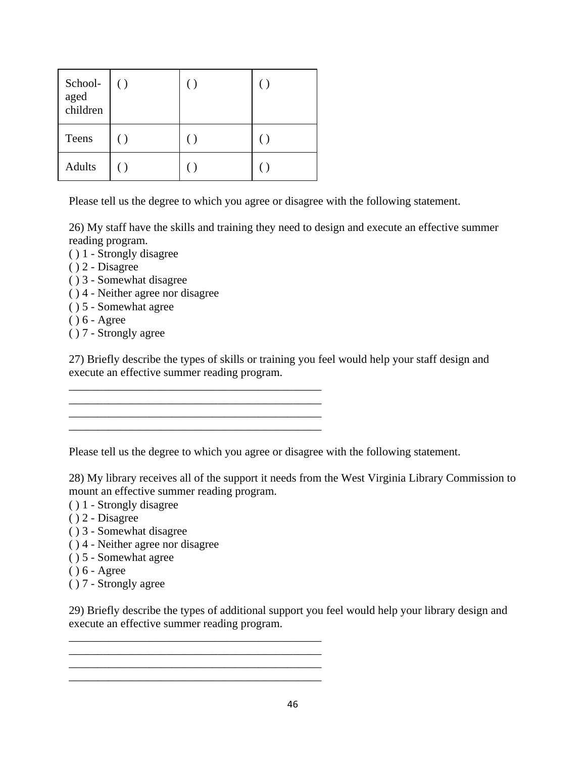| School-<br>aged<br>children | $\left( \ \right)$ |  |
|-----------------------------|--------------------|--|
| Teens                       |                    |  |
| <b>Adults</b>               |                    |  |

Please tell us the degree to which you agree or disagree with the following statement.

26) My staff have the skills and training they need to design and execute an effective summer reading program.

- ( ) 1 Strongly disagree
- ( ) 2 Disagree
- ( ) 3 Somewhat disagree
- ( ) 4 Neither agree nor disagree
- ( ) 5 Somewhat agree
- ( ) 6 Agree
- ( ) 7 Strongly agree

27) Briefly describe the types of skills or training you feel would help your staff design and execute an effective summer reading program.

Please tell us the degree to which you agree or disagree with the following statement.

\_\_\_\_\_\_\_\_\_\_\_\_\_\_\_\_\_\_\_\_\_\_\_\_\_\_\_\_\_\_\_\_\_\_\_\_\_\_\_\_\_\_\_\_

\_\_\_\_\_\_\_\_\_\_\_\_\_\_\_\_\_\_\_\_\_\_\_\_\_\_\_\_\_\_\_\_\_\_\_\_\_\_\_\_\_\_\_\_ \_\_\_\_\_\_\_\_\_\_\_\_\_\_\_\_\_\_\_\_\_\_\_\_\_\_\_\_\_\_\_\_\_\_\_\_\_\_\_\_\_\_\_\_

\_\_\_\_\_\_\_\_\_\_\_\_\_\_\_\_\_\_\_\_\_\_\_\_\_\_\_\_\_\_\_\_\_\_\_\_\_\_\_\_\_\_\_\_

\_\_\_\_\_\_\_\_\_\_\_\_\_\_\_\_\_\_\_\_\_\_\_\_\_\_\_\_\_\_\_\_\_\_\_\_\_\_\_\_\_\_\_\_ \_\_\_\_\_\_\_\_\_\_\_\_\_\_\_\_\_\_\_\_\_\_\_\_\_\_\_\_\_\_\_\_\_\_\_\_\_\_\_\_\_\_\_\_ \_\_\_\_\_\_\_\_\_\_\_\_\_\_\_\_\_\_\_\_\_\_\_\_\_\_\_\_\_\_\_\_\_\_\_\_\_\_\_\_\_\_\_\_ \_\_\_\_\_\_\_\_\_\_\_\_\_\_\_\_\_\_\_\_\_\_\_\_\_\_\_\_\_\_\_\_\_\_\_\_\_\_\_\_\_\_\_\_

28) My library receives all of the support it needs from the West Virginia Library Commission to mount an effective summer reading program.

- ( ) 1 Strongly disagree
- ( ) 2 Disagree
- ( ) 3 Somewhat disagree
- ( ) 4 Neither agree nor disagree
- ( ) 5 Somewhat agree
- ( ) 6 Agree
- ( ) 7 Strongly agree

29) Briefly describe the types of additional support you feel would help your library design and execute an effective summer reading program.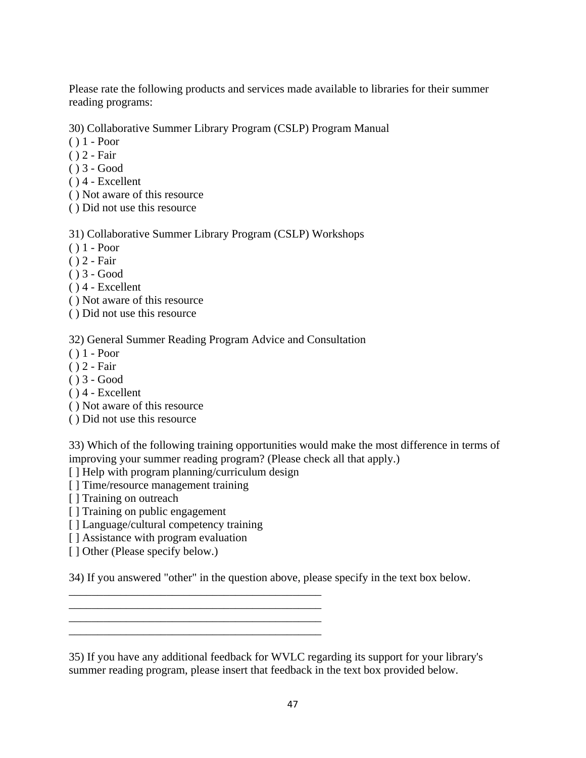Please rate the following products and services made available to libraries for their summer reading programs:

30) Collaborative Summer Library Program (CSLP) Program Manual

- ( ) 1 Poor
- ( ) 2 Fair
- ( ) 3 Good
- $( ) 4 Excellent$
- ( ) Not aware of this resource
- ( ) Did not use this resource

31) Collaborative Summer Library Program (CSLP) Workshops

- ( ) 1 Poor
- ( ) 2 Fair
- ( ) 3 Good
- ( ) 4 Excellent
- ( ) Not aware of this resource
- ( ) Did not use this resource

32) General Summer Reading Program Advice and Consultation

- ( ) 1 Poor
- ( ) 2 Fair
- ( ) 3 Good
- ( ) 4 Excellent
- ( ) Not aware of this resource
- ( ) Did not use this resource

33) Which of the following training opportunities would make the most difference in terms of improving your summer reading program? (Please check all that apply.)

[] Help with program planning/curriculum design

\_\_\_\_\_\_\_\_\_\_\_\_\_\_\_\_\_\_\_\_\_\_\_\_\_\_\_\_\_\_\_\_\_\_\_\_\_\_\_\_\_\_\_\_ \_\_\_\_\_\_\_\_\_\_\_\_\_\_\_\_\_\_\_\_\_\_\_\_\_\_\_\_\_\_\_\_\_\_\_\_\_\_\_\_\_\_\_\_ \_\_\_\_\_\_\_\_\_\_\_\_\_\_\_\_\_\_\_\_\_\_\_\_\_\_\_\_\_\_\_\_\_\_\_\_\_\_\_\_\_\_\_\_ \_\_\_\_\_\_\_\_\_\_\_\_\_\_\_\_\_\_\_\_\_\_\_\_\_\_\_\_\_\_\_\_\_\_\_\_\_\_\_\_\_\_\_\_

- [] Time/resource management training
- [ ] Training on outreach
- [ ] Training on public engagement
- [] Language/cultural competency training
- [ ] Assistance with program evaluation
- [ ] Other (Please specify below.)

34) If you answered "other" in the question above, please specify in the text box below.

35) If you have any additional feedback for WVLC regarding its support for your library's summer reading program, please insert that feedback in the text box provided below.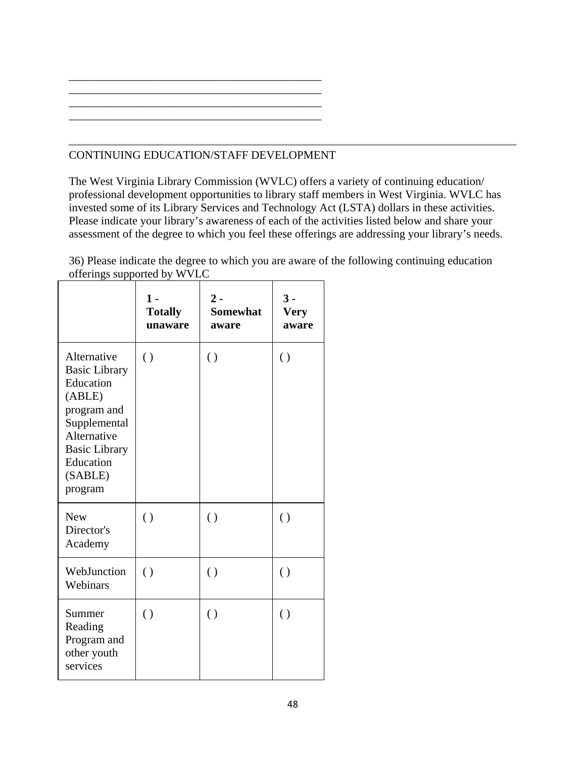## CONTINUING EDUCATION/STAFF DEVELOPMENT

The West Virginia Library Commission (WVLC) offers a variety of continuing education/ professional development opportunities to library staff members in West Virginia. WVLC has invested some of its Library Services and Technology Act (LSTA) dollars in these activities. Please indicate your library's awareness of each of the activities listed below and share your assessment of the degree to which you feel these offerings are addressing your library's needs.

36) Please indicate the degree to which you are aware of the following continuing education offerings supported by WVLC

|                                                                                                                                                                     | $1 -$<br><b>Totally</b><br>unaware | $2 -$<br><b>Somewhat</b><br>aware | $3 -$<br><b>Very</b><br>aware |
|---------------------------------------------------------------------------------------------------------------------------------------------------------------------|------------------------------------|-----------------------------------|-------------------------------|
| Alternative<br><b>Basic Library</b><br>Education<br>(ABLE)<br>program and<br>Supplemental<br>Alternative<br><b>Basic Library</b><br>Education<br>(SABLE)<br>program | $\left( \right)$                   | $\left( \right)$                  | $\left( \ \right)$            |
| <b>New</b><br>Director's<br>Academy                                                                                                                                 | $\left( \right)$                   | $\left( \right)$                  | $\left( \ \right)$            |
| WebJunction<br>Webinars                                                                                                                                             | $\left( \right)$                   | $\left( \right)$                  | $\left( \right)$              |
| Summer<br>Reading<br>Program and<br>other youth<br>services                                                                                                         | $\left( \right)$                   | $\left( \right)$                  | $\left( \ \right)$            |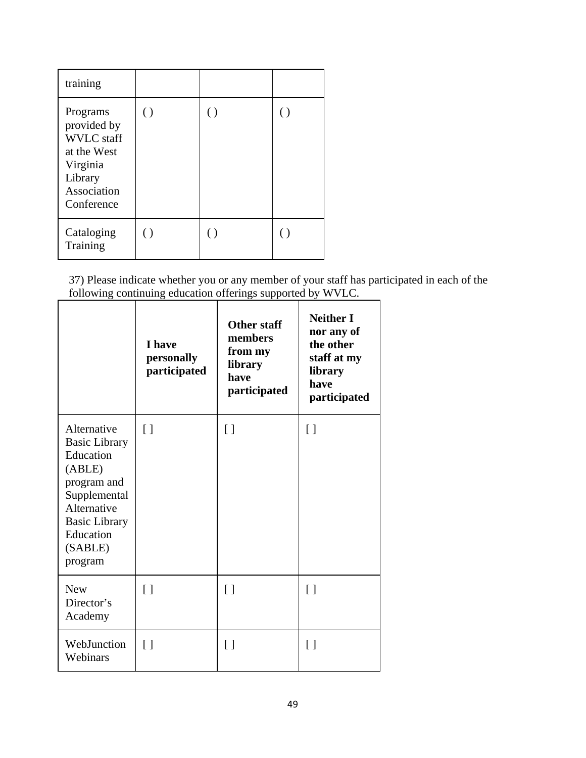| training                                                                                                        |                    |                  |   |
|-----------------------------------------------------------------------------------------------------------------|--------------------|------------------|---|
| Programs<br>provided by<br><b>WVLC</b> staff<br>at the West<br>Virginia<br>Library<br>Association<br>Conference | $\left( \ \right)$ | $\left( \right)$ | ⊖ |
| Cataloging<br>Training                                                                                          | $\left( \ \right)$ | $($ )            |   |

37) Please indicate whether you or any member of your staff has participated in each of the following continuing education offerings supported by WVLC.

|                                                                                                                                                                     | I have<br>personally<br>participated | <b>Other staff</b><br>members<br>from my<br>library<br>have<br>participated | <b>Neither I</b><br>nor any of<br>the other<br>staff at my<br>library<br>have<br>participated |
|---------------------------------------------------------------------------------------------------------------------------------------------------------------------|--------------------------------------|-----------------------------------------------------------------------------|-----------------------------------------------------------------------------------------------|
| Alternative<br><b>Basic Library</b><br>Education<br>(ABLE)<br>program and<br>Supplemental<br>Alternative<br><b>Basic Library</b><br>Education<br>(SABLE)<br>program | $\lceil$                             | $\lceil$                                                                    | $\lceil$                                                                                      |
| <b>New</b><br>Director's<br>Academy                                                                                                                                 | $\lceil$                             | $\lceil$                                                                    | $\lceil$                                                                                      |
| WebJunction<br>Webinars                                                                                                                                             | $\lceil$ $\rceil$                    | $\lceil$                                                                    | $\lceil$                                                                                      |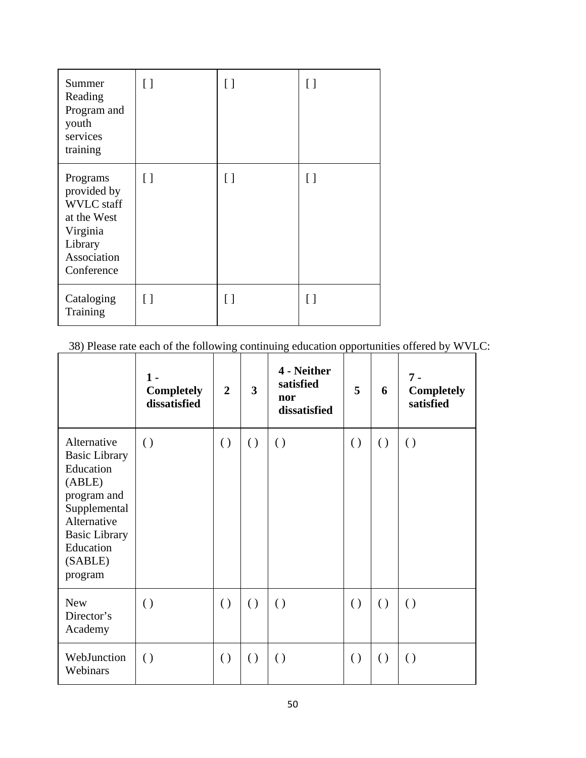| Summer<br>Reading<br>Program and<br>youth<br>services<br>training                                               | [ ]      | Γl       | $\left[ \ \right]$ |
|-----------------------------------------------------------------------------------------------------------------|----------|----------|--------------------|
| Programs<br>provided by<br><b>WVLC</b> staff<br>at the West<br>Virginia<br>Library<br>Association<br>Conference | $\lceil$ | $\lceil$ | $\lceil$           |
| Cataloging<br>Training                                                                                          | [ ]      |          | Γl                 |

38) Please rate each of the following continuing education opportunities offered by WVLC:

|                                                                                                                                                                     | 1 -<br><b>Completely</b><br>dissatisfied | $\overline{2}$   | 3                | 4 - Neither<br>satisfied<br>nor<br>dissatisfied | 5                | 6                | $7 -$<br><b>Completely</b><br>satisfied |
|---------------------------------------------------------------------------------------------------------------------------------------------------------------------|------------------------------------------|------------------|------------------|-------------------------------------------------|------------------|------------------|-----------------------------------------|
| Alternative<br><b>Basic Library</b><br>Education<br>(ABLE)<br>program and<br>Supplemental<br>Alternative<br><b>Basic Library</b><br>Education<br>(SABLE)<br>program | $\left( \right)$                         | $\left( \right)$ | $\left( \right)$ | $\left( \right)$                                | $\left( \right)$ | $\left( \right)$ | $\left( \right)$                        |
| <b>New</b><br>Director's<br>Academy                                                                                                                                 | $\left( \right)$                         | $\left( \right)$ | $\left( \right)$ | $\left( \right)$                                | $\left( \right)$ | $\left( \right)$ | $\left( \right)$                        |
| WebJunction<br>Webinars                                                                                                                                             | $\left( \right)$                         | $\left( \right)$ | $\left( \right)$ | $\left( \right)$                                | $\left( \right)$ | $\left( \right)$ | $\left( \right)$                        |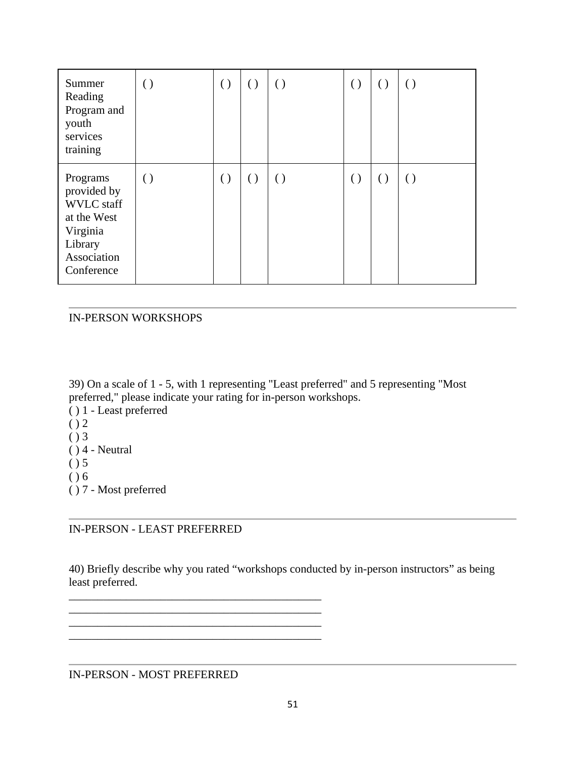| Summer<br>Reading<br>Program and<br>youth<br>services<br>training                                               | $\left( \right)$ | $\left( \ \right)$ | $\left( \right)$ | $\left( \right)$   | $\left( \right)$   | $\left( \right)$ | $\left( \right)$ |
|-----------------------------------------------------------------------------------------------------------------|------------------|--------------------|------------------|--------------------|--------------------|------------------|------------------|
| Programs<br>provided by<br><b>WVLC</b> staff<br>at the West<br>Virginia<br>Library<br>Association<br>Conference | $\left( \right)$ | $\left( \ \right)$ | $\left( \right)$ | $\left( \ \right)$ | $\left( \ \right)$ | $\left( \right)$ | $\left( \right)$ |

### IN-PERSON WORKSHOPS

39) On a scale of 1 - 5, with 1 representing "Least preferred" and 5 representing "Most preferred," please indicate your rating for in-person workshops.

- ( ) 1 Least preferred  $()2$
- $()3$
- $( ) 4 Neutral$
- $( ) 5$
- $( ) 6$
- ( ) 7 Most preferred

## IN-PERSON - LEAST PREFERRED

\_\_\_\_\_\_\_\_\_\_\_\_\_\_\_\_\_\_\_\_\_\_\_\_\_\_\_\_\_\_\_\_\_\_\_\_\_\_\_\_\_\_\_\_ \_\_\_\_\_\_\_\_\_\_\_\_\_\_\_\_\_\_\_\_\_\_\_\_\_\_\_\_\_\_\_\_\_\_\_\_\_\_\_\_\_\_\_\_

\_\_\_\_\_\_\_\_\_\_\_\_\_\_\_\_\_\_\_\_\_\_\_\_\_\_\_\_\_\_\_\_\_\_\_\_\_\_\_\_\_\_\_\_

40) Briefly describe why you rated "workshops conducted by in-person instructors" as being least preferred.

IN-PERSON - MOST PREFERRED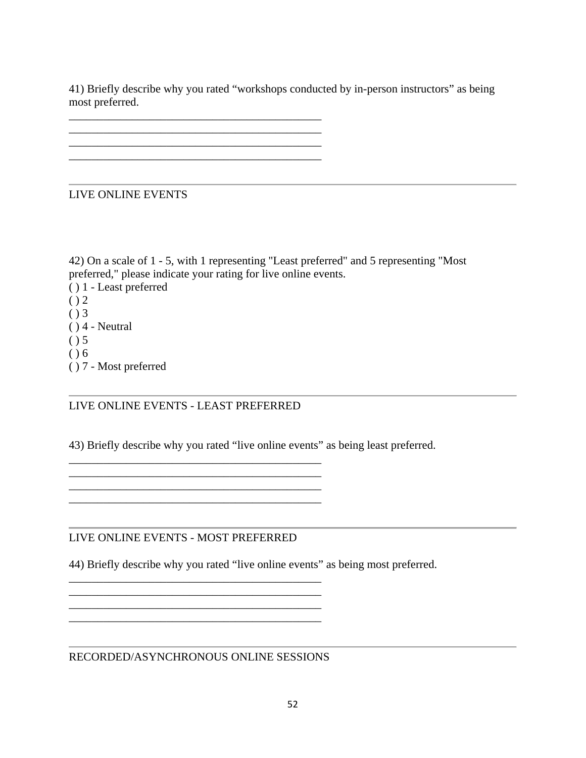41) Briefly describe why you rated "workshops conducted by in-person instructors" as being most preferred.

LIVE ONLINE EVENTS

42) On a scale of 1 - 5, with 1 representing "Least preferred" and 5 representing "Most preferred," please indicate your rating for live online events.

( ) 1 - Least preferred  $()2$  $()3$  $( ) 4 - Neutral$ 

- $( ) 5$
- $( ) 6$
- ( ) 7 Most preferred

## LIVE ONLINE EVENTS - LEAST PREFERRED

\_\_\_\_\_\_\_\_\_\_\_\_\_\_\_\_\_\_\_\_\_\_\_\_\_\_\_\_\_\_\_\_\_\_\_\_\_\_\_\_\_\_\_\_ \_\_\_\_\_\_\_\_\_\_\_\_\_\_\_\_\_\_\_\_\_\_\_\_\_\_\_\_\_\_\_\_\_\_\_\_\_\_\_\_\_\_\_\_  $\mathcal{L}_\text{max}$  , and the set of the set of the set of the set of the set of the set of the set of the set of the set of the set of the set of the set of the set of the set of the set of the set of the set of the set of the

\_\_\_\_\_\_\_\_\_\_\_\_\_\_\_\_\_\_\_\_\_\_\_\_\_\_\_\_\_\_\_\_\_\_\_\_\_\_\_\_\_\_\_\_  $\mathcal{L}_\text{max} = \mathcal{L}_\text{max} = \mathcal{L}_\text{max} = \mathcal{L}_\text{max} = \mathcal{L}_\text{max} = \mathcal{L}_\text{max} = \mathcal{L}_\text{max}$ \_\_\_\_\_\_\_\_\_\_\_\_\_\_\_\_\_\_\_\_\_\_\_\_\_\_\_\_\_\_\_\_\_\_\_\_\_\_\_\_\_\_\_\_

43) Briefly describe why you rated "live online events" as being least preferred.

LIVE ONLINE EVENTS - MOST PREFERRED

44) Briefly describe why you rated "live online events" as being most preferred.

RECORDED/ASYNCHRONOUS ONLINE SESSIONS

\_\_\_\_\_\_\_\_\_\_\_\_\_\_\_\_\_\_\_\_\_\_\_\_\_\_\_\_\_\_\_\_\_\_\_\_\_\_\_\_\_\_\_\_

\_\_\_\_\_\_\_\_\_\_\_\_\_\_\_\_\_\_\_\_\_\_\_\_\_\_\_\_\_\_\_\_\_\_\_\_\_\_\_\_\_\_\_\_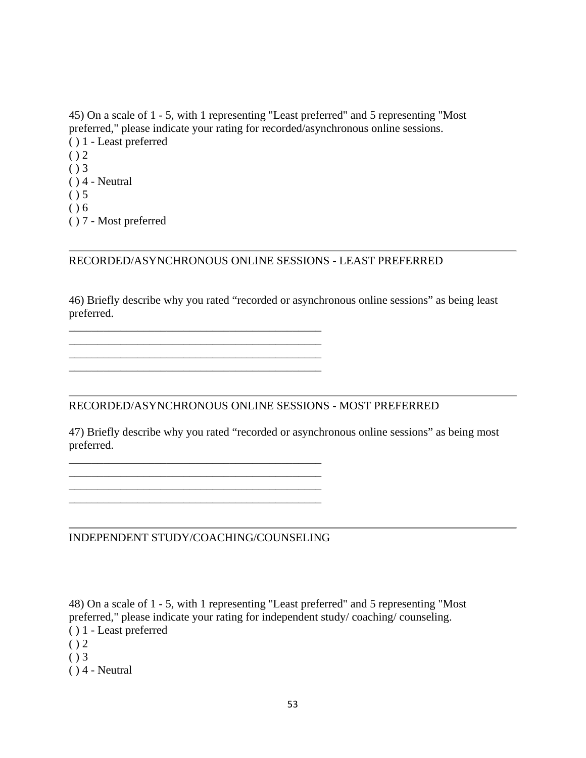45) On a scale of 1 - 5, with 1 representing "Least preferred" and 5 representing "Most preferred," please indicate your rating for recorded/asynchronous online sessions. ( ) 1 - Least preferred  $() 2$  $( ) 3$  $( ) 4 - Neutral$  $( ) 5$ 

- $( ) 6$
- ( ) 7 Most preferred

RECORDED/ASYNCHRONOUS ONLINE SESSIONS - LEAST PREFERRED

46) Briefly describe why you rated "recorded or asynchronous online sessions" as being least preferred.

RECORDED/ASYNCHRONOUS ONLINE SESSIONS - MOST PREFERRED

47) Briefly describe why you rated "recorded or asynchronous online sessions" as being most preferred.

INDEPENDENT STUDY/COACHING/COUNSELING

\_\_\_\_\_\_\_\_\_\_\_\_\_\_\_\_\_\_\_\_\_\_\_\_\_\_\_\_\_\_\_\_\_\_\_\_\_\_\_\_\_\_\_\_ \_\_\_\_\_\_\_\_\_\_\_\_\_\_\_\_\_\_\_\_\_\_\_\_\_\_\_\_\_\_\_\_\_\_\_\_\_\_\_\_\_\_\_\_

\_\_\_\_\_\_\_\_\_\_\_\_\_\_\_\_\_\_\_\_\_\_\_\_\_\_\_\_\_\_\_\_\_\_\_\_\_\_\_\_\_\_\_\_

\_\_\_\_\_\_\_\_\_\_\_\_\_\_\_\_\_\_\_\_\_\_\_\_\_\_\_\_\_\_\_\_\_\_\_\_\_\_\_\_\_\_\_\_ \_\_\_\_\_\_\_\_\_\_\_\_\_\_\_\_\_\_\_\_\_\_\_\_\_\_\_\_\_\_\_\_\_\_\_\_\_\_\_\_\_\_\_\_ \_\_\_\_\_\_\_\_\_\_\_\_\_\_\_\_\_\_\_\_\_\_\_\_\_\_\_\_\_\_\_\_\_\_\_\_\_\_\_\_\_\_\_\_  $\mathcal{L}_\text{max}$  , and the set of the set of the set of the set of the set of the set of the set of the set of the set of the set of the set of the set of the set of the set of the set of the set of the set of the set of the

48) On a scale of 1 - 5, with 1 representing "Least preferred" and 5 representing "Most preferred," please indicate your rating for independent study/ coaching/ counseling. ( ) 1 - Least preferred

- $() 2$
- $( ) 3$
- $( ) 4 Neutral$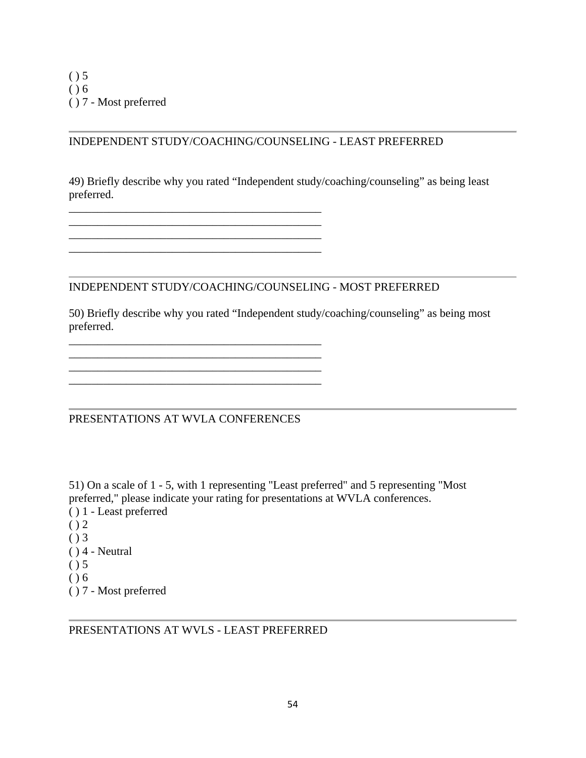## INDEPENDENT STUDY/COACHING/COUNSELING - LEAST PREFERRED

49) Briefly describe why you rated "Independent study/coaching/counseling" as being least preferred.

## INDEPENDENT STUDY/COACHING/COUNSELING - MOST PREFERRED

50) Briefly describe why you rated "Independent study/coaching/counseling" as being most preferred.

PRESENTATIONS AT WVLA CONFERENCES

\_\_\_\_\_\_\_\_\_\_\_\_\_\_\_\_\_\_\_\_\_\_\_\_\_\_\_\_\_\_\_\_\_\_\_\_\_\_\_\_\_\_\_\_

\_\_\_\_\_\_\_\_\_\_\_\_\_\_\_\_\_\_\_\_\_\_\_\_\_\_\_\_\_\_\_\_\_\_\_\_\_\_\_\_\_\_\_\_ \_\_\_\_\_\_\_\_\_\_\_\_\_\_\_\_\_\_\_\_\_\_\_\_\_\_\_\_\_\_\_\_\_\_\_\_\_\_\_\_\_\_\_\_

\_\_\_\_\_\_\_\_\_\_\_\_\_\_\_\_\_\_\_\_\_\_\_\_\_\_\_\_\_\_\_\_\_\_\_\_\_\_\_\_\_\_\_\_ \_\_\_\_\_\_\_\_\_\_\_\_\_\_\_\_\_\_\_\_\_\_\_\_\_\_\_\_\_\_\_\_\_\_\_\_\_\_\_\_\_\_\_\_ \_\_\_\_\_\_\_\_\_\_\_\_\_\_\_\_\_\_\_\_\_\_\_\_\_\_\_\_\_\_\_\_\_\_\_\_\_\_\_\_\_\_\_\_

51) On a scale of 1 - 5, with 1 representing "Least preferred" and 5 representing "Most preferred," please indicate your rating for presentations at WVLA conferences.

- ( ) 1 Least preferred
- $()2$
- $( ) 3$
- $( ) 4 Neutral$
- $( ) 5$
- $( ) 6$
- ( ) 7 Most preferred

PRESENTATIONS AT WVLS - LEAST PREFERRED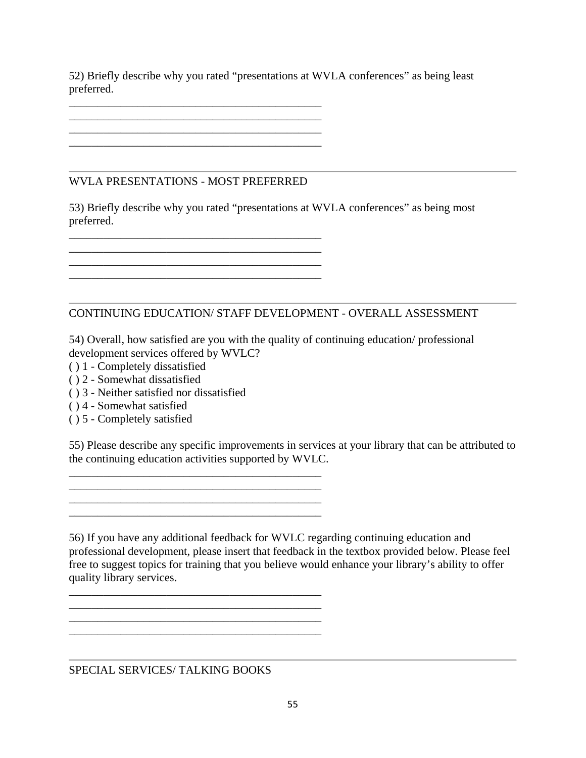52) Briefly describe why you rated "presentations at WVLA conferences" as being least preferred.

## WVLA PRESENTATIONS - MOST PREFERRED

\_\_\_\_\_\_\_\_\_\_\_\_\_\_\_\_\_\_\_\_\_\_\_\_\_\_\_\_\_\_\_\_\_\_\_\_\_\_\_\_\_\_\_\_

 $\mathcal{L}_\text{max} = \mathcal{L}_\text{max} = \mathcal{L}_\text{max} = \mathcal{L}_\text{max} = \mathcal{L}_\text{max} = \mathcal{L}_\text{max} = \mathcal{L}_\text{max}$ 

\_\_\_\_\_\_\_\_\_\_\_\_\_\_\_\_\_\_\_\_\_\_\_\_\_\_\_\_\_\_\_\_\_\_\_\_\_\_\_\_\_\_\_\_ \_\_\_\_\_\_\_\_\_\_\_\_\_\_\_\_\_\_\_\_\_\_\_\_\_\_\_\_\_\_\_\_\_\_\_\_\_\_\_\_\_\_\_\_  $\mathcal{L}_\text{max}$  and  $\mathcal{L}_\text{max}$  and  $\mathcal{L}_\text{max}$  and  $\mathcal{L}_\text{max}$  and  $\mathcal{L}_\text{max}$ \_\_\_\_\_\_\_\_\_\_\_\_\_\_\_\_\_\_\_\_\_\_\_\_\_\_\_\_\_\_\_\_\_\_\_\_\_\_\_\_\_\_\_\_

53) Briefly describe why you rated "presentations at WVLA conferences" as being most preferred.

## CONTINUING EDUCATION/ STAFF DEVELOPMENT - OVERALL ASSESSMENT

54) Overall, how satisfied are you with the quality of continuing education/ professional development services offered by WVLC?

- ( ) 1 Completely dissatisfied
- ( ) 2 Somewhat dissatisfied
- ( ) 3 Neither satisfied nor dissatisfied

\_\_\_\_\_\_\_\_\_\_\_\_\_\_\_\_\_\_\_\_\_\_\_\_\_\_\_\_\_\_\_\_\_\_\_\_\_\_\_\_\_\_\_\_ \_\_\_\_\_\_\_\_\_\_\_\_\_\_\_\_\_\_\_\_\_\_\_\_\_\_\_\_\_\_\_\_\_\_\_\_\_\_\_\_\_\_\_\_  $\mathcal{L}_\text{max}$  and  $\mathcal{L}_\text{max}$  and  $\mathcal{L}_\text{max}$  and  $\mathcal{L}_\text{max}$  and  $\mathcal{L}_\text{max}$ \_\_\_\_\_\_\_\_\_\_\_\_\_\_\_\_\_\_\_\_\_\_\_\_\_\_\_\_\_\_\_\_\_\_\_\_\_\_\_\_\_\_\_\_

\_\_\_\_\_\_\_\_\_\_\_\_\_\_\_\_\_\_\_\_\_\_\_\_\_\_\_\_\_\_\_\_\_\_\_\_\_\_\_\_\_\_\_\_

\_\_\_\_\_\_\_\_\_\_\_\_\_\_\_\_\_\_\_\_\_\_\_\_\_\_\_\_\_\_\_\_\_\_\_\_\_\_\_\_\_\_\_\_ \_\_\_\_\_\_\_\_\_\_\_\_\_\_\_\_\_\_\_\_\_\_\_\_\_\_\_\_\_\_\_\_\_\_\_\_\_\_\_\_\_\_\_\_  $\mathcal{L}_\text{max}$  and  $\mathcal{L}_\text{max}$  and  $\mathcal{L}_\text{max}$  and  $\mathcal{L}_\text{max}$  and  $\mathcal{L}_\text{max}$ 

- ( ) 4 Somewhat satisfied
- ( ) 5 Completely satisfied

55) Please describe any specific improvements in services at your library that can be attributed to the continuing education activities supported by WVLC.

56) If you have any additional feedback for WVLC regarding continuing education and professional development, please insert that feedback in the textbox provided below. Please feel free to suggest topics for training that you believe would enhance your library's ability to offer quality library services.

SPECIAL SERVICES/ TALKING BOOKS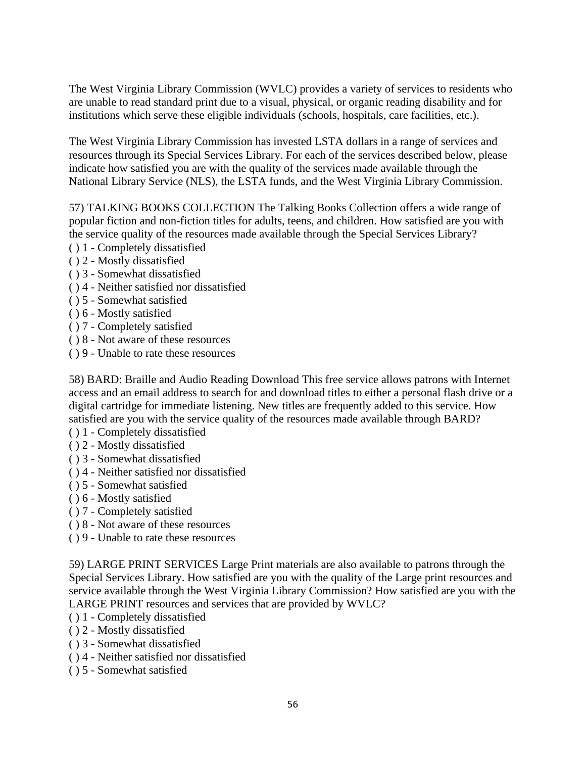The West Virginia Library Commission (WVLC) provides a variety of services to residents who are unable to read standard print due to a visual, physical, or organic reading disability and for institutions which serve these eligible individuals (schools, hospitals, care facilities, etc.).

The West Virginia Library Commission has invested LSTA dollars in a range of services and resources through its Special Services Library. For each of the services described below, please indicate how satisfied you are with the quality of the services made available through the National Library Service (NLS), the LSTA funds, and the West Virginia Library Commission.

57) TALKING BOOKS COLLECTION The Talking Books Collection offers a wide range of popular fiction and non-fiction titles for adults, teens, and children. How satisfied are you with the service quality of the resources made available through the Special Services Library?

- ( ) 1 Completely dissatisfied
- ( ) 2 Mostly dissatisfied
- ( ) 3 Somewhat dissatisfied
- ( ) 4 Neither satisfied nor dissatisfied
- ( ) 5 Somewhat satisfied
- ( ) 6 Mostly satisfied
- ( ) 7 Completely satisfied
- ( ) 8 Not aware of these resources
- ( ) 9 Unable to rate these resources

58) BARD: Braille and Audio Reading Download This free service allows patrons with Internet access and an email address to search for and download titles to either a personal flash drive or a digital cartridge for immediate listening. New titles are frequently added to this service. How satisfied are you with the service quality of the resources made available through BARD?

- ( ) 1 Completely dissatisfied
- ( ) 2 Mostly dissatisfied
- ( ) 3 Somewhat dissatisfied
- ( ) 4 Neither satisfied nor dissatisfied
- ( ) 5 Somewhat satisfied
- ( ) 6 Mostly satisfied
- ( ) 7 Completely satisfied
- ( ) 8 Not aware of these resources
- ( ) 9 Unable to rate these resources

59) LARGE PRINT SERVICES Large Print materials are also available to patrons through the Special Services Library. How satisfied are you with the quality of the Large print resources and service available through the West Virginia Library Commission? How satisfied are you with the LARGE PRINT resources and services that are provided by WVLC?

- ( ) 1 Completely dissatisfied
- ( ) 2 Mostly dissatisfied
- ( ) 3 Somewhat dissatisfied
- ( ) 4 Neither satisfied nor dissatisfied
- ( ) 5 Somewhat satisfied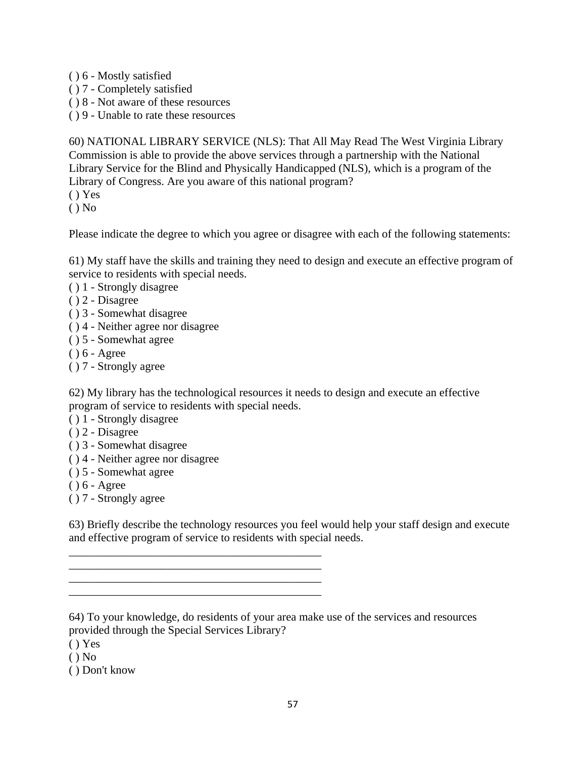- ( ) 6 Mostly satisfied
- ( ) 7 Completely satisfied
- ( ) 8 Not aware of these resources
- ( ) 9 Unable to rate these resources

60) NATIONAL LIBRARY SERVICE (NLS): That All May Read The West Virginia Library Commission is able to provide the above services through a partnership with the National Library Service for the Blind and Physically Handicapped (NLS), which is a program of the Library of Congress. Are you aware of this national program?

( ) Yes

 $()$  No

Please indicate the degree to which you agree or disagree with each of the following statements:

61) My staff have the skills and training they need to design and execute an effective program of service to residents with special needs.

- ( ) 1 Strongly disagree
- ( ) 2 Disagree
- ( ) 3 Somewhat disagree
- ( ) 4 Neither agree nor disagree
- ( ) 5 Somewhat agree
- ( ) 6 Agree
- ( ) 7 Strongly agree

62) My library has the technological resources it needs to design and execute an effective program of service to residents with special needs.

- ( ) 1 Strongly disagree
- ( ) 2 Disagree
- ( ) 3 Somewhat disagree
- ( ) 4 Neither agree nor disagree

\_\_\_\_\_\_\_\_\_\_\_\_\_\_\_\_\_\_\_\_\_\_\_\_\_\_\_\_\_\_\_\_\_\_\_\_\_\_\_\_\_\_\_\_ \_\_\_\_\_\_\_\_\_\_\_\_\_\_\_\_\_\_\_\_\_\_\_\_\_\_\_\_\_\_\_\_\_\_\_\_\_\_\_\_\_\_\_\_ \_\_\_\_\_\_\_\_\_\_\_\_\_\_\_\_\_\_\_\_\_\_\_\_\_\_\_\_\_\_\_\_\_\_\_\_\_\_\_\_\_\_\_\_

- ( ) 5 Somewhat agree
- ( ) 6 Agree
- ( ) 7 Strongly agree

63) Briefly describe the technology resources you feel would help your staff design and execute and effective program of service to residents with special needs.

64) To your knowledge, do residents of your area make use of the services and resources provided through the Special Services Library?

 $() Yes$ 

 $()$  No

( ) Don't know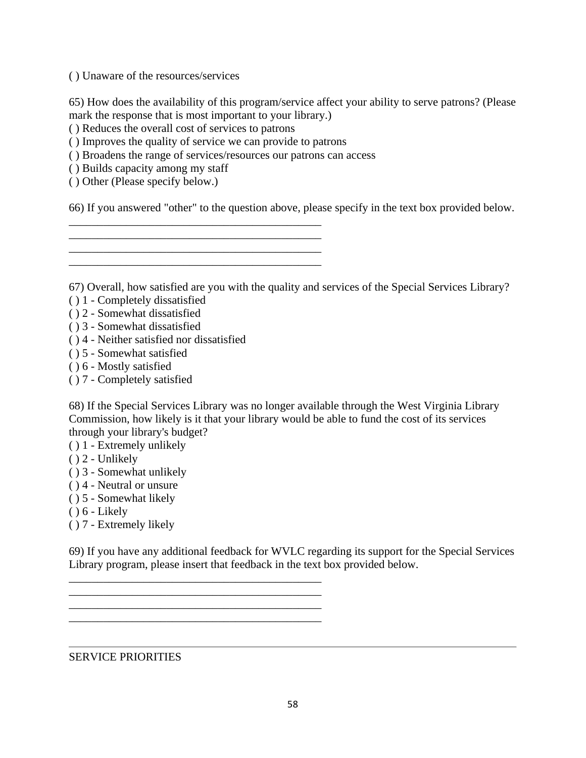( ) Unaware of the resources/services

65) How does the availability of this program/service affect your ability to serve patrons? (Please mark the response that is most important to your library.)

( ) Reduces the overall cost of services to patrons

( ) Improves the quality of service we can provide to patrons

\_\_\_\_\_\_\_\_\_\_\_\_\_\_\_\_\_\_\_\_\_\_\_\_\_\_\_\_\_\_\_\_\_\_\_\_\_\_\_\_\_\_\_\_ \_\_\_\_\_\_\_\_\_\_\_\_\_\_\_\_\_\_\_\_\_\_\_\_\_\_\_\_\_\_\_\_\_\_\_\_\_\_\_\_\_\_\_\_ \_\_\_\_\_\_\_\_\_\_\_\_\_\_\_\_\_\_\_\_\_\_\_\_\_\_\_\_\_\_\_\_\_\_\_\_\_\_\_\_\_\_\_\_

\_\_\_\_\_\_\_\_\_\_\_\_\_\_\_\_\_\_\_\_\_\_\_\_\_\_\_\_\_\_\_\_\_\_\_\_\_\_\_\_\_\_\_\_

\_\_\_\_\_\_\_\_\_\_\_\_\_\_\_\_\_\_\_\_\_\_\_\_\_\_\_\_\_\_\_\_\_\_\_\_\_\_\_\_\_\_\_\_ \_\_\_\_\_\_\_\_\_\_\_\_\_\_\_\_\_\_\_\_\_\_\_\_\_\_\_\_\_\_\_\_\_\_\_\_\_\_\_\_\_\_\_\_

( ) Broadens the range of services/resources our patrons can access

( ) Builds capacity among my staff

( ) Other (Please specify below.)

66) If you answered "other" to the question above, please specify in the text box provided below.

67) Overall, how satisfied are you with the quality and services of the Special Services Library?

( ) 1 - Completely dissatisfied

- ( ) 2 Somewhat dissatisfied
- ( ) 3 Somewhat dissatisfied
- ( ) 4 Neither satisfied nor dissatisfied
- ( ) 5 Somewhat satisfied
- ( ) 6 Mostly satisfied
- ( ) 7 Completely satisfied

68) If the Special Services Library was no longer available through the West Virginia Library Commission, how likely is it that your library would be able to fund the cost of its services through your library's budget?

- ( ) 1 Extremely unlikely
- ( ) 2 Unlikely
- ( ) 3 Somewhat unlikely
- ( ) 4 Neutral or unsure
- ( ) 5 Somewhat likely
- $( ) 6 Likely$

( ) 7 - Extremely likely

69) If you have any additional feedback for WVLC regarding its support for the Special Services Library program, please insert that feedback in the text box provided below.

### SERVICE PRIORITIES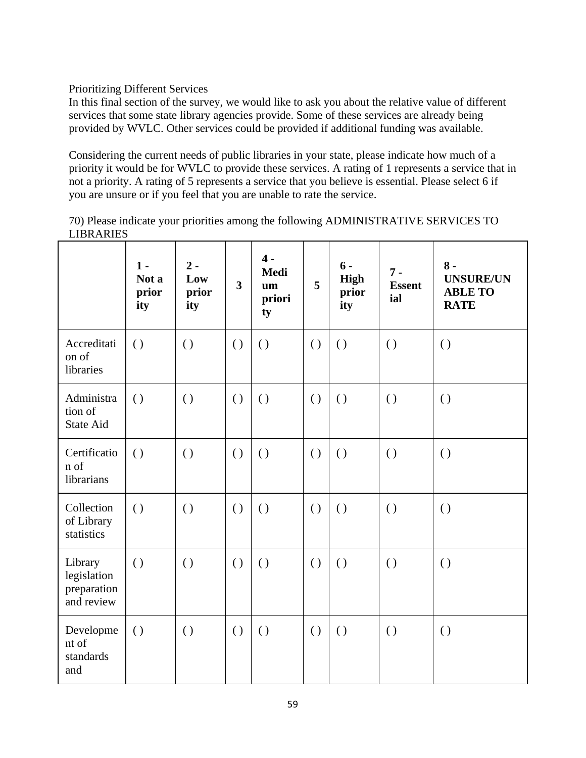Prioritizing Different Services

In this final section of the survey, we would like to ask you about the relative value of different services that some state library agencies provide. Some of these services are already being provided by WVLC. Other services could be provided if additional funding was available.

Considering the current needs of public libraries in your state, please indicate how much of a priority it would be for WVLC to provide these services. A rating of 1 represents a service that in not a priority. A rating of 5 represents a service that you believe is essential. Please select 6 if you are unsure or if you feel that you are unable to rate the service.

70) Please indicate your priorities among the following ADMINISTRATIVE SERVICES TO LIBRARIES

|                                                     | $1 -$<br>Not a<br>prior<br>ity | $2 -$<br>Low<br>prior<br>ity | $\overline{3}$     | $4 -$<br><b>Medi</b><br>um<br>priori<br>ty | 5                  | $6 -$<br><b>High</b><br>prior<br>ity | $7 -$<br><b>Essent</b><br>ial | $8 -$<br><b>UNSURE/UN</b><br><b>ABLE TO</b><br><b>RATE</b> |
|-----------------------------------------------------|--------------------------------|------------------------------|--------------------|--------------------------------------------|--------------------|--------------------------------------|-------------------------------|------------------------------------------------------------|
| Accreditati<br>on of<br>libraries                   | $\left( \right)$               | $\left( \right)$             | $\left( \right)$   | $\left( \right)$                           | $\left( \ \right)$ | $\left( \right)$                     | $\left( \right)$              | $\left( \right)$                                           |
| Administra<br>tion of<br><b>State Aid</b>           | $\left( \right)$               | $\left( \ \right)$           | $\left( \ \right)$ | $\left( \ \right)$                         | $\left( \right)$   | $\left( \ \right)$                   | $\left( \ \right)$            | $\left( \ \right)$                                         |
| Certificatio<br>n of<br>librarians                  | $\left( \right)$               | $\left( \right)$             | $\left( \ \right)$ | $\left( \right)$                           | $\left( \ \right)$ | $\left( \right)$                     | $\left( \right)$              | $\left( \ \right)$                                         |
| Collection<br>of Library<br>statistics              | $\left( \right)$               | $\left( \right)$             | $\left( \ \right)$ | $\left( \right)$                           | $\left( \right)$   | $\left( \ \right)$                   | $\left( \ \right)$            | $\left( \right)$                                           |
| Library<br>legislation<br>preparation<br>and review | $\left( \right)$               | $\left( \right)$             | $\left( \right)$   | $\left( \right)$                           | $\left( \right)$   | $\left( \right)$                     | $\left( \right)$              | $\left( \right)$                                           |
| Developme<br>nt of<br>standards<br>and              | $\left( \right)$               | $\left( \ \right)$           | $\left( \ \right)$ | $\left( \right)$                           | $\left( \ \right)$ | $\left( \ \right)$                   | $\left( \ \right)$            | $\left( \ \right)$                                         |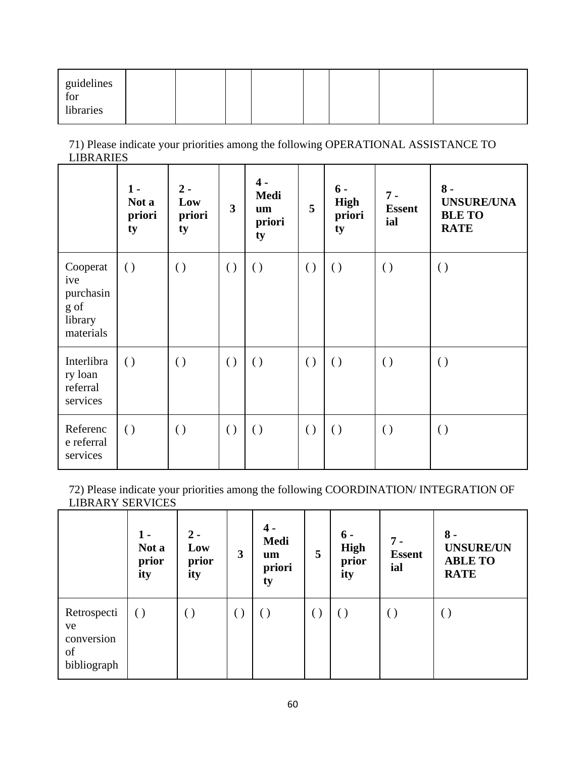| guidelines<br>for<br>libraries |  |  |  |  |  |  |  |  |
|--------------------------------|--|--|--|--|--|--|--|--|
|--------------------------------|--|--|--|--|--|--|--|--|

71) Please indicate your priorities among the following OPERATIONAL ASSISTANCE TO LIBRARIES

|                                                              | $1 -$<br>Not a<br>priori<br>ty | $2 -$<br>Low<br>priori<br>ty | $\overline{\mathbf{3}}$ | $4 -$<br>Medi<br>um<br>priori<br>ty | 5                  | $6 -$<br><b>High</b><br>priori<br>ty | $7 -$<br><b>Essent</b><br>ial | $8 -$<br><b>UNSURE/UNA</b><br><b>BLE TO</b><br><b>RATE</b> |
|--------------------------------------------------------------|--------------------------------|------------------------------|-------------------------|-------------------------------------|--------------------|--------------------------------------|-------------------------------|------------------------------------------------------------|
| Cooperat<br>ive<br>purchasin<br>g of<br>library<br>materials | $\left( \right)$               | $\left( \right)$             | $\left( \right)$        | $\left( \right)$                    | $\left( \ \right)$ | $\left( \right)$                     | $\left( \ \right)$            | $\left( \right)$                                           |
| Interlibra<br>ry loan<br>referral<br>services                | $\left( \right)$               | $\left( \right)$             | $\left( \right)$        | $\left( \right)$                    | $\left( \right)$   | $\left( \ \right)$                   | $\left( \ \right)$            | $\left( \right)$                                           |
| Referenc<br>e referral<br>services                           | $\left( \right)$               | $\left( \right)$             | $\left( \right)$        | $\left( \right)$                    | $\left( \right)$   | $\left( \right)$                     | $\left( \ \right)$            | $\left( \right)$                                           |

72) Please indicate your priorities among the following COORDINATION/ INTEGRATION OF LIBRARY SERVICES

|                                                      | 1 -<br>Not a<br>prior<br>ity | $2 -$<br>Low<br>prior<br>ity | 3                      | 4 -<br><b>Medi</b><br>um<br>priori<br>ty | 5 | $6 -$<br><b>High</b><br>prior<br>ity | $7 -$<br><b>Essent</b><br>ial | $8 -$<br><b>UNSURE/UN</b><br><b>ABLE TO</b><br><b>RATE</b> |
|------------------------------------------------------|------------------------------|------------------------------|------------------------|------------------------------------------|---|--------------------------------------|-------------------------------|------------------------------------------------------------|
| Retrospecti<br>ve<br>conversion<br>of<br>bibliograph | $\left( \right)$             | . )                          | $\left( \quad \right)$ | $(\ )$                                   |   | $\left(\ \right)$                    | ( )                           | $\left(\ \right)$                                          |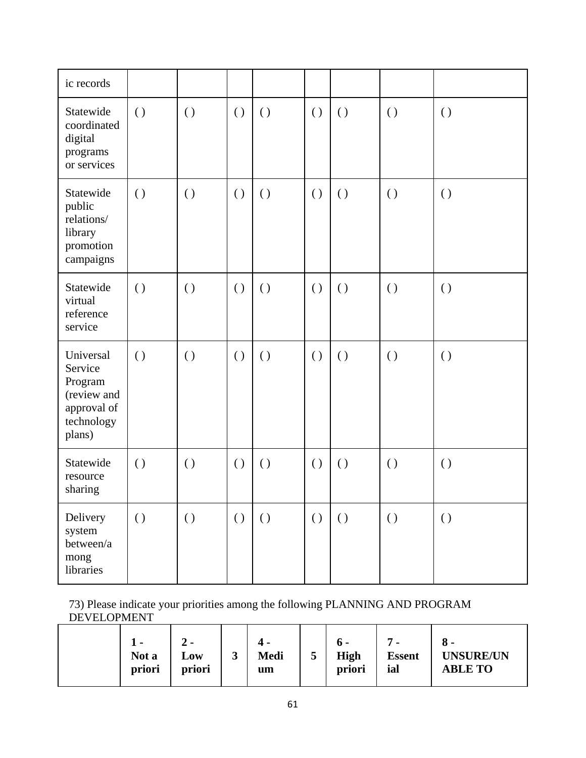| ic records                                                                            |                    |                    |                    |                    |                    |                    |                    |                    |
|---------------------------------------------------------------------------------------|--------------------|--------------------|--------------------|--------------------|--------------------|--------------------|--------------------|--------------------|
| Statewide<br>coordinated<br>digital<br>programs<br>or services                        | $\left( \right)$   | $\left( \right)$   | $\left( \ \right)$ | $\left( \right)$   | $\left( \ \right)$ | $\left( \ \right)$ | $\left( \ \right)$ | $\left( \ \right)$ |
| Statewide<br>public<br>relations/<br>library<br>promotion<br>campaigns                | $\left( \right)$   | $\left( \right)$   | $\left( \ \right)$ | $\left( \right)$   | $\left( \ \right)$ | $\left( \ \right)$ | $\left( \ \right)$ | $\left( \ \right)$ |
| Statewide<br>virtual<br>reference<br>service                                          | $\left( \ \right)$ | $\left( \ \right)$ | $\left( \ \right)$ | $\left( \right)$   | $\left( \right)$   | $\left( \ \right)$ | $\left( \ \right)$ | $\left( \ \right)$ |
| Universal<br>Service<br>Program<br>(review and<br>approval of<br>technology<br>plans) | $\left( \right)$   | $\left( \ \right)$ | $\left( \right)$   | $\left( \right)$   | $\left( \right)$   | $\left( \ \right)$ | $\left( \ \right)$ | $\left( \ \right)$ |
| Statewide<br>resource<br>sharing                                                      | $\left( \ \right)$ | $\left( \right)$   | $\left( \ \right)$ | $\left( \right)$   | $\left( \right)$   | $\left( \ \right)$ | $\left( \ \right)$ | $\left( \ \right)$ |
| Delivery<br>system<br>between/a<br>mong<br>libraries                                  | $\left( \ \right)$ | $\left( \ \right)$ | $\left( \ \right)$ | $\left( \ \right)$ | $\left( \ \right)$ | $\left( \ \right)$ | $\left( \ \right)$ | $\left( \ \right)$ |

73) Please indicate your priorities among the following PLANNING AND PROGRAM DEVELOPMENT

|  | . .<br>Not a<br>priori | - ∠<br>Low<br>priori | ັ | Medi<br>um | ັ | 0 -<br><b>High</b><br>priori | ▀<br>. .<br><b>Essent</b><br>ial | ა -<br><b>UNSURE/UN</b><br><b>ABLE TO</b> |
|--|------------------------|----------------------|---|------------|---|------------------------------|----------------------------------|-------------------------------------------|
|--|------------------------|----------------------|---|------------|---|------------------------------|----------------------------------|-------------------------------------------|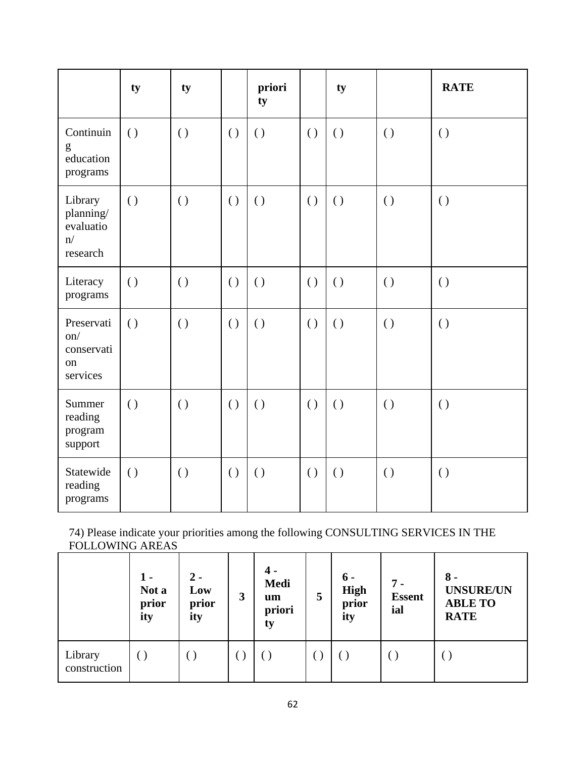|                                                     | ty               | ty               |                    | priori<br>ty       |                  | ty               |                  | <b>RATE</b>        |
|-----------------------------------------------------|------------------|------------------|--------------------|--------------------|------------------|------------------|------------------|--------------------|
| Continuin<br>g<br>education<br>programs             | $\left( \right)$ | $\left( \right)$ | $\left( \right)$   | $\left( \ \right)$ | $\left( \right)$ | $\left( \right)$ | $\left( \right)$ | $\left( \ \right)$ |
| Library<br>planning/<br>evaluatio<br>n/<br>research | $\left( \right)$ | $\left( \right)$ | $\left( \ \right)$ | $\left( \ \right)$ | $\left( \right)$ | $\left( \right)$ | $\left( \right)$ | $\left( \ \right)$ |
| Literacy<br>programs                                | $\left( \right)$ | $\left( \right)$ | $\left( \right)$   | $\left( \right)$   | $\left( \right)$ | $\left( \right)$ | $\left( \right)$ | $\left( \right)$   |
| Preservati<br>on/<br>conservati<br>on<br>services   | $\left( \right)$ | $\left( \right)$ | $\left( \right)$   | $\left( \right)$   | $\left( \right)$ | $\left( \right)$ | $\left( \right)$ | $\left( \ \right)$ |
| Summer<br>reading<br>program<br>support             | $\left( \right)$ | $\left( \right)$ | $\left( \ \right)$ | $\left( \ \right)$ | $\left( \right)$ | $\left( \right)$ | $\left( \right)$ | $\left( \ \right)$ |
| Statewide<br>reading<br>programs                    | $\left( \right)$ | $\left( \right)$ | $\left( \right)$   | $\left( \right)$   | $\left( \right)$ | $\left( \right)$ | $\left( \right)$ | $\left( \ \right)$ |

74) Please indicate your priorities among the following CONSULTING SERVICES IN THE FOLLOWING AREAS

|                         | 1 -<br>Not a<br>prior<br>ity | $2 -$<br>Low<br>prior<br>ity | 3 | 4 -<br>Medi<br>um<br>priori<br>ty | 5 | $6 -$<br>High<br>prior<br>ity | $7 -$<br><b>Essent</b><br>ial | $8 -$<br><b>UNSURE/UN</b><br><b>ABLE TO</b><br><b>RATE</b> |
|-------------------------|------------------------------|------------------------------|---|-----------------------------------|---|-------------------------------|-------------------------------|------------------------------------------------------------|
| Library<br>construction |                              |                              |   |                                   |   |                               |                               |                                                            |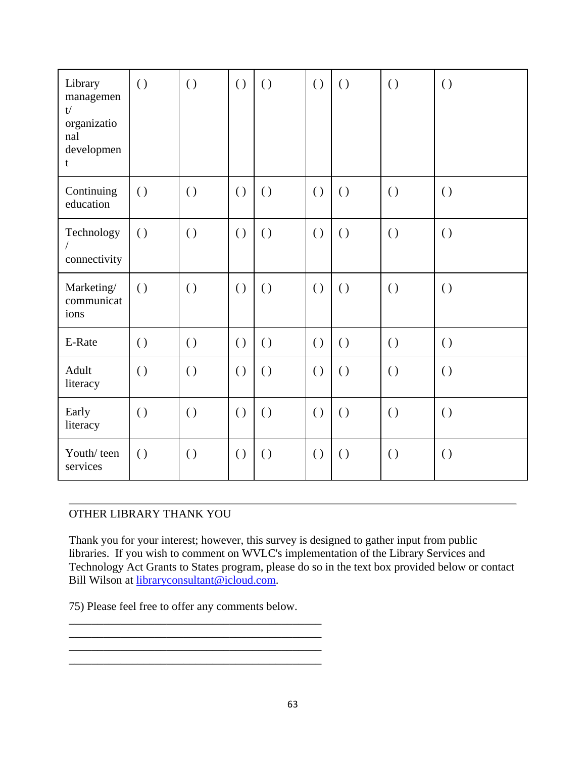| Library<br>managemen<br>t/<br>organizatio<br>nal<br>developmen<br>t | $\left( \right)$   | $\left( \right)$   | $\left( \right)$   | $\left( \right)$   | $\left( \right)$   | $\left( \right)$   | $\left( \right)$   | $\left( \right)$   |
|---------------------------------------------------------------------|--------------------|--------------------|--------------------|--------------------|--------------------|--------------------|--------------------|--------------------|
| Continuing<br>education                                             | $\left( \ \right)$ | $\left( \ \right)$ | $\left( \ \right)$ | $\left( \right)$   | $\left( \ \right)$ | $\left( \ \right)$ | $\left( \ \right)$ | $\left( \ \right)$ |
| Technology<br>connectivity                                          | $\left( \right)$   | $\left( \right)$   | $\left( \ \right)$ | $\left( \ \right)$ | $\left( \right)$   | $\left( \right)$   | $\left( \ \right)$ | $\left( \right)$   |
| Marketing/<br>communicat<br>ions                                    | $\left( \right)$   | $\left( \right)$   | $\left( \right)$   | $\left( \right)$   | $\left( \right)$   | $\left( \right)$   | $\left( \ \right)$ | $\left( \right)$   |
| E-Rate                                                              | $\left( \ \right)$ | $\left( \ \right)$ | $\left( \right)$   | $\left( \right)$   | $\left( \ \right)$ | $\left( \right)$   | $\left( \ \right)$ | $\left( \right)$   |
| Adult<br>literacy                                                   | $\left( \right)$   | $\left( \right)$   | $\left( \right)$   | $\left( \ \right)$ | $\left( \right)$   | $\left( \ \right)$ | $\left( \right)$   | $\left( \ \right)$ |
| Early<br>literacy                                                   | $\left( \ \right)$ | $\left( \right)$   | $\left( \ \right)$ | $\left( \right)$   | $\left( \ \right)$ | $\left( \ \right)$ | $\left( \ \right)$ | $\left( \ \right)$ |
| Youth/teen<br>services                                              | $\left( \right)$   | $\left( \right)$   | $\left( \ \right)$ | $\left( \right)$   | $\left( \right)$   | $\left( \ \right)$ | $\left( \ \right)$ | $\left( \ \right)$ |

## OTHER LIBRARY THANK YOU

Thank you for your interest; however, this survey is designed to gather input from public libraries. If you wish to comment on WVLC's implementation of the Library Services and Technology Act Grants to States program, please do so in the text box provided below or contact Bill Wilson at libraryconsultant@icloud.com.

75) Please feel free to offer any comments below.

\_\_\_\_\_\_\_\_\_\_\_\_\_\_\_\_\_\_\_\_\_\_\_\_\_\_\_\_\_\_\_\_\_\_\_\_\_\_\_\_\_\_\_\_

\_\_\_\_\_\_\_\_\_\_\_\_\_\_\_\_\_\_\_\_\_\_\_\_\_\_\_\_\_\_\_\_\_\_\_\_\_\_\_\_\_\_\_\_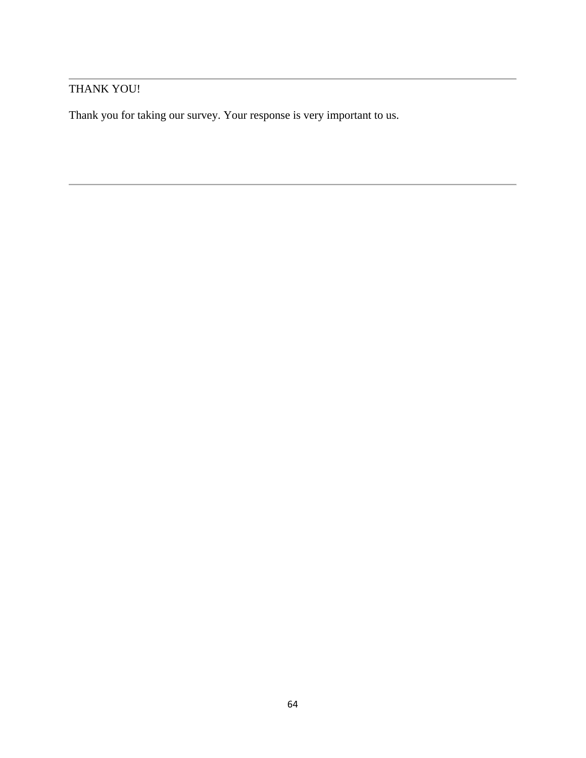## THANK YOU!

Thank you for taking our survey. Your response is very important to us.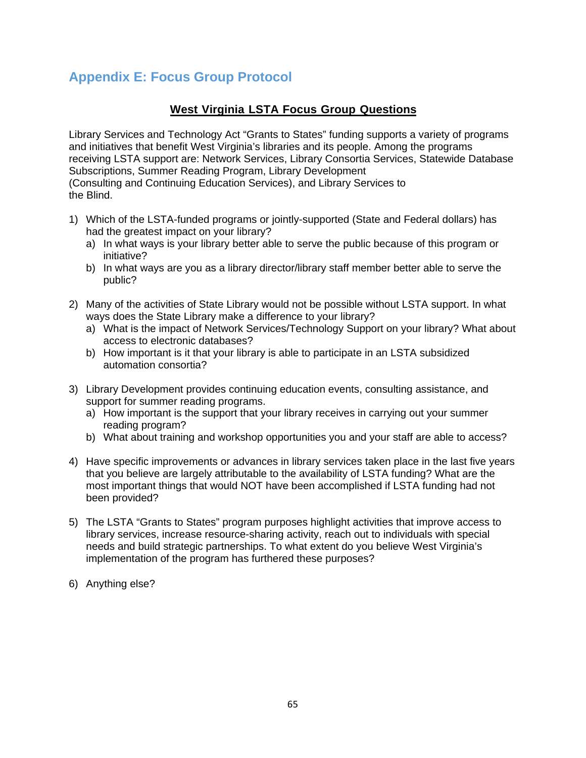# **Appendix E: Focus Group Protocol**

## **West Virginia LSTA Focus Group Questions**

Library Services and Technology Act "Grants to States" funding supports a variety of programs and initiatives that benefit West Virginia's libraries and its people. Among the programs receiving LSTA support are: Network Services, Library Consortia Services, Statewide Database Subscriptions, Summer Reading Program, Library Development (Consulting and Continuing Education Services), and Library Services to the Blind.

- 1) Which of the LSTA-funded programs or jointly-supported (State and Federal dollars) has had the greatest impact on your library?
	- a) In what ways is your library better able to serve the public because of this program or initiative?
	- b) In what ways are you as a library director/library staff member better able to serve the public?
- 2) Many of the activities of State Library would not be possible without LSTA support. In what ways does the State Library make a difference to your library?
	- a) What is the impact of Network Services/Technology Support on your library? What about access to electronic databases?
	- b) How important is it that your library is able to participate in an LSTA subsidized automation consortia?
- 3) Library Development provides continuing education events, consulting assistance, and support for summer reading programs.
	- a) How important is the support that your library receives in carrying out your summer reading program?
	- b) What about training and workshop opportunities you and your staff are able to access?
- 4) Have specific improvements or advances in library services taken place in the last five years that you believe are largely attributable to the availability of LSTA funding? What are the most important things that would NOT have been accomplished if LSTA funding had not been provided?
- 5) The LSTA "Grants to States" program purposes highlight activities that improve access to library services, increase resource-sharing activity, reach out to individuals with special needs and build strategic partnerships. To what extent do you believe West Virginia's implementation of the program has furthered these purposes?
- 6) Anything else?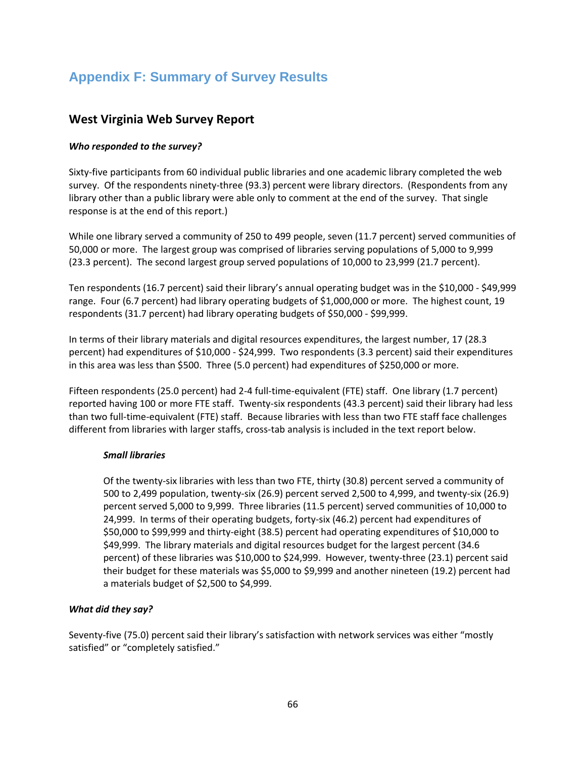# **Appendix F: Summary of Survey Results**

## **West Virginia Web Survey Report**

### *Who responded to the survey?*

Sixty‐five participants from 60 individual public libraries and one academic library completed the web survey. Of the respondents ninety-three (93.3) percent were library directors. (Respondents from any library other than a public library were able only to comment at the end of the survey. That single response is at the end of this report.)

While one library served a community of 250 to 499 people, seven (11.7 percent) served communities of 50,000 or more. The largest group was comprised of libraries serving populations of 5,000 to 9,999 (23.3 percent). The second largest group served populations of 10,000 to 23,999 (21.7 percent).

Ten respondents (16.7 percent) said their library's annual operating budget was in the \$10,000 ‐ \$49,999 range. Four (6.7 percent) had library operating budgets of \$1,000,000 or more. The highest count, 19 respondents (31.7 percent) had library operating budgets of \$50,000 ‐ \$99,999.

In terms of their library materials and digital resources expenditures, the largest number, 17 (28.3 percent) had expenditures of \$10,000 ‐ \$24,999. Two respondents (3.3 percent) said their expenditures in this area was less than \$500. Three (5.0 percent) had expenditures of \$250,000 or more.

Fifteen respondents (25.0 percent) had 2‐4 full‐time‐equivalent (FTE) staff. One library (1.7 percent) reported having 100 or more FTE staff. Twenty‐six respondents (43.3 percent) said their library had less than two full‐time‐equivalent (FTE) staff. Because libraries with less than two FTE staff face challenges different from libraries with larger staffs, cross-tab analysis is included in the text report below.

### *Small libraries*

Of the twenty‐six libraries with less than two FTE, thirty (30.8) percent served a community of 500 to 2,499 population, twenty‐six (26.9) percent served 2,500 to 4,999, and twenty‐six (26.9) percent served 5,000 to 9,999. Three libraries (11.5 percent) served communities of 10,000 to 24,999. In terms of their operating budgets, forty‐six (46.2) percent had expenditures of \$50,000 to \$99,999 and thirty‐eight (38.5) percent had operating expenditures of \$10,000 to \$49,999. The library materials and digital resources budget for the largest percent (34.6 percent) of these libraries was \$10,000 to \$24,999. However, twenty-three (23.1) percent said their budget for these materials was \$5,000 to \$9,999 and another nineteen (19.2) percent had a materials budget of \$2,500 to \$4,999.

### *What did they say?*

Seventy‐five (75.0) percent said their library's satisfaction with network services was either "mostly satisfied" or "completely satisfied."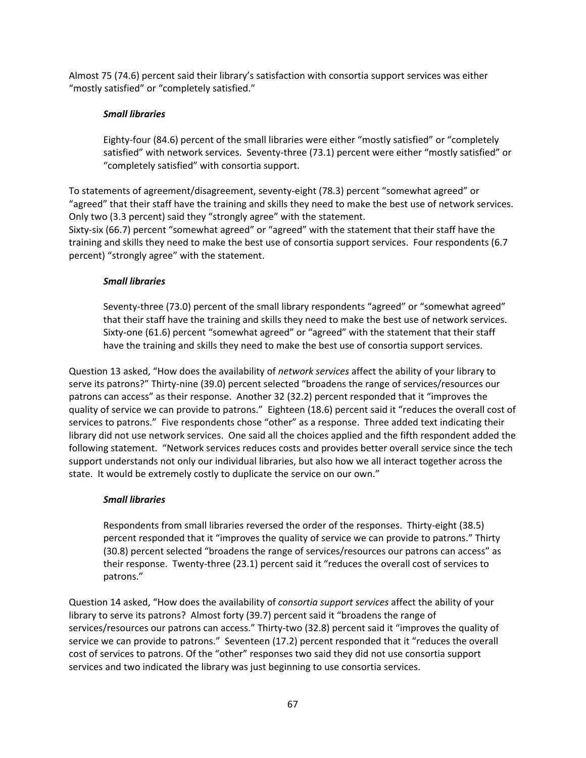Almost 75 (74.6) percent said their library's satisfaction with consortia support services was either "mostly satisfied" or "completely satisfied."

### *Small libraries*

Eighty‐four (84.6) percent of the small libraries were either "mostly satisfied" or "completely satisfied" with network services. Seventy-three (73.1) percent were either "mostly satisfied" or "completely satisfied" with consortia support.

To statements of agreement/disagreement, seventy‐eight (78.3) percent "somewhat agreed" or "agreed" that their staff have the training and skills they need to make the best use of network services. Only two (3.3 percent) said they "strongly agree" with the statement.

Sixty-six (66.7) percent "somewhat agreed" or "agreed" with the statement that their staff have the training and skills they need to make the best use of consortia support services. Four respondents (6.7 percent) "strongly agree" with the statement.

### *Small libraries*

Seventy-three (73.0) percent of the small library respondents "agreed" or "somewhat agreed" that their staff have the training and skills they need to make the best use of network services. Sixty-one (61.6) percent "somewhat agreed" or "agreed" with the statement that their staff have the training and skills they need to make the best use of consortia support services.

Question 13 asked, "How does the availability of *network services* affect the ability of your library to serve its patrons?" Thirty-nine (39.0) percent selected "broadens the range of services/resources our patrons can access" as their response. Another 32 (32.2) percent responded that it "improves the quality of service we can provide to patrons." Eighteen (18.6) percent said it "reduces the overall cost of services to patrons." Five respondents chose "other" as a response. Three added text indicating their library did not use network services. One said all the choices applied and the fifth respondent added the following statement. "Network services reduces costs and provides better overall service since the tech support understands not only our individual libraries, but also how we all interact together across the state. It would be extremely costly to duplicate the service on our own."

### *Small libraries*

Respondents from small libraries reversed the order of the responses. Thirty‐eight (38.5) percent responded that it "improves the quality of service we can provide to patrons." Thirty (30.8) percent selected "broadens the range of services/resources our patrons can access" as their response. Twenty‐three (23.1) percent said it "reduces the overall cost of services to patrons."

Question 14 asked, "How does the availability of *consortia support services* affect the ability of your library to serve its patrons? Almost forty (39.7) percent said it "broadens the range of services/resources our patrons can access." Thirty-two (32.8) percent said it "improves the quality of service we can provide to patrons." Seventeen (17.2) percent responded that it "reduces the overall cost of services to patrons. Of the "other" responses two said they did not use consortia support services and two indicated the library was just beginning to use consortia services.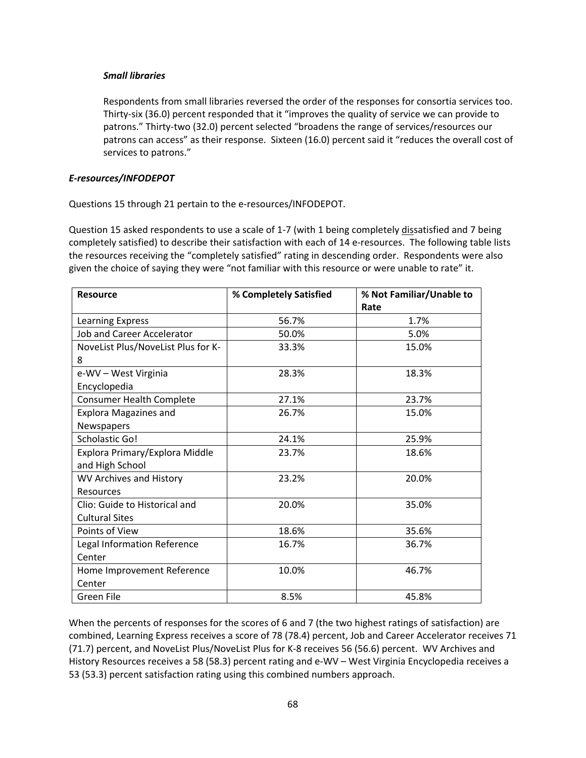### *Small libraries*

Respondents from small libraries reversed the order of the responses for consortia services too. Thirty‐six (36.0) percent responded that it "improves the quality of service we can provide to patrons." Thirty-two (32.0) percent selected "broadens the range of services/resources our patrons can access" as their response. Sixteen (16.0) percent said it "reduces the overall cost of services to patrons."

#### *E‐resources/INFODEPOT*

Questions 15 through 21 pertain to the e‐resources/INFODEPOT.

Question 15 asked respondents to use a scale of 1-7 (with 1 being completely dissatisfied and 7 being completely satisfied) to describe their satisfaction with each of 14 e-resources. The following table lists the resources receiving the "completely satisfied" rating in descending order. Respondents were also given the choice of saying they were "not familiar with this resource or were unable to rate" it.

| <b>Resource</b>                    | % Completely Satisfied | % Not Familiar/Unable to |
|------------------------------------|------------------------|--------------------------|
|                                    |                        | Rate                     |
| Learning Express                   | 56.7%                  | 1.7%                     |
| Job and Career Accelerator         | 50.0%                  | 5.0%                     |
| NoveList Plus/NoveList Plus for K- | 33.3%                  | 15.0%                    |
| 8                                  |                        |                          |
| e-WV - West Virginia               | 28.3%                  | 18.3%                    |
| Encyclopedia                       |                        |                          |
| <b>Consumer Health Complete</b>    | 27.1%                  | 23.7%                    |
| <b>Explora Magazines and</b>       | 26.7%                  | 15.0%                    |
| Newspapers                         |                        |                          |
| Scholastic Go!                     | 24.1%                  | 25.9%                    |
| Explora Primary/Explora Middle     | 23.7%                  | 18.6%                    |
| and High School                    |                        |                          |
| WV Archives and History            | 23.2%                  | 20.0%                    |
| <b>Resources</b>                   |                        |                          |
| Clio: Guide to Historical and      | 20.0%                  | 35.0%                    |
| <b>Cultural Sites</b>              |                        |                          |
| Points of View                     | 18.6%                  | 35.6%                    |
| Legal Information Reference        | 16.7%                  | 36.7%                    |
| Center                             |                        |                          |
| Home Improvement Reference         | 10.0%                  | 46.7%                    |
| Center                             |                        |                          |
| Green File                         | 8.5%                   | 45.8%                    |

When the percents of responses for the scores of 6 and 7 (the two highest ratings of satisfaction) are combined, Learning Express receives a score of 78 (78.4) percent, Job and Career Accelerator receives 71 (71.7) percent, and NoveList Plus/NoveList Plus for K‐8 receives 56 (56.6) percent. WV Archives and History Resources receives a 58 (58.3) percent rating and e‐WV – West Virginia Encyclopedia receives a 53 (53.3) percent satisfaction rating using this combined numbers approach.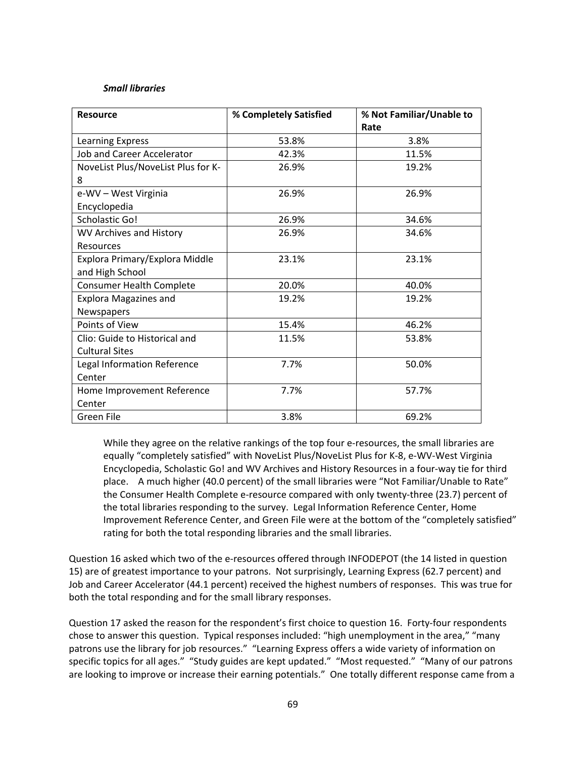#### *Small libraries*

| <b>Resource</b>                    | % Completely Satisfied | % Not Familiar/Unable to<br>Rate |  |
|------------------------------------|------------------------|----------------------------------|--|
| Learning Express                   | 53.8%                  | 3.8%                             |  |
| <b>Job and Career Accelerator</b>  | 42.3%                  | 11.5%                            |  |
| NoveList Plus/NoveList Plus for K- | 26.9%                  | 19.2%                            |  |
| 8                                  |                        |                                  |  |
| e-WV - West Virginia               | 26.9%                  | 26.9%                            |  |
| Encyclopedia                       |                        |                                  |  |
| Scholastic Go!                     | 26.9%                  | 34.6%                            |  |
| WV Archives and History            | 26.9%                  | 34.6%                            |  |
| Resources                          |                        |                                  |  |
| Explora Primary/Explora Middle     | 23.1%                  | 23.1%                            |  |
| and High School                    |                        |                                  |  |
| <b>Consumer Health Complete</b>    | 20.0%                  | 40.0%                            |  |
| <b>Explora Magazines and</b>       | 19.2%                  | 19.2%                            |  |
| Newspapers                         |                        |                                  |  |
| Points of View                     | 15.4%                  | 46.2%                            |  |
| Clio: Guide to Historical and      | 11.5%                  | 53.8%                            |  |
| <b>Cultural Sites</b>              |                        |                                  |  |
| Legal Information Reference        | 7.7%                   | 50.0%                            |  |
| Center                             |                        |                                  |  |
| Home Improvement Reference         | 7.7%                   | 57.7%                            |  |
| Center                             |                        |                                  |  |
| Green File                         | 3.8%                   | 69.2%                            |  |

While they agree on the relative rankings of the top four e-resources, the small libraries are equally "completely satisfied" with NoveList Plus/NoveList Plus for K‐8, e‐WV‐West Virginia Encyclopedia, Scholastic Go! and WV Archives and History Resources in a four‐way tie for third place. A much higher (40.0 percent) of the small libraries were "Not Familiar/Unable to Rate" the Consumer Health Complete e‐resource compared with only twenty‐three (23.7) percent of the total libraries responding to the survey. Legal Information Reference Center, Home Improvement Reference Center, and Green File were at the bottom of the "completely satisfied" rating for both the total responding libraries and the small libraries.

Question 16 asked which two of the e-resources offered through INFODEPOT (the 14 listed in question 15) are of greatest importance to your patrons. Not surprisingly, Learning Express (62.7 percent) and Job and Career Accelerator (44.1 percent) received the highest numbers of responses. This was true for both the total responding and for the small library responses.

Question 17 asked the reason for the respondent's first choice to question 16. Forty-four respondents chose to answer this question. Typical responses included: "high unemployment in the area," "many patrons use the library for job resources." "Learning Express offers a wide variety of information on specific topics for all ages." "Study guides are kept updated." "Most requested." "Many of our patrons are looking to improve or increase their earning potentials." One totally different response came from a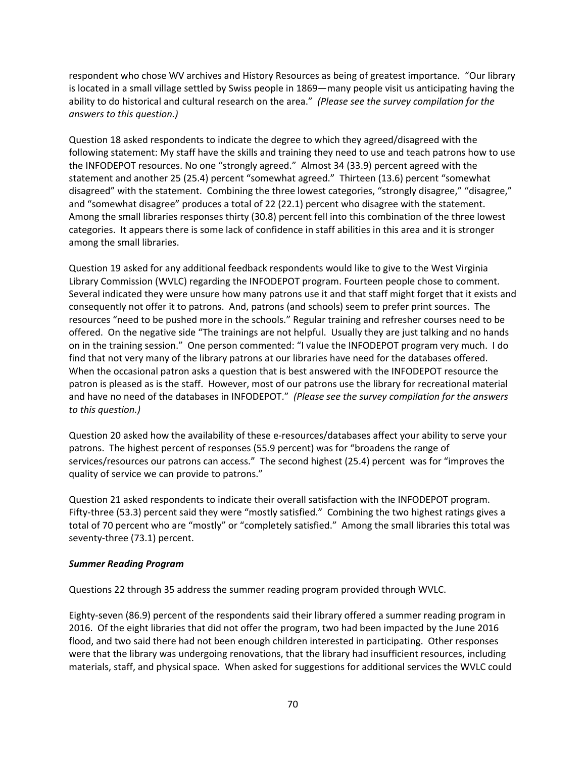respondent who chose WV archives and History Resources as being of greatest importance. "Our library is located in a small village settled by Swiss people in 1869—many people visit us anticipating having the ability to do historical and cultural research on the area." *(Please see the survey compilation for the answers to this question.)*

Question 18 asked respondents to indicate the degree to which they agreed/disagreed with the following statement: My staff have the skills and training they need to use and teach patrons how to use the INFODEPOT resources. No one "strongly agreed." Almost 34 (33.9) percent agreed with the statement and another 25 (25.4) percent "somewhat agreed." Thirteen (13.6) percent "somewhat disagreed" with the statement. Combining the three lowest categories, "strongly disagree," "disagree," and "somewhat disagree" produces a total of 22 (22.1) percent who disagree with the statement. Among the small libraries responses thirty (30.8) percent fell into this combination of the three lowest categories. It appears there is some lack of confidence in staff abilities in this area and it is stronger among the small libraries.

Question 19 asked for any additional feedback respondents would like to give to the West Virginia Library Commission (WVLC) regarding the INFODEPOT program. Fourteen people chose to comment. Several indicated they were unsure how many patrons use it and that staff might forget that it exists and consequently not offer it to patrons. And, patrons (and schools) seem to prefer print sources. The resources "need to be pushed more in the schools." Regular training and refresher courses need to be offered. On the negative side "The trainings are not helpful. Usually they are just talking and no hands on in the training session." One person commented: "I value the INFODEPOT program very much. I do find that not very many of the library patrons at our libraries have need for the databases offered. When the occasional patron asks a question that is best answered with the INFODEPOT resource the patron is pleased as is the staff. However, most of our patrons use the library for recreational material and have no need of the databases in INFODEPOT." *(Please see the survey compilation for the answers to this question.)*

Question 20 asked how the availability of these e-resources/databases affect your ability to serve your patrons. The highest percent of responses (55.9 percent) was for "broadens the range of services/resources our patrons can access." The second highest (25.4) percent was for "improves the quality of service we can provide to patrons."

Question 21 asked respondents to indicate their overall satisfaction with the INFODEPOT program. Fifty-three (53.3) percent said they were "mostly satisfied." Combining the two highest ratings gives a total of 70 percent who are "mostly" or "completely satisfied." Among the small libraries this total was seventy‐three (73.1) percent.

### *Summer Reading Program*

Questions 22 through 35 address the summer reading program provided through WVLC.

Eighty‐seven (86.9) percent of the respondents said their library offered a summer reading program in 2016. Of the eight libraries that did not offer the program, two had been impacted by the June 2016 flood, and two said there had not been enough children interested in participating. Other responses were that the library was undergoing renovations, that the library had insufficient resources, including materials, staff, and physical space. When asked for suggestions for additional services the WVLC could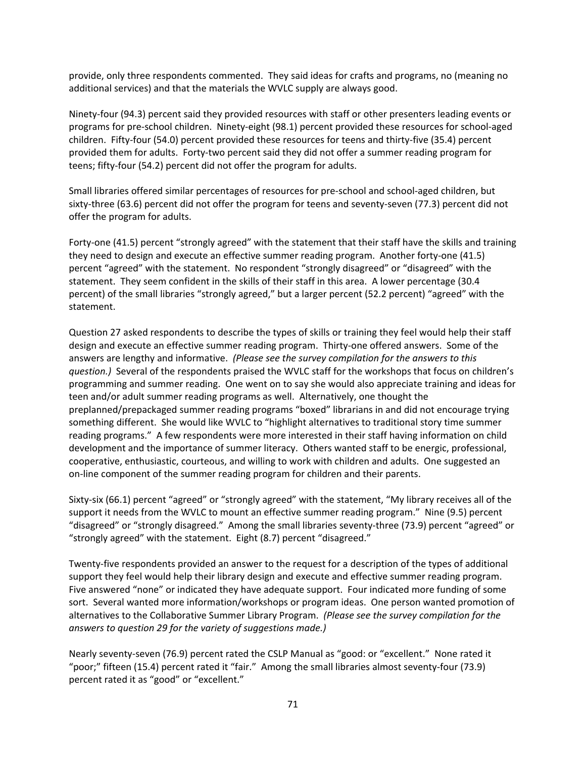provide, only three respondents commented. They said ideas for crafts and programs, no (meaning no additional services) and that the materials the WVLC supply are always good.

Ninety‐four (94.3) percent said they provided resources with staff or other presenters leading events or programs for pre‐school children. Ninety‐eight (98.1) percent provided these resources for school‐aged children. Fifty‐four (54.0) percent provided these resources for teens and thirty‐five (35.4) percent provided them for adults. Forty-two percent said they did not offer a summer reading program for teens; fifty‐four (54.2) percent did not offer the program for adults.

Small libraries offered similar percentages of resources for pre‐school and school‐aged children, but sixty-three (63.6) percent did not offer the program for teens and seventy-seven (77.3) percent did not offer the program for adults.

Forty-one (41.5) percent "strongly agreed" with the statement that their staff have the skills and training they need to design and execute an effective summer reading program. Another forty-one (41.5) percent "agreed" with the statement. No respondent "strongly disagreed" or "disagreed" with the statement. They seem confident in the skills of their staff in this area. A lower percentage (30.4 percent) of the small libraries "strongly agreed," but a larger percent (52.2 percent) "agreed" with the statement.

Question 27 asked respondents to describe the types of skills or training they feel would help their staff design and execute an effective summer reading program. Thirty‐one offered answers. Some of the answers are lengthy and informative. *(Please see the survey compilation for the answers to this question.)* Several of the respondents praised the WVLC staff for the workshops that focus on children's programming and summer reading. One went on to say she would also appreciate training and ideas for teen and/or adult summer reading programs as well. Alternatively, one thought the preplanned/prepackaged summer reading programs "boxed" librarians in and did not encourage trying something different. She would like WVLC to "highlight alternatives to traditional story time summer reading programs." A few respondents were more interested in their staff having information on child development and the importance of summer literacy. Others wanted staff to be energic, professional, cooperative, enthusiastic, courteous, and willing to work with children and adults. One suggested an on‐line component of the summer reading program for children and their parents.

Sixty‐six (66.1) percent "agreed" or "strongly agreed" with the statement, "My library receives all of the support it needs from the WVLC to mount an effective summer reading program." Nine (9.5) percent "disagreed" or "strongly disagreed." Among the small libraries seventy‐three (73.9) percent "agreed" or "strongly agreed" with the statement. Eight (8.7) percent "disagreed."

Twenty‐five respondents provided an answer to the request for a description of the types of additional support they feel would help their library design and execute and effective summer reading program. Five answered "none" or indicated they have adequate support. Four indicated more funding of some sort. Several wanted more information/workshops or program ideas. One person wanted promotion of alternatives to the Collaborative Summer Library Program. *(Please see the survey compilation for the answers to question 29 for the variety of suggestions made.)*

Nearly seventy‐seven (76.9) percent rated the CSLP Manual as "good: or "excellent." None rated it "poor;" fifteen (15.4) percent rated it "fair." Among the small libraries almost seventy‐four (73.9) percent rated it as "good" or "excellent."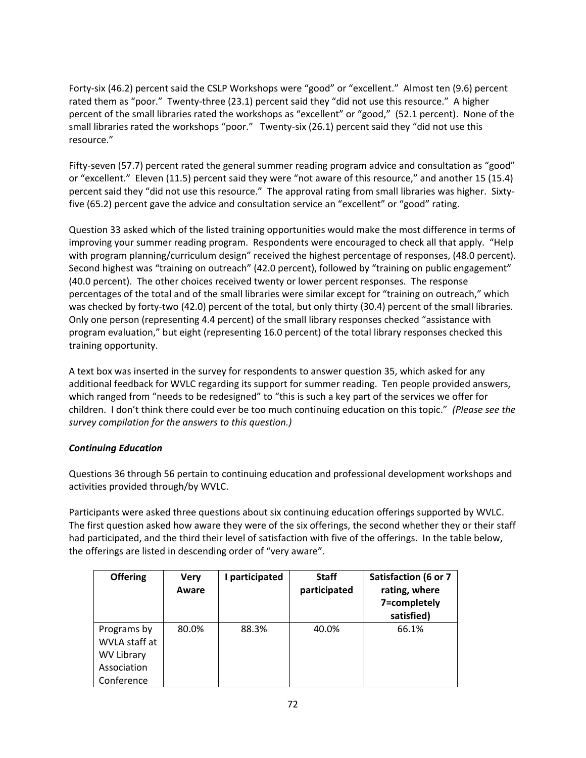Forty‐six (46.2) percent said the CSLP Workshops were "good" or "excellent." Almost ten (9.6) percent rated them as "poor." Twenty-three (23.1) percent said they "did not use this resource." A higher percent of the small libraries rated the workshops as "excellent" or "good," (52.1 percent). None of the small libraries rated the workshops "poor." Twenty-six (26.1) percent said they "did not use this resource."

Fifty-seven (57.7) percent rated the general summer reading program advice and consultation as "good" or "excellent." Eleven (11.5) percent said they were "not aware of this resource," and another 15 (15.4) percent said they "did not use this resource." The approval rating from small libraries was higher. Sixtyfive (65.2) percent gave the advice and consultation service an "excellent" or "good" rating.

Question 33 asked which of the listed training opportunities would make the most difference in terms of improving your summer reading program. Respondents were encouraged to check all that apply. "Help with program planning/curriculum design" received the highest percentage of responses, (48.0 percent). Second highest was "training on outreach" (42.0 percent), followed by "training on public engagement" (40.0 percent). The other choices received twenty or lower percent responses. The response percentages of the total and of the small libraries were similar except for "training on outreach," which was checked by forty-two (42.0) percent of the total, but only thirty (30.4) percent of the small libraries. Only one person (representing 4.4 percent) of the small library responses checked "assistance with program evaluation," but eight (representing 16.0 percent) of the total library responses checked this training opportunity.

A text box was inserted in the survey for respondents to answer question 35, which asked for any additional feedback for WVLC regarding its support for summer reading. Ten people provided answers, which ranged from "needs to be redesigned" to "this is such a key part of the services we offer for children. I don't think there could ever be too much continuing education on this topic." *(Please see the survey compilation for the answers to this question.)*

### *Continuing Education*

Questions 36 through 56 pertain to continuing education and professional development workshops and activities provided through/by WVLC.

Participants were asked three questions about six continuing education offerings supported by WVLC. The first question asked how aware they were of the six offerings, the second whether they or their staff had participated, and the third their level of satisfaction with five of the offerings. In the table below, the offerings are listed in descending order of "very aware".

| <b>Offering</b>              | <b>Very</b><br>Aware | I participated | <b>Staff</b><br>participated | <b>Satisfaction (6 or 7</b><br>rating, where<br>7=completely<br>satisfied) |
|------------------------------|----------------------|----------------|------------------------------|----------------------------------------------------------------------------|
| Programs by<br>WVLA staff at | 80.0%                | 88.3%          | 40.0%                        | 66.1%                                                                      |
|                              |                      |                |                              |                                                                            |
| <b>WV Library</b>            |                      |                |                              |                                                                            |
| Association                  |                      |                |                              |                                                                            |
| Conference                   |                      |                |                              |                                                                            |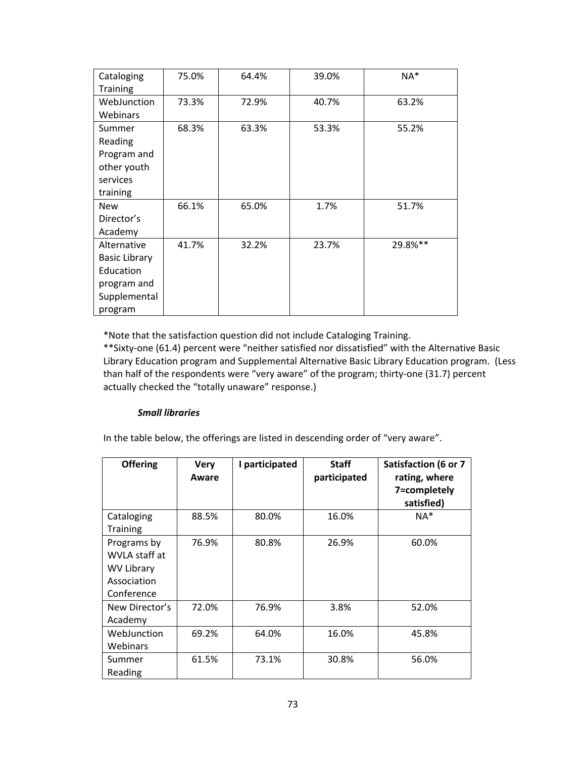| Cataloging           | 75.0% | 64.4% | 39.0% | NA*     |  |  |
|----------------------|-------|-------|-------|---------|--|--|
| <b>Training</b>      |       |       |       |         |  |  |
| WebJunction          | 73.3% | 72.9% | 40.7% | 63.2%   |  |  |
| Webinars             |       |       |       |         |  |  |
| Summer               | 68.3% | 63.3% | 53.3% | 55.2%   |  |  |
| Reading              |       |       |       |         |  |  |
| Program and          |       |       |       |         |  |  |
| other youth          |       |       |       |         |  |  |
| services             |       |       |       |         |  |  |
| training             |       |       |       |         |  |  |
| <b>New</b>           | 66.1% | 65.0% | 1.7%  | 51.7%   |  |  |
| Director's           |       |       |       |         |  |  |
| Academy              |       |       |       |         |  |  |
| Alternative          | 41.7% | 32.2% | 23.7% | 29.8%** |  |  |
| <b>Basic Library</b> |       |       |       |         |  |  |
| Education            |       |       |       |         |  |  |
| program and          |       |       |       |         |  |  |
| Supplemental         |       |       |       |         |  |  |
| program              |       |       |       |         |  |  |

\*Note that the satisfaction question did not include Cataloging Training.

\*\*Sixty‐one (61.4) percent were "neither satisfied nor dissatisfied" with the Alternative Basic Library Education program and Supplemental Alternative Basic Library Education program. (Less than half of the respondents were "very aware" of the program; thirty-one (31.7) percent actually checked the "totally unaware" response.)

## *Small libraries*

In the table below, the offerings are listed in descending order of "very aware".

| <b>Offering</b>                                                                | <b>Very</b><br>Aware | I participated | <b>Staff</b><br>participated | Satisfaction (6 or 7<br>rating, where<br>7=completely<br>satisfied) |
|--------------------------------------------------------------------------------|----------------------|----------------|------------------------------|---------------------------------------------------------------------|
| Cataloging<br><b>Training</b>                                                  | 88.5%                | 80.0%          | 16.0%                        | NA*                                                                 |
| Programs by<br>WVLA staff at<br><b>WV Library</b><br>Association<br>Conference | 76.9%                | 80.8%          | 26.9%                        | 60.0%                                                               |
| New Director's<br>Academy                                                      | 72.0%                | 76.9%          | 3.8%                         | 52.0%                                                               |
| WebJunction<br>Webinars                                                        | 69.2%                | 64.0%          | 16.0%                        | 45.8%                                                               |
| Summer<br>Reading                                                              | 61.5%                | 73.1%          | 30.8%                        | 56.0%                                                               |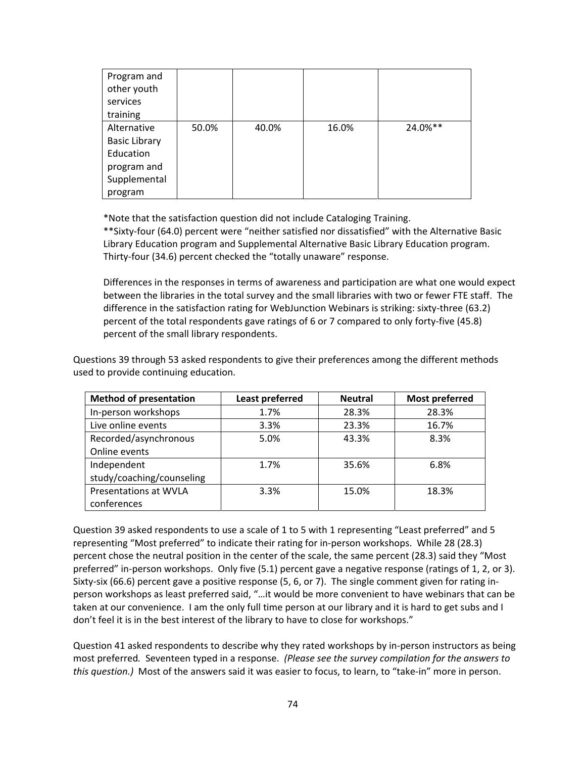| Program and<br>other youth<br>services |       |       |       |         |
|----------------------------------------|-------|-------|-------|---------|
| training                               |       |       |       |         |
| Alternative                            | 50.0% | 40.0% | 16.0% | 24.0%** |
| <b>Basic Library</b>                   |       |       |       |         |
| Education                              |       |       |       |         |
| program and                            |       |       |       |         |
| Supplemental                           |       |       |       |         |
| program                                |       |       |       |         |

\*Note that the satisfaction question did not include Cataloging Training.

\*\*Sixty‐four (64.0) percent were "neither satisfied nor dissatisfied" with the Alternative Basic Library Education program and Supplemental Alternative Basic Library Education program. Thirty‐four (34.6) percent checked the "totally unaware" response.

Differences in the responses in terms of awareness and participation are what one would expect between the libraries in the total survey and the small libraries with two or fewer FTE staff. The difference in the satisfaction rating for WebJunction Webinars is striking: sixty‐three (63.2) percent of the total respondents gave ratings of 6 or 7 compared to only forty-five (45.8) percent of the small library respondents.

| <b>Method of presentation</b> | <b>Least preferred</b> | <b>Neutral</b> | <b>Most preferred</b> |  |  |
|-------------------------------|------------------------|----------------|-----------------------|--|--|
| In-person workshops           | 1.7%                   | 28.3%          | 28.3%                 |  |  |
| Live online events            | 3.3%                   | 23.3%          | 16.7%                 |  |  |
| Recorded/asynchronous         | 5.0%                   | 43.3%          | 8.3%                  |  |  |
| Online events                 |                        |                |                       |  |  |
| Independent                   | 1.7%                   | 35.6%          | 6.8%                  |  |  |
| study/coaching/counseling     |                        |                |                       |  |  |
| Presentations at WVLA         | 3.3%                   | 15.0%          | 18.3%                 |  |  |
| conferences                   |                        |                |                       |  |  |

Questions 39 through 53 asked respondents to give their preferences among the different methods used to provide continuing education.

Question 39 asked respondents to use a scale of 1 to 5 with 1 representing "Least preferred" and 5 representing "Most preferred" to indicate their rating for in‐person workshops. While 28 (28.3) percent chose the neutral position in the center of the scale, the same percent (28.3) said they "Most preferred" in-person workshops. Only five (5.1) percent gave a negative response (ratings of 1, 2, or 3). Sixty-six (66.6) percent gave a positive response (5, 6, or 7). The single comment given for rating inperson workshops as least preferred said, "…it would be more convenient to have webinars that can be taken at our convenience. I am the only full time person at our library and it is hard to get subs and I don't feel it is in the best interest of the library to have to close for workshops."

Question 41 asked respondents to describe why they rated workshops by in‐person instructors as being most preferred*.* Seventeen typed in a response. *(Please see the survey compilation for the answers to this question.)* Most of the answers said it was easier to focus, to learn, to "take‐in" more in person.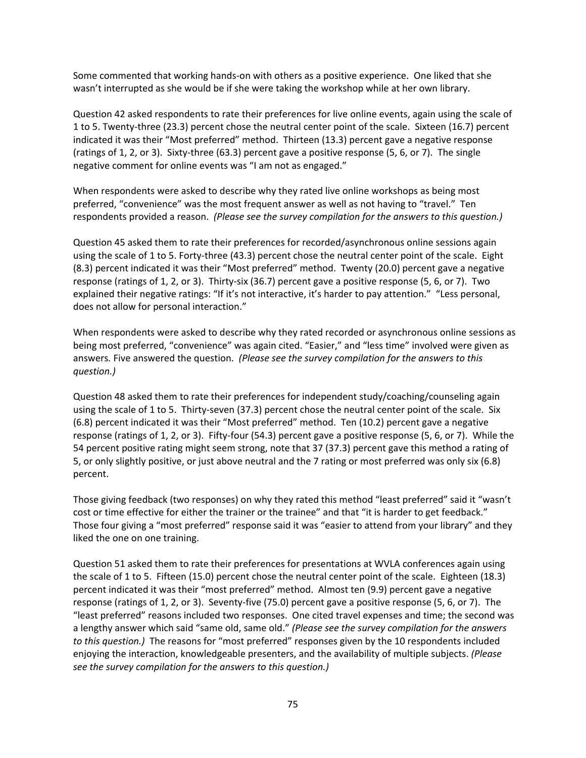Some commented that working hands‐on with others as a positive experience. One liked that she wasn't interrupted as she would be if she were taking the workshop while at her own library.

Question 42 asked respondents to rate their preferences for live online events, again using the scale of 1 to 5. Twenty‐three (23.3) percent chose the neutral center point of the scale. Sixteen (16.7) percent indicated it was their "Most preferred" method. Thirteen (13.3) percent gave a negative response (ratings of 1, 2, or 3). Sixty‐three (63.3) percent gave a positive response (5, 6, or 7). The single negative comment for online events was "I am not as engaged."

When respondents were asked to describe why they rated live online workshops as being most preferred, "convenience" was the most frequent answer as well as not having to "travel." Ten respondents provided a reason. *(Please see the survey compilation for the answers to this question.)* 

Question 45 asked them to rate their preferences for recorded/asynchronous online sessions again using the scale of 1 to 5. Forty-three (43.3) percent chose the neutral center point of the scale. Eight (8.3) percent indicated it was their "Most preferred" method. Twenty (20.0) percent gave a negative response (ratings of 1, 2, or 3). Thirty-six (36.7) percent gave a positive response (5, 6, or 7). Two explained their negative ratings: "If it's not interactive, it's harder to pay attention." "Less personal, does not allow for personal interaction."

When respondents were asked to describe why they rated recorded or asynchronous online sessions as being most preferred, "convenience" was again cited. "Easier," and "less time" involved were given as answers*.* Five answered the question. *(Please see the survey compilation for the answers to this question.)* 

Question 48 asked them to rate their preferences for independent study/coaching/counseling again using the scale of 1 to 5. Thirty-seven (37.3) percent chose the neutral center point of the scale. Six (6.8) percent indicated it was their "Most preferred" method. Ten (10.2) percent gave a negative response (ratings of 1, 2, or 3). Fifty‐four (54.3) percent gave a positive response (5, 6, or 7). While the 54 percent positive rating might seem strong, note that 37 (37.3) percent gave this method a rating of 5, or only slightly positive, or just above neutral and the 7 rating or most preferred was only six (6.8) percent.

Those giving feedback (two responses) on why they rated this method "least preferred" said it "wasn't cost or time effective for either the trainer or the trainee" and that "it is harder to get feedback." Those four giving a "most preferred" response said it was "easier to attend from your library" and they liked the one on one training.

Question 51 asked them to rate their preferences for presentations at WVLA conferences again using the scale of 1 to 5. Fifteen (15.0) percent chose the neutral center point of the scale. Eighteen (18.3) percent indicated it was their "most preferred" method. Almost ten (9.9) percent gave a negative response (ratings of 1, 2, or 3). Seventy‐five (75.0) percent gave a positive response (5, 6, or 7). The "least preferred" reasons included two responses. One cited travel expenses and time; the second was a lengthy answer which said "same old, same old." *(Please see the survey compilation for the answers to this question.)* The reasons for "most preferred" responses given by the 10 respondents included enjoying the interaction, knowledgeable presenters, and the availability of multiple subjects. *(Please see the survey compilation for the answers to this question.)*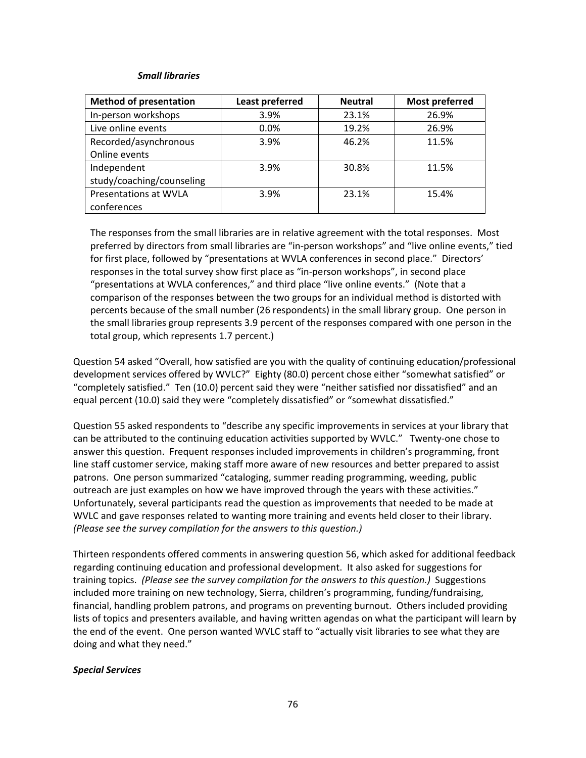### *Small libraries*

| <b>Method of presentation</b> | <b>Least preferred</b> | <b>Neutral</b> | <b>Most preferred</b> |  |
|-------------------------------|------------------------|----------------|-----------------------|--|
| In-person workshops           | 3.9%                   | 23.1%          | 26.9%                 |  |
| Live online events            | 0.0%                   | 19.2%          | 26.9%                 |  |
| Recorded/asynchronous         | 3.9%                   | 46.2%          | 11.5%                 |  |
| Online events                 |                        |                |                       |  |
| Independent                   | 3.9%                   | 30.8%          |                       |  |
| study/coaching/counseling     |                        |                |                       |  |
| <b>Presentations at WVLA</b>  | 3.9%                   | 23.1%          | 15.4%                 |  |
| conferences                   |                        |                |                       |  |

The responses from the small libraries are in relative agreement with the total responses. Most preferred by directors from small libraries are "in‐person workshops" and "live online events," tied for first place, followed by "presentations at WVLA conferences in second place." Directors' responses in the total survey show first place as "in-person workshops", in second place "presentations at WVLA conferences," and third place "live online events." (Note that a comparison of the responses between the two groups for an individual method is distorted with percents because of the small number (26 respondents) in the small library group. One person in the small libraries group represents 3.9 percent of the responses compared with one person in the total group, which represents 1.7 percent.)

Question 54 asked "Overall, how satisfied are you with the quality of continuing education/professional development services offered by WVLC?" Eighty (80.0) percent chose either "somewhat satisfied" or "completely satisfied." Ten (10.0) percent said they were "neither satisfied nor dissatisfied" and an equal percent (10.0) said they were "completely dissatisfied" or "somewhat dissatisfied."

Question 55 asked respondents to "describe any specific improvements in services at your library that can be attributed to the continuing education activities supported by WVLC." Twenty-one chose to answer this question. Frequent responses included improvements in children's programming, front line staff customer service, making staff more aware of new resources and better prepared to assist patrons. One person summarized "cataloging, summer reading programming, weeding, public outreach are just examples on how we have improved through the years with these activities." Unfortunately, several participants read the question as improvements that needed to be made at WVLC and gave responses related to wanting more training and events held closer to their library. *(Please see the survey compilation for the answers to this question.)*

Thirteen respondents offered comments in answering question 56, which asked for additional feedback regarding continuing education and professional development. It also asked for suggestions for training topics. *(Please see the survey compilation for the answers to this question.)* Suggestions included more training on new technology, Sierra, children's programming, funding/fundraising, financial, handling problem patrons, and programs on preventing burnout. Others included providing lists of topics and presenters available, and having written agendas on what the participant will learn by the end of the event. One person wanted WVLC staff to "actually visit libraries to see what they are doing and what they need."

## *Special Services*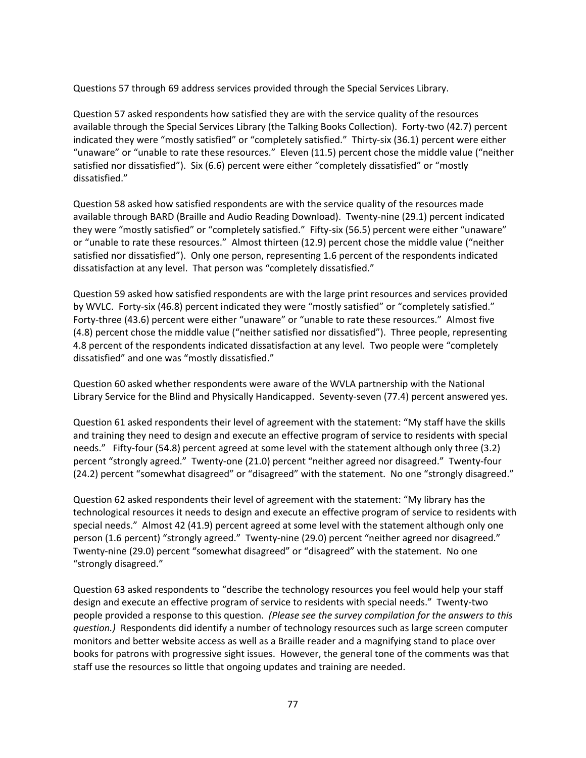Questions 57 through 69 address services provided through the Special Services Library.

Question 57 asked respondents how satisfied they are with the service quality of the resources available through the Special Services Library (the Talking Books Collection). Forty‐two (42.7) percent indicated they were "mostly satisfied" or "completely satisfied." Thirty-six (36.1) percent were either "unaware" or "unable to rate these resources." Eleven (11.5) percent chose the middle value ("neither satisfied nor dissatisfied"). Six (6.6) percent were either "completely dissatisfied" or "mostly dissatisfied."

Question 58 asked how satisfied respondents are with the service quality of the resources made available through BARD (Braille and Audio Reading Download). Twenty‐nine (29.1) percent indicated they were "mostly satisfied" or "completely satisfied." Fifty‐six (56.5) percent were either "unaware" or "unable to rate these resources." Almost thirteen (12.9) percent chose the middle value ("neither satisfied nor dissatisfied"). Only one person, representing 1.6 percent of the respondents indicated dissatisfaction at any level. That person was "completely dissatisfied."

Question 59 asked how satisfied respondents are with the large print resources and services provided by WVLC. Forty-six (46.8) percent indicated they were "mostly satisfied" or "completely satisfied." Forty-three (43.6) percent were either "unaware" or "unable to rate these resources." Almost five (4.8) percent chose the middle value ("neither satisfied nor dissatisfied"). Three people, representing 4.8 percent of the respondents indicated dissatisfaction at any level. Two people were "completely dissatisfied" and one was "mostly dissatisfied."

Question 60 asked whether respondents were aware of the WVLA partnership with the National Library Service for the Blind and Physically Handicapped. Seventy-seven (77.4) percent answered yes.

Question 61 asked respondents their level of agreement with the statement: "My staff have the skills and training they need to design and execute an effective program of service to residents with special needs." Fifty-four (54.8) percent agreed at some level with the statement although only three (3.2) percent "strongly agreed." Twenty‐one (21.0) percent "neither agreed nor disagreed." Twenty‐four (24.2) percent "somewhat disagreed" or "disagreed" with the statement. No one "strongly disagreed."

Question 62 asked respondents their level of agreement with the statement: "My library has the technological resources it needs to design and execute an effective program of service to residents with special needs." Almost 42 (41.9) percent agreed at some level with the statement although only one person (1.6 percent) "strongly agreed." Twenty‐nine (29.0) percent "neither agreed nor disagreed." Twenty‐nine (29.0) percent "somewhat disagreed" or "disagreed" with the statement. No one "strongly disagreed."

Question 63 asked respondents to "describe the technology resources you feel would help your staff design and execute an effective program of service to residents with special needs." Twenty‐two people provided a response to this question. *(Please see the survey compilation for the answers to this question.)* Respondents did identify a number of technology resources such as large screen computer monitors and better website access as well as a Braille reader and a magnifying stand to place over books for patrons with progressive sight issues. However, the general tone of the comments was that staff use the resources so little that ongoing updates and training are needed.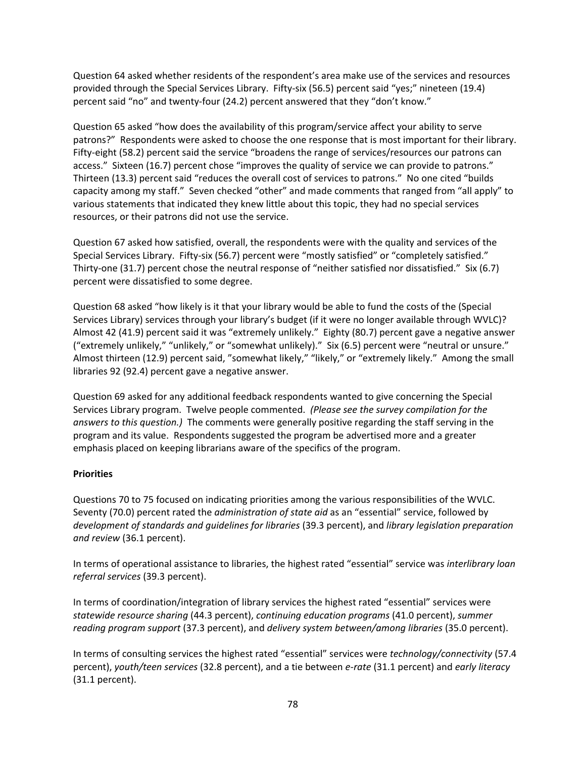Question 64 asked whether residents of the respondent's area make use of the services and resources provided through the Special Services Library. Fifty-six (56.5) percent said "yes;" nineteen (19.4) percent said "no" and twenty‐four (24.2) percent answered that they "don't know."

Question 65 asked "how does the availability of this program/service affect your ability to serve patrons?" Respondents were asked to choose the one response that is most important for their library. Fifty-eight (58.2) percent said the service "broadens the range of services/resources our patrons can access." Sixteen (16.7) percent chose "improves the quality of service we can provide to patrons." Thirteen (13.3) percent said "reduces the overall cost of services to patrons." No one cited "builds capacity among my staff." Seven checked "other" and made comments that ranged from "all apply" to various statements that indicated they knew little about this topic, they had no special services resources, or their patrons did not use the service.

Question 67 asked how satisfied, overall, the respondents were with the quality and services of the Special Services Library. Fifty‐six (56.7) percent were "mostly satisfied" or "completely satisfied." Thirty-one (31.7) percent chose the neutral response of "neither satisfied nor dissatisfied." Six (6.7) percent were dissatisfied to some degree.

Question 68 asked "how likely is it that your library would be able to fund the costs of the (Special Services Library) services through your library's budget (if it were no longer available through WVLC)? Almost 42 (41.9) percent said it was "extremely unlikely." Eighty (80.7) percent gave a negative answer ("extremely unlikely," "unlikely," or "somewhat unlikely)." Six (6.5) percent were "neutral or unsure." Almost thirteen (12.9) percent said, "somewhat likely," "likely," or "extremely likely." Among the small libraries 92 (92.4) percent gave a negative answer.

Question 69 asked for any additional feedback respondents wanted to give concerning the Special Services Library program. Twelve people commented. *(Please see the survey compilation for the answers to this question.)* The comments were generally positive regarding the staff serving in the program and its value. Respondents suggested the program be advertised more and a greater emphasis placed on keeping librarians aware of the specifics of the program.

# **Priorities**

Questions 70 to 75 focused on indicating priorities among the various responsibilities of the WVLC. Seventy (70.0) percent rated the *administration of state aid* as an "essential" service, followed by *development of standards and guidelines for libraries* (39.3 percent), and *library legislation preparation and review* (36.1 percent).

In terms of operational assistance to libraries, the highest rated "essential" service was *interlibrary loan referral services* (39.3 percent).

In terms of coordination/integration of library services the highest rated "essential" services were *statewide resource sharing* (44.3 percent), *continuing education programs* (41.0 percent), *summer reading program support* (37.3 percent), and *delivery system between/among libraries* (35.0 percent).

In terms of consulting services the highest rated "essential" services were *technology/connectivity* (57.4 percent), *youth/teen services* (32.8 percent), and a tie between *e‐rate* (31.1 percent) and *early literacy* (31.1 percent).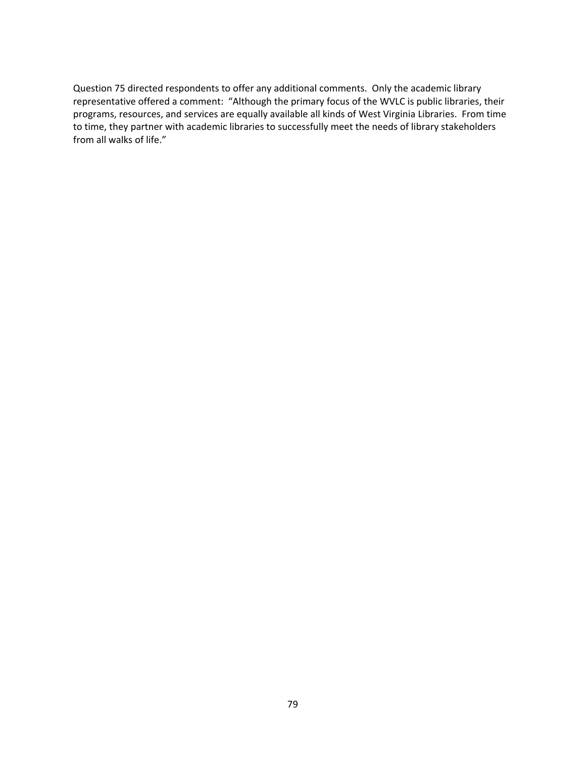Question 75 directed respondents to offer any additional comments. Only the academic library representative offered a comment: "Although the primary focus of the WVLC is public libraries, their programs, resources, and services are equally available all kinds of West Virginia Libraries. From time to time, they partner with academic libraries to successfully meet the needs of library stakeholders from all walks of life."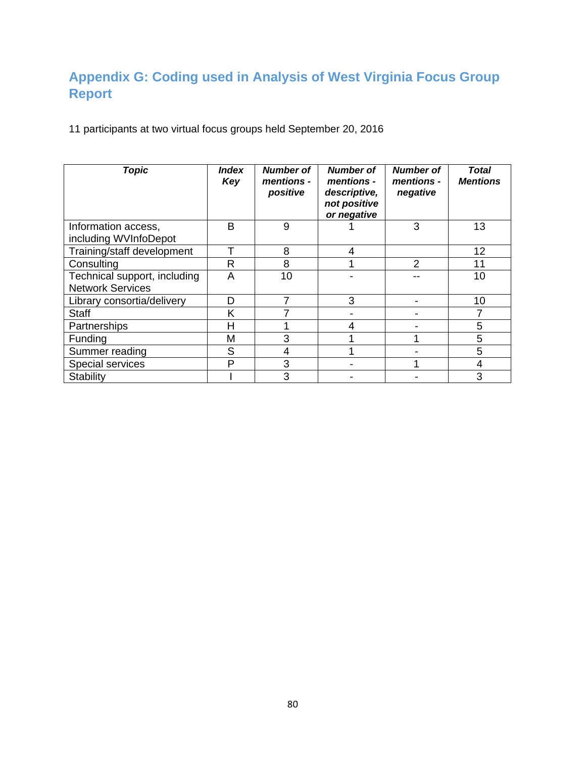# **Appendix G: Coding used in Analysis of West Virginia Focus Group Report**

11 participants at two virtual focus groups held September 20, 2016

| <b>Topic</b>                 | <b>Index</b><br>Key | <b>Number of</b><br>mentions -<br>positive | <b>Number of</b><br>mentions -<br>descriptive,<br>not positive<br>or negative | <b>Number of</b><br>mentions -<br>negative | <b>Total</b><br><b>Mentions</b> |
|------------------------------|---------------------|--------------------------------------------|-------------------------------------------------------------------------------|--------------------------------------------|---------------------------------|
| Information access,          | B                   | 9                                          |                                                                               | 3                                          | 13                              |
| including WVInfoDepot        |                     |                                            |                                                                               |                                            |                                 |
| Training/staff development   |                     | 8                                          | 4                                                                             |                                            | 12                              |
| Consulting                   | R                   | 8                                          |                                                                               | $\mathcal{P}$                              | 11                              |
| Technical support, including | A                   | 10                                         |                                                                               |                                            | 10                              |
| <b>Network Services</b>      |                     |                                            |                                                                               |                                            |                                 |
| Library consortia/delivery   | D                   | 7                                          | 3                                                                             |                                            | 10                              |
| <b>Staff</b>                 | Κ                   |                                            |                                                                               |                                            | 7                               |
| Partnerships                 | Н                   |                                            | 4                                                                             |                                            | 5                               |
| Funding                      | M                   | 3                                          |                                                                               |                                            | 5                               |
| Summer reading               | S                   | 4                                          |                                                                               |                                            | 5                               |
| Special services             | P                   | 3                                          |                                                                               |                                            | 4                               |
| Stability                    |                     | 3                                          |                                                                               |                                            | 3                               |